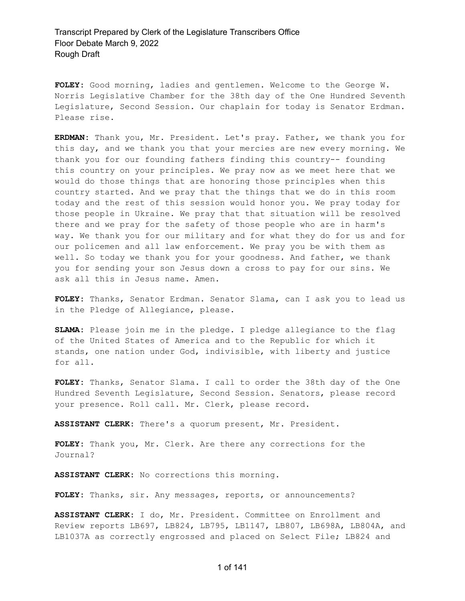**FOLEY:** Good morning, ladies and gentlemen. Welcome to the George W. Norris Legislative Chamber for the 38th day of the One Hundred Seventh Legislature, Second Session. Our chaplain for today is Senator Erdman. Please rise.

**ERDMAN:** Thank you, Mr. President. Let's pray. Father, we thank you for this day, and we thank you that your mercies are new every morning. We thank you for our founding fathers finding this country-- founding this country on your principles. We pray now as we meet here that we would do those things that are honoring those principles when this country started. And we pray that the things that we do in this room today and the rest of this session would honor you. We pray today for those people in Ukraine. We pray that that situation will be resolved there and we pray for the safety of those people who are in harm's way. We thank you for our military and for what they do for us and for our policemen and all law enforcement. We pray you be with them as well. So today we thank you for your goodness. And father, we thank you for sending your son Jesus down a cross to pay for our sins. We ask all this in Jesus name. Amen.

**FOLEY:** Thanks, Senator Erdman. Senator Slama, can I ask you to lead us in the Pledge of Allegiance, please.

**SLAMA:** Please join me in the pledge. I pledge allegiance to the flag of the United States of America and to the Republic for which it stands, one nation under God, indivisible, with liberty and justice for all.

**FOLEY:** Thanks, Senator Slama. I call to order the 38th day of the One Hundred Seventh Legislature, Second Session. Senators, please record your presence. Roll call. Mr. Clerk, please record.

**ASSISTANT CLERK:** There's a quorum present, Mr. President.

**FOLEY:** Thank you, Mr. Clerk. Are there any corrections for the Journal?

**ASSISTANT CLERK:** No corrections this morning.

**FOLEY:** Thanks, sir. Any messages, reports, or announcements?

**ASSISTANT CLERK:** I do, Mr. President. Committee on Enrollment and Review reports LB697, LB824, LB795, LB1147, LB807, LB698A, LB804A, and LB1037A as correctly engrossed and placed on Select File; LB824 and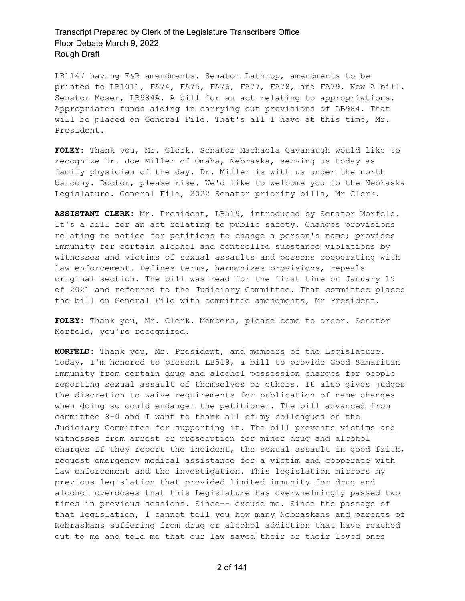LB1147 having E&R amendments. Senator Lathrop, amendments to be printed to LB1011, FA74, FA75, FA76, FA77, FA78, and FA79. New A bill. Senator Moser, LB984A. A bill for an act relating to appropriations. Appropriates funds aiding in carrying out provisions of LB984. That will be placed on General File. That's all I have at this time, Mr. President.

**FOLEY:** Thank you, Mr. Clerk. Senator Machaela Cavanaugh would like to recognize Dr. Joe Miller of Omaha, Nebraska, serving us today as family physician of the day. Dr. Miller is with us under the north balcony. Doctor, please rise. We'd like to welcome you to the Nebraska Legislature. General File, 2022 Senator priority bills, Mr Clerk.

**ASSISTANT CLERK:** Mr. President, LB519, introduced by Senator Morfeld. It's a bill for an act relating to public safety. Changes provisions relating to notice for petitions to change a person's name; provides immunity for certain alcohol and controlled substance violations by witnesses and victims of sexual assaults and persons cooperating with law enforcement. Defines terms, harmonizes provisions, repeals original section. The bill was read for the first time on January 19 of 2021 and referred to the Judiciary Committee. That committee placed the bill on General File with committee amendments, Mr President.

**FOLEY:** Thank you, Mr. Clerk. Members, please come to order. Senator Morfeld, you're recognized.

**MORFELD:** Thank you, Mr. President, and members of the Legislature. Today, I'm honored to present LB519, a bill to provide Good Samaritan immunity from certain drug and alcohol possession charges for people reporting sexual assault of themselves or others. It also gives judges the discretion to waive requirements for publication of name changes when doing so could endanger the petitioner. The bill advanced from committee 8-0 and I want to thank all of my colleagues on the Judiciary Committee for supporting it. The bill prevents victims and witnesses from arrest or prosecution for minor drug and alcohol charges if they report the incident, the sexual assault in good faith, request emergency medical assistance for a victim and cooperate with law enforcement and the investigation. This legislation mirrors my previous legislation that provided limited immunity for drug and alcohol overdoses that this Legislature has overwhelmingly passed two times in previous sessions. Since-- excuse me. Since the passage of that legislation, I cannot tell you how many Nebraskans and parents of Nebraskans suffering from drug or alcohol addiction that have reached out to me and told me that our law saved their or their loved ones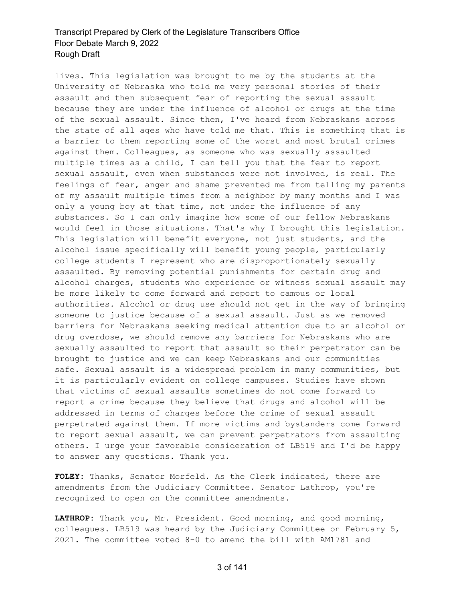lives. This legislation was brought to me by the students at the University of Nebraska who told me very personal stories of their assault and then subsequent fear of reporting the sexual assault because they are under the influence of alcohol or drugs at the time of the sexual assault. Since then, I've heard from Nebraskans across the state of all ages who have told me that. This is something that is a barrier to them reporting some of the worst and most brutal crimes against them. Colleagues, as someone who was sexually assaulted multiple times as a child, I can tell you that the fear to report sexual assault, even when substances were not involved, is real. The feelings of fear, anger and shame prevented me from telling my parents of my assault multiple times from a neighbor by many months and I was only a young boy at that time, not under the influence of any substances. So I can only imagine how some of our fellow Nebraskans would feel in those situations. That's why I brought this legislation. This legislation will benefit everyone, not just students, and the alcohol issue specifically will benefit young people, particularly college students I represent who are disproportionately sexually assaulted. By removing potential punishments for certain drug and alcohol charges, students who experience or witness sexual assault may be more likely to come forward and report to campus or local authorities. Alcohol or drug use should not get in the way of bringing someone to justice because of a sexual assault. Just as we removed barriers for Nebraskans seeking medical attention due to an alcohol or drug overdose, we should remove any barriers for Nebraskans who are sexually assaulted to report that assault so their perpetrator can be brought to justice and we can keep Nebraskans and our communities safe. Sexual assault is a widespread problem in many communities, but it is particularly evident on college campuses. Studies have shown that victims of sexual assaults sometimes do not come forward to report a crime because they believe that drugs and alcohol will be addressed in terms of charges before the crime of sexual assault perpetrated against them. If more victims and bystanders come forward to report sexual assault, we can prevent perpetrators from assaulting others. I urge your favorable consideration of LB519 and I'd be happy to answer any questions. Thank you.

**FOLEY:** Thanks, Senator Morfeld. As the Clerk indicated, there are amendments from the Judiciary Committee. Senator Lathrop, you're recognized to open on the committee amendments.

**LATHROP:** Thank you, Mr. President. Good morning, and good morning, colleagues. LB519 was heard by the Judiciary Committee on February 5, 2021. The committee voted 8-0 to amend the bill with AM1781 and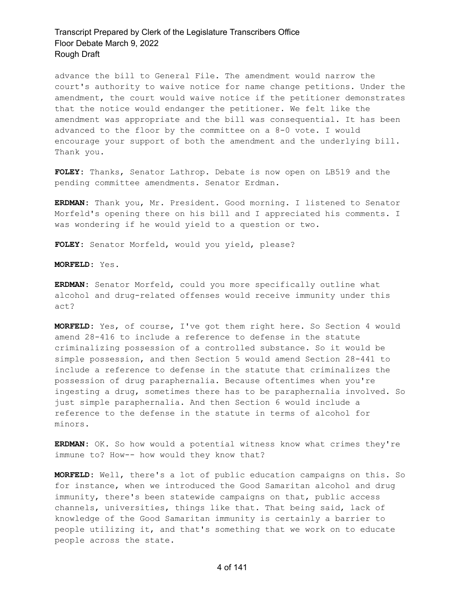advance the bill to General File. The amendment would narrow the court's authority to waive notice for name change petitions. Under the amendment, the court would waive notice if the petitioner demonstrates that the notice would endanger the petitioner. We felt like the amendment was appropriate and the bill was consequential. It has been advanced to the floor by the committee on a 8-0 vote. I would encourage your support of both the amendment and the underlying bill. Thank you.

**FOLEY:** Thanks, Senator Lathrop. Debate is now open on LB519 and the pending committee amendments. Senator Erdman.

**ERDMAN:** Thank you, Mr. President. Good morning. I listened to Senator Morfeld's opening there on his bill and I appreciated his comments. I was wondering if he would yield to a question or two.

**FOLEY:** Senator Morfeld, would you yield, please?

**MORFELD:** Yes.

**ERDMAN:** Senator Morfeld, could you more specifically outline what alcohol and drug-related offenses would receive immunity under this act?

**MORFELD:** Yes, of course, I've got them right here. So Section 4 would amend 28-416 to include a reference to defense in the statute criminalizing possession of a controlled substance. So it would be simple possession, and then Section 5 would amend Section 28-441 to include a reference to defense in the statute that criminalizes the possession of drug paraphernalia. Because oftentimes when you're ingesting a drug, sometimes there has to be paraphernalia involved. So just simple paraphernalia. And then Section 6 would include a reference to the defense in the statute in terms of alcohol for minors.

**ERDMAN:** OK. So how would a potential witness know what crimes they're immune to? How-- how would they know that?

**MORFELD:** Well, there's a lot of public education campaigns on this. So for instance, when we introduced the Good Samaritan alcohol and drug immunity, there's been statewide campaigns on that, public access channels, universities, things like that. That being said, lack of knowledge of the Good Samaritan immunity is certainly a barrier to people utilizing it, and that's something that we work on to educate people across the state.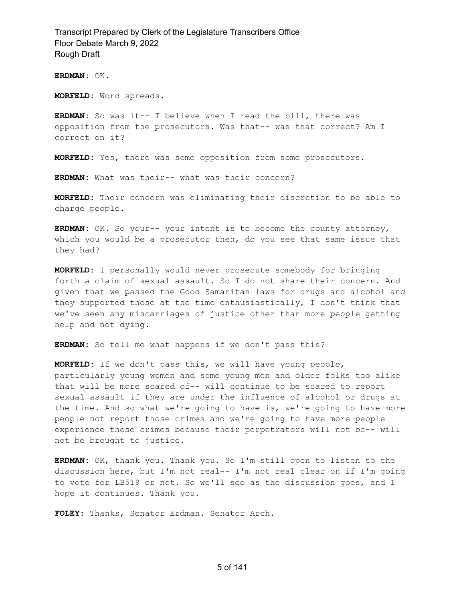**ERDMAN:** OK.

**MORFELD:** Word spreads.

**ERDMAN:** So was it-- I believe when I read the bill, there was opposition from the prosecutors. Was that-- was that correct? Am I correct on it?

**MORFELD:** Yes, there was some opposition from some prosecutors.

**ERDMAN:** What was their-- what was their concern?

**MORFELD:** Their concern was eliminating their discretion to be able to charge people.

**ERDMAN:** OK. So your-- your intent is to become the county attorney, which you would be a prosecutor then, do you see that same issue that they had?

**MORFELD:** I personally would never prosecute somebody for bringing forth a claim of sexual assault. So I do not share their concern. And given that we passed the Good Samaritan laws for drugs and alcohol and they supported those at the time enthusiastically, I don't think that we've seen any miscarriages of justice other than more people getting help and not dying.

**ERDMAN:** So tell me what happens if we don't pass this?

**MORFELD:** If we don't pass this, we will have young people, particularly young women and some young men and older folks too alike that will be more scared of-- will continue to be scared to report sexual assault if they are under the influence of alcohol or drugs at the time. And so what we're going to have is, we're going to have more people not report those crimes and we're going to have more people experience those crimes because their perpetrators will not be-- will not be brought to justice.

**ERDMAN:** OK, thank you. Thank you. So I'm still open to listen to the discussion here, but I'm not real-- I'm not real clear on if I'm going to vote for LB519 or not. So we'll see as the discussion goes, and I hope it continues. Thank you.

**FOLEY:** Thanks, Senator Erdman. Senator Arch.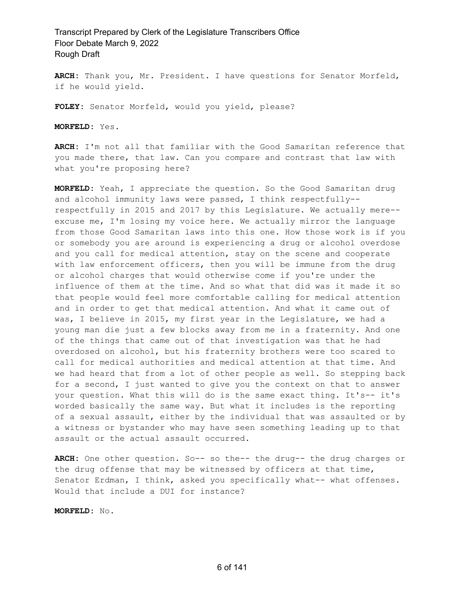**ARCH:** Thank you, Mr. President. I have questions for Senator Morfeld, if he would yield.

**FOLEY:** Senator Morfeld, would you yield, please?

**MORFELD:** Yes.

**ARCH:** I'm not all that familiar with the Good Samaritan reference that you made there, that law. Can you compare and contrast that law with what you're proposing here?

**MORFELD:** Yeah, I appreciate the question. So the Good Samaritan drug and alcohol immunity laws were passed, I think respectfully- respectfully in 2015 and 2017 by this Legislature. We actually mere- excuse me, I'm losing my voice here. We actually mirror the language from those Good Samaritan laws into this one. How those work is if you or somebody you are around is experiencing a drug or alcohol overdose and you call for medical attention, stay on the scene and cooperate with law enforcement officers, then you will be immune from the drug or alcohol charges that would otherwise come if you're under the influence of them at the time. And so what that did was it made it so that people would feel more comfortable calling for medical attention and in order to get that medical attention. And what it came out of was, I believe in 2015, my first year in the Legislature, we had a young man die just a few blocks away from me in a fraternity. And one of the things that came out of that investigation was that he had overdosed on alcohol, but his fraternity brothers were too scared to call for medical authorities and medical attention at that time. And we had heard that from a lot of other people as well. So stepping back for a second, I just wanted to give you the context on that to answer your question. What this will do is the same exact thing. It's-- it's worded basically the same way. But what it includes is the reporting of a sexual assault, either by the individual that was assaulted or by a witness or bystander who may have seen something leading up to that assault or the actual assault occurred.

**ARCH:** One other question. So-- so the-- the drug-- the drug charges or the drug offense that may be witnessed by officers at that time, Senator Erdman, I think, asked you specifically what-- what offenses. Would that include a DUI for instance?

**MORFELD:** No.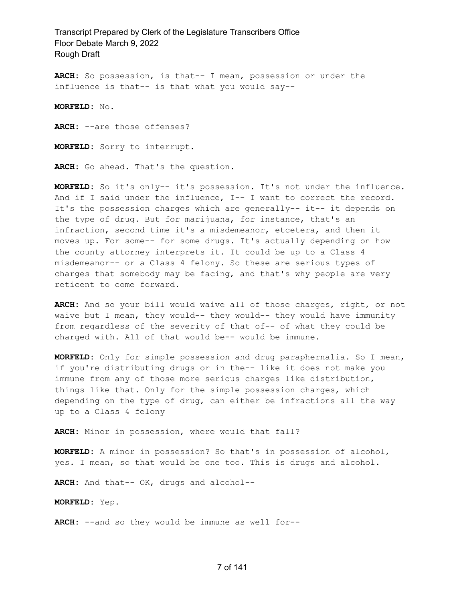**ARCH:** So possession, is that-- I mean, possession or under the influence is that-- is that what you would say--

**MORFELD:** No.

**ARCH:** --are those offenses?

**MORFELD:** Sorry to interrupt.

**ARCH:** Go ahead. That's the question.

**MORFELD:** So it's only-- it's possession. It's not under the influence. And if I said under the influence, I-- I want to correct the record. It's the possession charges which are generally-- it-- it depends on the type of drug. But for marijuana, for instance, that's an infraction, second time it's a misdemeanor, etcetera, and then it moves up. For some-- for some drugs. It's actually depending on how the county attorney interprets it. It could be up to a Class 4 misdemeanor-- or a Class 4 felony. So these are serious types of charges that somebody may be facing, and that's why people are very reticent to come forward.

**ARCH:** And so your bill would waive all of those charges, right, or not waive but I mean, they would-- they would-- they would have immunity from regardless of the severity of that of-- of what they could be charged with. All of that would be-- would be immune.

**MORFELD:** Only for simple possession and drug paraphernalia. So I mean, if you're distributing drugs or in the-- like it does not make you immune from any of those more serious charges like distribution, things like that. Only for the simple possession charges, which depending on the type of drug, can either be infractions all the way up to a Class 4 felony

**ARCH:** Minor in possession, where would that fall?

**MORFELD:** A minor in possession? So that's in possession of alcohol, yes. I mean, so that would be one too. This is drugs and alcohol.

**ARCH:** And that-- OK, drugs and alcohol--

**MORFELD:** Yep.

**ARCH:** --and so they would be immune as well for--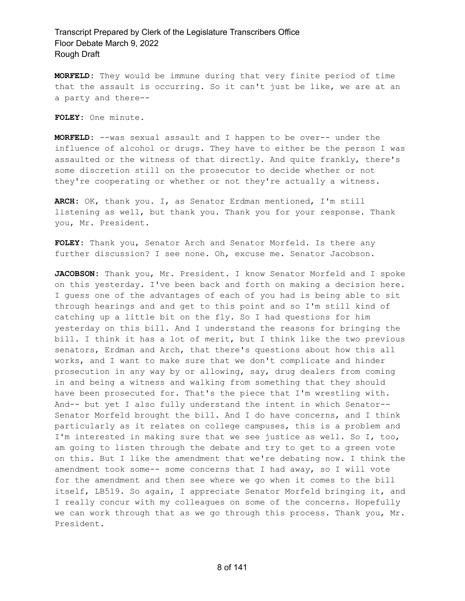**MORFELD:** They would be immune during that very finite period of time that the assault is occurring. So it can't just be like, we are at an a party and there--

**FOLEY:** One minute.

**MORFELD:** --was sexual assault and I happen to be over-- under the influence of alcohol or drugs. They have to either be the person I was assaulted or the witness of that directly. And quite frankly, there's some discretion still on the prosecutor to decide whether or not they're cooperating or whether or not they're actually a witness.

**ARCH:** OK, thank you. I, as Senator Erdman mentioned, I'm still listening as well, but thank you. Thank you for your response. Thank you, Mr. President.

**FOLEY:** Thank you, Senator Arch and Senator Morfeld. Is there any further discussion? I see none. Oh, excuse me. Senator Jacobson.

**JACOBSON:** Thank you, Mr. President. I know Senator Morfeld and I spoke on this yesterday. I've been back and forth on making a decision here. I guess one of the advantages of each of you had is being able to sit through hearings and and get to this point and so I'm still kind of catching up a little bit on the fly. So I had questions for him yesterday on this bill. And I understand the reasons for bringing the bill. I think it has a lot of merit, but I think like the two previous senators, Erdman and Arch, that there's questions about how this all works, and I want to make sure that we don't complicate and hinder prosecution in any way by or allowing, say, drug dealers from coming in and being a witness and walking from something that they should have been prosecuted for. That's the piece that I'm wrestling with. And-- but yet I also fully understand the intent in which Senator-- Senator Morfeld brought the bill. And I do have concerns, and I think particularly as it relates on college campuses, this is a problem and I'm interested in making sure that we see justice as well. So I, too, am going to listen through the debate and try to get to a green vote on this. But I like the amendment that we're debating now. I think the amendment took some-- some concerns that I had away, so I will vote for the amendment and then see where we go when it comes to the bill itself, LB519. So again, I appreciate Senator Morfeld bringing it, and I really concur with my colleagues on some of the concerns. Hopefully we can work through that as we go through this process. Thank you, Mr. President.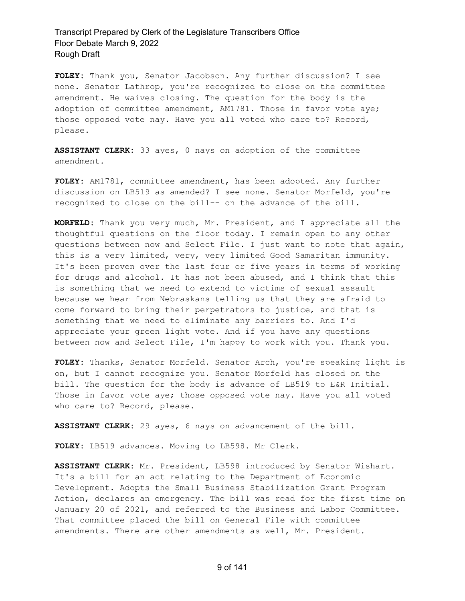**FOLEY:** Thank you, Senator Jacobson. Any further discussion? I see none. Senator Lathrop, you're recognized to close on the committee amendment. He waives closing. The question for the body is the adoption of committee amendment, AM1781. Those in favor vote aye; those opposed vote nay. Have you all voted who care to? Record, please.

**ASSISTANT CLERK:** 33 ayes, 0 nays on adoption of the committee amendment.

**FOLEY:** AM1781, committee amendment, has been adopted. Any further discussion on LB519 as amended? I see none. Senator Morfeld, you're recognized to close on the bill-- on the advance of the bill.

**MORFELD:** Thank you very much, Mr. President, and I appreciate all the thoughtful questions on the floor today. I remain open to any other questions between now and Select File. I just want to note that again, this is a very limited, very, very limited Good Samaritan immunity. It's been proven over the last four or five years in terms of working for drugs and alcohol. It has not been abused, and I think that this is something that we need to extend to victims of sexual assault because we hear from Nebraskans telling us that they are afraid to come forward to bring their perpetrators to justice, and that is something that we need to eliminate any barriers to. And I'd appreciate your green light vote. And if you have any questions between now and Select File, I'm happy to work with you. Thank you.

**FOLEY:** Thanks, Senator Morfeld. Senator Arch, you're speaking light is on, but I cannot recognize you. Senator Morfeld has closed on the bill. The question for the body is advance of LB519 to E&R Initial. Those in favor vote aye; those opposed vote nay. Have you all voted who care to? Record, please.

**ASSISTANT CLERK:** 29 ayes, 6 nays on advancement of the bill.

**FOLEY:** LB519 advances. Moving to LB598. Mr Clerk.

**ASSISTANT CLERK:** Mr. President, LB598 introduced by Senator Wishart. It's a bill for an act relating to the Department of Economic Development. Adopts the Small Business Stabilization Grant Program Action, declares an emergency. The bill was read for the first time on January 20 of 2021, and referred to the Business and Labor Committee. That committee placed the bill on General File with committee amendments. There are other amendments as well, Mr. President.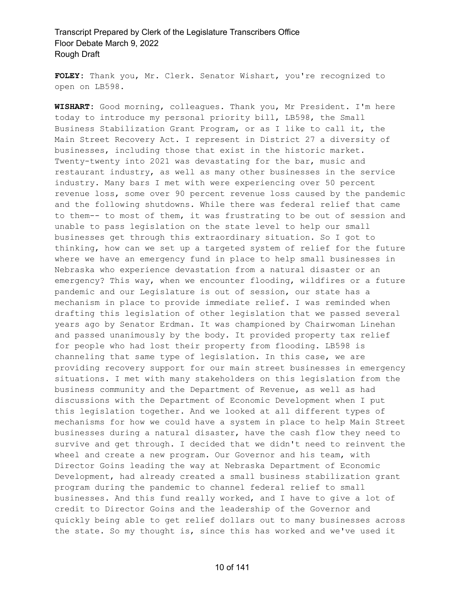**FOLEY:** Thank you, Mr. Clerk. Senator Wishart, you're recognized to open on LB598.

**WISHART:** Good morning, colleagues. Thank you, Mr President. I'm here today to introduce my personal priority bill, LB598, the Small Business Stabilization Grant Program, or as I like to call it, the Main Street Recovery Act. I represent in District 27 a diversity of businesses, including those that exist in the historic market. Twenty-twenty into 2021 was devastating for the bar, music and restaurant industry, as well as many other businesses in the service industry. Many bars I met with were experiencing over 50 percent revenue loss, some over 90 percent revenue loss caused by the pandemic and the following shutdowns. While there was federal relief that came to them-- to most of them, it was frustrating to be out of session and unable to pass legislation on the state level to help our small businesses get through this extraordinary situation. So I got to thinking, how can we set up a targeted system of relief for the future where we have an emergency fund in place to help small businesses in Nebraska who experience devastation from a natural disaster or an emergency? This way, when we encounter flooding, wildfires or a future pandemic and our Legislature is out of session, our state has a mechanism in place to provide immediate relief. I was reminded when drafting this legislation of other legislation that we passed several years ago by Senator Erdman. It was championed by Chairwoman Linehan and passed unanimously by the body. It provided property tax relief for people who had lost their property from flooding. LB598 is channeling that same type of legislation. In this case, we are providing recovery support for our main street businesses in emergency situations. I met with many stakeholders on this legislation from the business community and the Department of Revenue, as well as had discussions with the Department of Economic Development when I put this legislation together. And we looked at all different types of mechanisms for how we could have a system in place to help Main Street businesses during a natural disaster, have the cash flow they need to survive and get through. I decided that we didn't need to reinvent the wheel and create a new program. Our Governor and his team, with Director Goins leading the way at Nebraska Department of Economic Development, had already created a small business stabilization grant program during the pandemic to channel federal relief to small businesses. And this fund really worked, and I have to give a lot of credit to Director Goins and the leadership of the Governor and quickly being able to get relief dollars out to many businesses across the state. So my thought is, since this has worked and we've used it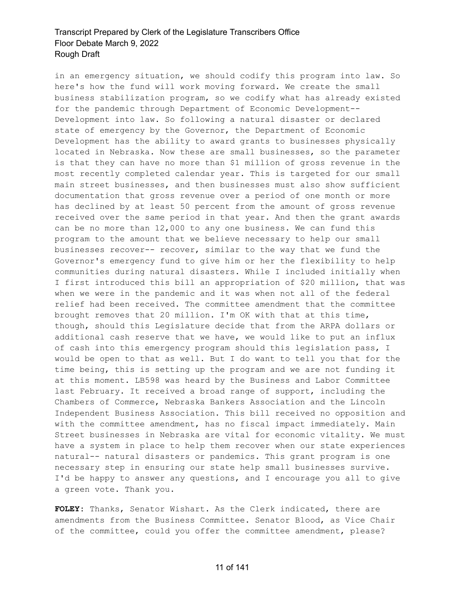in an emergency situation, we should codify this program into law. So here's how the fund will work moving forward. We create the small business stabilization program, so we codify what has already existed for the pandemic through Department of Economic Development-- Development into law. So following a natural disaster or declared state of emergency by the Governor, the Department of Economic Development has the ability to award grants to businesses physically located in Nebraska. Now these are small businesses, so the parameter is that they can have no more than \$1 million of gross revenue in the most recently completed calendar year. This is targeted for our small main street businesses, and then businesses must also show sufficient documentation that gross revenue over a period of one month or more has declined by at least 50 percent from the amount of gross revenue received over the same period in that year. And then the grant awards can be no more than 12,000 to any one business. We can fund this program to the amount that we believe necessary to help our small businesses recover-- recover, similar to the way that we fund the Governor's emergency fund to give him or her the flexibility to help communities during natural disasters. While I included initially when I first introduced this bill an appropriation of \$20 million, that was when we were in the pandemic and it was when not all of the federal relief had been received. The committee amendment that the committee brought removes that 20 million. I'm OK with that at this time, though, should this Legislature decide that from the ARPA dollars or additional cash reserve that we have, we would like to put an influx of cash into this emergency program should this legislation pass, I would be open to that as well. But I do want to tell you that for the time being, this is setting up the program and we are not funding it at this moment. LB598 was heard by the Business and Labor Committee last February. It received a broad range of support, including the Chambers of Commerce, Nebraska Bankers Association and the Lincoln Independent Business Association. This bill received no opposition and with the committee amendment, has no fiscal impact immediately. Main Street businesses in Nebraska are vital for economic vitality. We must have a system in place to help them recover when our state experiences natural-- natural disasters or pandemics. This grant program is one necessary step in ensuring our state help small businesses survive. I'd be happy to answer any questions, and I encourage you all to give a green vote. Thank you.

**FOLEY:** Thanks, Senator Wishart. As the Clerk indicated, there are amendments from the Business Committee. Senator Blood, as Vice Chair of the committee, could you offer the committee amendment, please?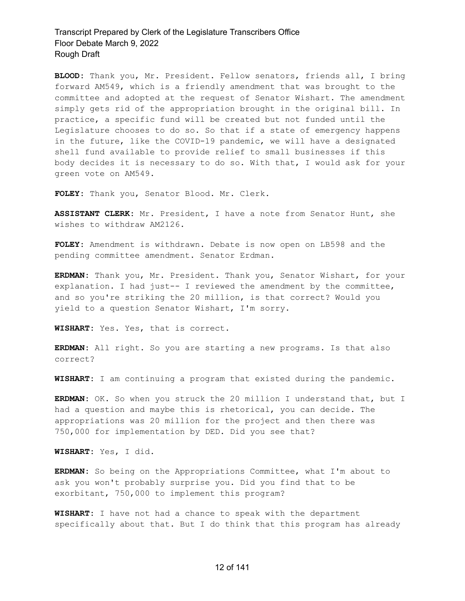**BLOOD:** Thank you, Mr. President. Fellow senators, friends all, I bring forward AM549, which is a friendly amendment that was brought to the committee and adopted at the request of Senator Wishart. The amendment simply gets rid of the appropriation brought in the original bill. In practice, a specific fund will be created but not funded until the Legislature chooses to do so. So that if a state of emergency happens in the future, like the COVID-19 pandemic, we will have a designated shell fund available to provide relief to small businesses if this body decides it is necessary to do so. With that, I would ask for your green vote on AM549.

**FOLEY:** Thank you, Senator Blood. Mr. Clerk.

**ASSISTANT CLERK:** Mr. President, I have a note from Senator Hunt, she wishes to withdraw AM2126.

**FOLEY:** Amendment is withdrawn. Debate is now open on LB598 and the pending committee amendment. Senator Erdman.

**ERDMAN:** Thank you, Mr. President. Thank you, Senator Wishart, for your explanation. I had just-- I reviewed the amendment by the committee, and so you're striking the 20 million, is that correct? Would you yield to a question Senator Wishart, I'm sorry.

**WISHART:** Yes. Yes, that is correct.

**ERDMAN:** All right. So you are starting a new programs. Is that also correct?

**WISHART:** I am continuing a program that existed during the pandemic.

**ERDMAN:** OK. So when you struck the 20 million I understand that, but I had a question and maybe this is rhetorical, you can decide. The appropriations was 20 million for the project and then there was 750,000 for implementation by DED. Did you see that?

**WISHART:** Yes, I did.

**ERDMAN:** So being on the Appropriations Committee, what I'm about to ask you won't probably surprise you. Did you find that to be exorbitant, 750,000 to implement this program?

**WISHART:** I have not had a chance to speak with the department specifically about that. But I do think that this program has already

#### 12 of 141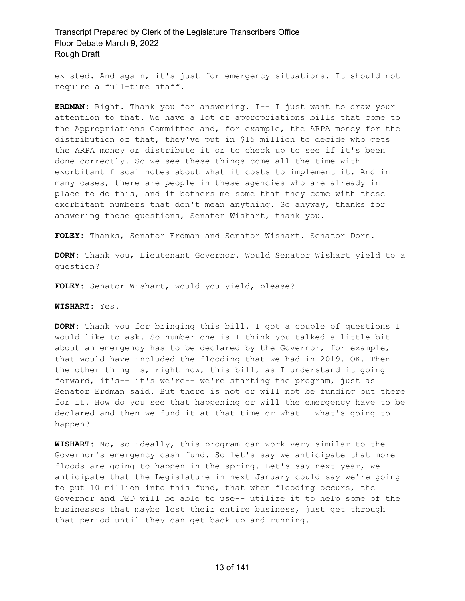existed. And again, it's just for emergency situations. It should not require a full-time staff.

**ERDMAN:** Right. Thank you for answering. I-- I just want to draw your attention to that. We have a lot of appropriations bills that come to the Appropriations Committee and, for example, the ARPA money for the distribution of that, they've put in \$15 million to decide who gets the ARPA money or distribute it or to check up to see if it's been done correctly. So we see these things come all the time with exorbitant fiscal notes about what it costs to implement it. And in many cases, there are people in these agencies who are already in place to do this, and it bothers me some that they come with these exorbitant numbers that don't mean anything. So anyway, thanks for answering those questions, Senator Wishart, thank you.

**FOLEY:** Thanks, Senator Erdman and Senator Wishart. Senator Dorn.

**DORN:** Thank you, Lieutenant Governor. Would Senator Wishart yield to a question?

**FOLEY:** Senator Wishart, would you yield, please?

#### **WISHART:** Yes.

**DORN:** Thank you for bringing this bill. I got a couple of questions I would like to ask. So number one is I think you talked a little bit about an emergency has to be declared by the Governor, for example, that would have included the flooding that we had in 2019. OK. Then the other thing is, right now, this bill, as I understand it going forward, it's-- it's we're-- we're starting the program, just as Senator Erdman said. But there is not or will not be funding out there for it. How do you see that happening or will the emergency have to be declared and then we fund it at that time or what-- what's going to happen?

**WISHART:** No, so ideally, this program can work very similar to the Governor's emergency cash fund. So let's say we anticipate that more floods are going to happen in the spring. Let's say next year, we anticipate that the Legislature in next January could say we're going to put 10 million into this fund, that when flooding occurs, the Governor and DED will be able to use-- utilize it to help some of the businesses that maybe lost their entire business, just get through that period until they can get back up and running.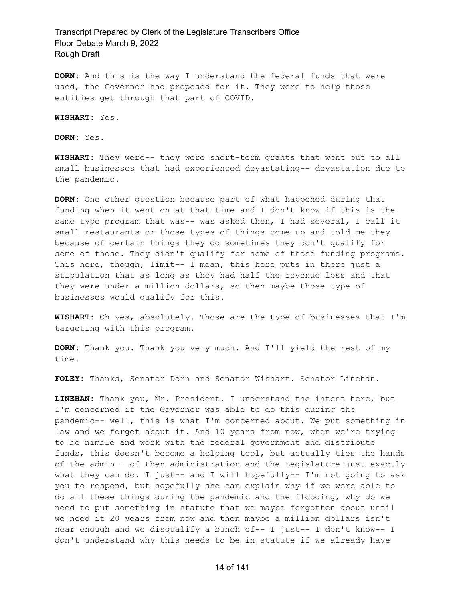**DORN:** And this is the way I understand the federal funds that were used, the Governor had proposed for it. They were to help those entities get through that part of COVID.

**WISHART:** Yes.

**DORN:** Yes.

**WISHART:** They were-- they were short-term grants that went out to all small businesses that had experienced devastating-- devastation due to the pandemic.

**DORN:** One other question because part of what happened during that funding when it went on at that time and I don't know if this is the same type program that was-- was asked then, I had several, I call it small restaurants or those types of things come up and told me they because of certain things they do sometimes they don't qualify for some of those. They didn't qualify for some of those funding programs. This here, though, limit-- I mean, this here puts in there just a stipulation that as long as they had half the revenue loss and that they were under a million dollars, so then maybe those type of businesses would qualify for this.

**WISHART:** Oh yes, absolutely. Those are the type of businesses that I'm targeting with this program.

**DORN:** Thank you. Thank you very much. And I'll yield the rest of my time.

**FOLEY:** Thanks, Senator Dorn and Senator Wishart. Senator Linehan.

**LINEHAN:** Thank you, Mr. President. I understand the intent here, but I'm concerned if the Governor was able to do this during the pandemic-- well, this is what I'm concerned about. We put something in law and we forget about it. And 10 years from now, when we're trying to be nimble and work with the federal government and distribute funds, this doesn't become a helping tool, but actually ties the hands of the admin-- of then administration and the Legislature just exactly what they can do. I just-- and I will hopefully-- I'm not going to ask you to respond, but hopefully she can explain why if we were able to do all these things during the pandemic and the flooding, why do we need to put something in statute that we maybe forgotten about until we need it 20 years from now and then maybe a million dollars isn't near enough and we disqualify a bunch of-- I just-- I don't know-- I don't understand why this needs to be in statute if we already have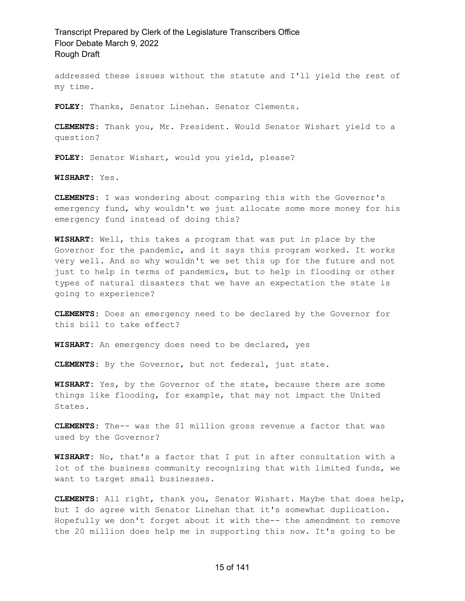addressed these issues without the statute and I'll yield the rest of my time.

**FOLEY:** Thanks, Senator Linehan. Senator Clements.

**CLEMENTS:** Thank you, Mr. President. Would Senator Wishart yield to a question?

**FOLEY:** Senator Wishart, would you yield, please?

**WISHART:** Yes.

**CLEMENTS:** I was wondering about comparing this with the Governor's emergency fund, why wouldn't we just allocate some more money for his emergency fund instead of doing this?

**WISHART:** Well, this takes a program that was put in place by the Governor for the pandemic, and it says this program worked. It works very well. And so why wouldn't we set this up for the future and not just to help in terms of pandemics, but to help in flooding or other types of natural disasters that we have an expectation the state is going to experience?

**CLEMENTS:** Does an emergency need to be declared by the Governor for this bill to take effect?

**WISHART:** An emergency does need to be declared, yes

**CLEMENTS:** By the Governor, but not federal, just state.

**WISHART:** Yes, by the Governor of the state, because there are some things like flooding, for example, that may not impact the United States.

**CLEMENTS:** The-- was the \$1 million gross revenue a factor that was used by the Governor?

**WISHART:** No, that's a factor that I put in after consultation with a lot of the business community recognizing that with limited funds, we want to target small businesses.

**CLEMENTS:** All right, thank you, Senator Wishart. Maybe that does help, but I do agree with Senator Linehan that it's somewhat duplication. Hopefully we don't forget about it with the-- the amendment to remove the 20 million does help me in supporting this now. It's going to be

#### 15 of 141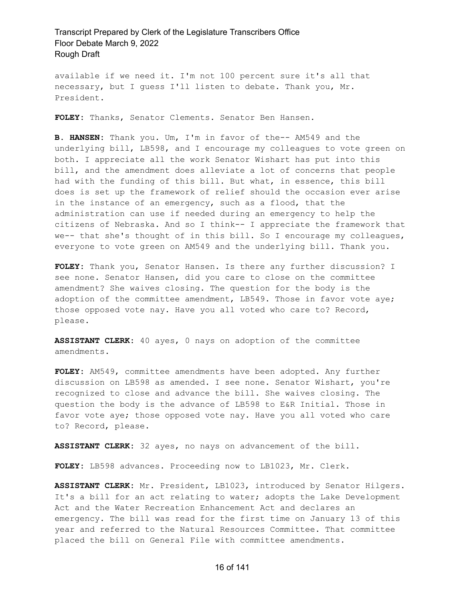available if we need it. I'm not 100 percent sure it's all that necessary, but I guess I'll listen to debate. Thank you, Mr. President.

**FOLEY:** Thanks, Senator Clements. Senator Ben Hansen.

**B. HANSEN:** Thank you. Um, I'm in favor of the-- AM549 and the underlying bill, LB598, and I encourage my colleagues to vote green on both. I appreciate all the work Senator Wishart has put into this bill, and the amendment does alleviate a lot of concerns that people had with the funding of this bill. But what, in essence, this bill does is set up the framework of relief should the occasion ever arise in the instance of an emergency, such as a flood, that the administration can use if needed during an emergency to help the citizens of Nebraska. And so I think-- I appreciate the framework that we-- that she's thought of in this bill. So I encourage my colleagues, everyone to vote green on AM549 and the underlying bill. Thank you.

**FOLEY:** Thank you, Senator Hansen. Is there any further discussion? I see none. Senator Hansen, did you care to close on the committee amendment? She waives closing. The question for the body is the adoption of the committee amendment, LB549. Those in favor vote aye; those opposed vote nay. Have you all voted who care to? Record, please.

**ASSISTANT CLERK:** 40 ayes, 0 nays on adoption of the committee amendments.

**FOLEY:** AM549, committee amendments have been adopted. Any further discussion on LB598 as amended. I see none. Senator Wishart, you're recognized to close and advance the bill. She waives closing. The question the body is the advance of LB598 to E&R Initial. Those in favor vote aye; those opposed vote nay. Have you all voted who care to? Record, please.

**ASSISTANT CLERK:** 32 ayes, no nays on advancement of the bill.

**FOLEY:** LB598 advances. Proceeding now to LB1023, Mr. Clerk.

**ASSISTANT CLERK:** Mr. President, LB1023, introduced by Senator Hilgers. It's a bill for an act relating to water; adopts the Lake Development Act and the Water Recreation Enhancement Act and declares an emergency. The bill was read for the first time on January 13 of this year and referred to the Natural Resources Committee. That committee placed the bill on General File with committee amendments.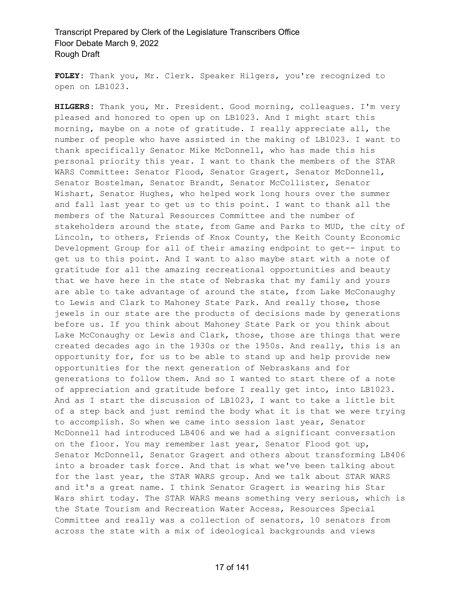**FOLEY:** Thank you, Mr. Clerk. Speaker Hilgers, you're recognized to open on LB1023.

**HILGERS:** Thank you, Mr. President. Good morning, colleagues. I'm very pleased and honored to open up on LB1023. And I might start this morning, maybe on a note of gratitude. I really appreciate all, the number of people who have assisted in the making of LB1023. I want to thank specifically Senator Mike McDonnell, who has made this his personal priority this year. I want to thank the members of the STAR WARS Committee: Senator Flood, Senator Gragert, Senator McDonnell, Senator Bostelman, Senator Brandt, Senator McCollister, Senator Wishart, Senator Hughes, who helped work long hours over the summer and fall last year to get us to this point. I want to thank all the members of the Natural Resources Committee and the number of stakeholders around the state, from Game and Parks to MUD, the city of Lincoln, to others, Friends of Knox County, the Keith County Economic Development Group for all of their amazing endpoint to get-- input to get us to this point. And I want to also maybe start with a note of gratitude for all the amazing recreational opportunities and beauty that we have here in the state of Nebraska that my family and yours are able to take advantage of around the state, from Lake McConaughy to Lewis and Clark to Mahoney State Park. And really those, those jewels in our state are the products of decisions made by generations before us. If you think about Mahoney State Park or you think about Lake McConaughy or Lewis and Clark, those, those are things that were created decades ago in the 1930s or the 1950s. And really, this is an opportunity for, for us to be able to stand up and help provide new opportunities for the next generation of Nebraskans and for generations to follow them. And so I wanted to start there of a note of appreciation and gratitude before I really get into, into LB1023. And as I start the discussion of LB1023, I want to take a little bit of a step back and just remind the body what it is that we were trying to accomplish. So when we came into session last year, Senator McDonnell had introduced LB406 and we had a significant conversation on the floor. You may remember last year, Senator Flood got up, Senator McDonnell, Senator Gragert and others about transforming LB406 into a broader task force. And that is what we've been talking about for the last year, the STAR WARS group. And we talk about STAR WARS and it's a great name. I think Senator Gragert is wearing his Star Wars shirt today. The STAR WARS means something very serious, which is the State Tourism and Recreation Water Access, Resources Special Committee and really was a collection of senators, 10 senators from across the state with a mix of ideological backgrounds and views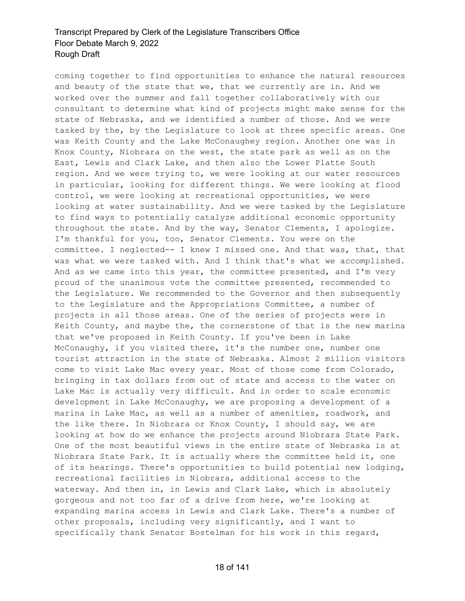coming together to find opportunities to enhance the natural resources and beauty of the state that we, that we currently are in. And we worked over the summer and fall together collaboratively with our consultant to determine what kind of projects might make sense for the state of Nebraska, and we identified a number of those. And we were tasked by the, by the Legislature to look at three specific areas. One was Keith County and the Lake McConaughey region. Another one was in Knox County, Niobrara on the west, the state park as well as on the East, Lewis and Clark Lake, and then also the Lower Platte South region. And we were trying to, we were looking at our water resources in particular, looking for different things. We were looking at flood control, we were looking at recreational opportunities, we were looking at water sustainability. And we were tasked by the Legislature to find ways to potentially catalyze additional economic opportunity throughout the state. And by the way, Senator Clements, I apologize. I'm thankful for you, too, Senator Clements. You were on the committee. I neglected-- I knew I missed one. And that was, that, that was what we were tasked with. And I think that's what we accomplished. And as we came into this year, the committee presented, and I'm very proud of the unanimous vote the committee presented, recommended to the Legislature. We recommended to the Governor and then subsequently to the Legislature and the Appropriations Committee, a number of projects in all those areas. One of the series of projects were in Keith County, and maybe the, the cornerstone of that is the new marina that we've proposed in Keith County. If you've been in Lake McConaughy, if you visited there, it's the number one, number one tourist attraction in the state of Nebraska. Almost 2 million visitors come to visit Lake Mac every year. Most of those come from Colorado, bringing in tax dollars from out of state and access to the water on Lake Mac is actually very difficult. And in order to scale economic development in Lake McConaughy, we are proposing a development of a marina in Lake Mac, as well as a number of amenities, roadwork, and the like there. In Niobrara or Knox County, I should say, we are looking at how do we enhance the projects around Niobrara State Park. One of the most beautiful views in the entire state of Nebraska is at Niobrara State Park. It is actually where the committee held it, one of its hearings. There's opportunities to build potential new lodging, recreational facilities in Niobrara, additional access to the waterway. And then in, in Lewis and Clark Lake, which is absolutely gorgeous and not too far of a drive from here, we're looking at expanding marina access in Lewis and Clark Lake. There's a number of other proposals, including very significantly, and I want to specifically thank Senator Bostelman for his work in this regard,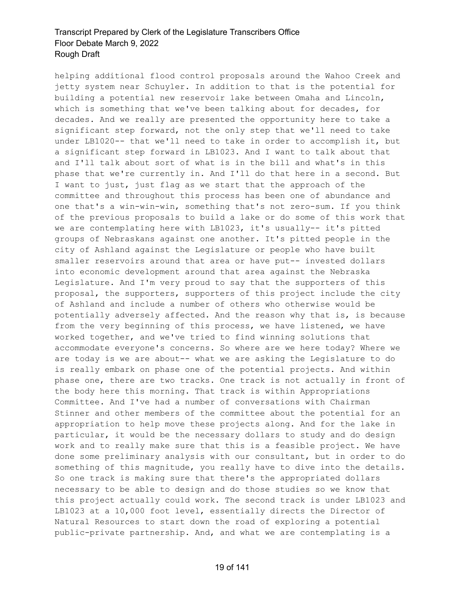helping additional flood control proposals around the Wahoo Creek and jetty system near Schuyler. In addition to that is the potential for building a potential new reservoir lake between Omaha and Lincoln, which is something that we've been talking about for decades, for decades. And we really are presented the opportunity here to take a significant step forward, not the only step that we'll need to take under LB1020-- that we'll need to take in order to accomplish it, but a significant step forward in LB1023. And I want to talk about that and I'll talk about sort of what is in the bill and what's in this phase that we're currently in. And I'll do that here in a second. But I want to just, just flag as we start that the approach of the committee and throughout this process has been one of abundance and one that's a win-win-win, something that's not zero-sum. If you think of the previous proposals to build a lake or do some of this work that we are contemplating here with LB1023, it's usually-- it's pitted groups of Nebraskans against one another. It's pitted people in the city of Ashland against the Legislature or people who have built smaller reservoirs around that area or have put-- invested dollars into economic development around that area against the Nebraska Legislature. And I'm very proud to say that the supporters of this proposal, the supporters, supporters of this project include the city of Ashland and include a number of others who otherwise would be potentially adversely affected. And the reason why that is, is because from the very beginning of this process, we have listened, we have worked together, and we've tried to find winning solutions that accommodate everyone's concerns. So where are we here today? Where we are today is we are about-- what we are asking the Legislature to do is really embark on phase one of the potential projects. And within phase one, there are two tracks. One track is not actually in front of the body here this morning. That track is within Appropriations Committee. And I've had a number of conversations with Chairman Stinner and other members of the committee about the potential for an appropriation to help move these projects along. And for the lake in particular, it would be the necessary dollars to study and do design work and to really make sure that this is a feasible project. We have done some preliminary analysis with our consultant, but in order to do something of this magnitude, you really have to dive into the details. So one track is making sure that there's the appropriated dollars necessary to be able to design and do those studies so we know that this project actually could work. The second track is under LB1023 and LB1023 at a 10,000 foot level, essentially directs the Director of Natural Resources to start down the road of exploring a potential public-private partnership. And, and what we are contemplating is a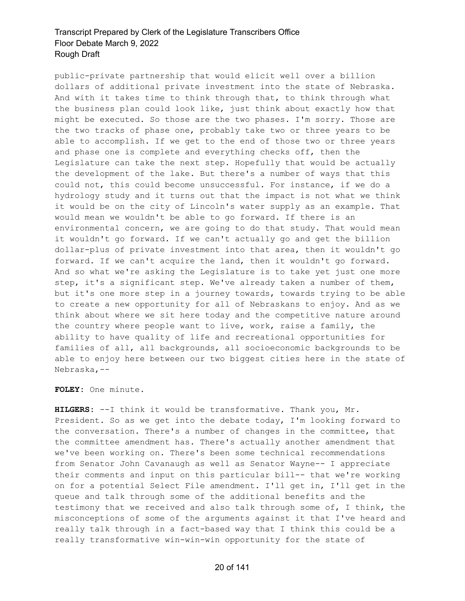public-private partnership that would elicit well over a billion dollars of additional private investment into the state of Nebraska. And with it takes time to think through that, to think through what the business plan could look like, just think about exactly how that might be executed. So those are the two phases. I'm sorry. Those are the two tracks of phase one, probably take two or three years to be able to accomplish. If we get to the end of those two or three years and phase one is complete and everything checks off, then the Legislature can take the next step. Hopefully that would be actually the development of the lake. But there's a number of ways that this could not, this could become unsuccessful. For instance, if we do a hydrology study and it turns out that the impact is not what we think it would be on the city of Lincoln's water supply as an example. That would mean we wouldn't be able to go forward. If there is an environmental concern, we are going to do that study. That would mean it wouldn't go forward. If we can't actually go and get the billion dollar-plus of private investment into that area, then it wouldn't go forward. If we can't acquire the land, then it wouldn't go forward. And so what we're asking the Legislature is to take yet just one more step, it's a significant step. We've already taken a number of them, but it's one more step in a journey towards, towards trying to be able to create a new opportunity for all of Nebraskans to enjoy. And as we think about where we sit here today and the competitive nature around the country where people want to live, work, raise a family, the ability to have quality of life and recreational opportunities for families of all, all backgrounds, all socioeconomic backgrounds to be able to enjoy here between our two biggest cities here in the state of Nebraska,--

**FOLEY:** One minute.

**HILGERS:** --I think it would be transformative. Thank you, Mr. President. So as we get into the debate today, I'm looking forward to the conversation. There's a number of changes in the committee, that the committee amendment has. There's actually another amendment that we've been working on. There's been some technical recommendations from Senator John Cavanaugh as well as Senator Wayne-- I appreciate their comments and input on this particular bill-- that we're working on for a potential Select File amendment. I'll get in, I'll get in the queue and talk through some of the additional benefits and the testimony that we received and also talk through some of, I think, the misconceptions of some of the arguments against it that I've heard and really talk through in a fact-based way that I think this could be a really transformative win-win-win opportunity for the state of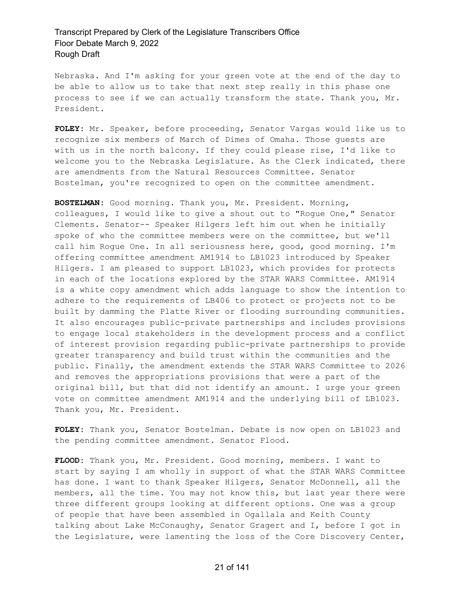Nebraska. And I'm asking for your green vote at the end of the day to be able to allow us to take that next step really in this phase one process to see if we can actually transform the state. Thank you, Mr. President.

**FOLEY:** Mr. Speaker, before proceeding, Senator Vargas would like us to recognize six members of March of Dimes of Omaha. Those guests are with us in the north balcony. If they could please rise, I'd like to welcome you to the Nebraska Legislature. As the Clerk indicated, there are amendments from the Natural Resources Committee. Senator Bostelman, you're recognized to open on the committee amendment.

**BOSTELMAN:** Good morning. Thank you, Mr. President. Morning, colleagues, I would like to give a shout out to "Rogue One," Senator Clements. Senator-- Speaker Hilgers left him out when he initially spoke of who the committee members were on the committee, but we'll call him Rogue One. In all seriousness here, good, good morning. I'm offering committee amendment AM1914 to LB1023 introduced by Speaker Hilgers. I am pleased to support LB1023, which provides for protects in each of the locations explored by the STAR WARS Committee. AM1914 is a white copy amendment which adds language to show the intention to adhere to the requirements of LB406 to protect or projects not to be built by damming the Platte River or flooding surrounding communities. It also encourages public-private partnerships and includes provisions to engage local stakeholders in the development process and a conflict of interest provision regarding public-private partnerships to provide greater transparency and build trust within the communities and the public. Finally, the amendment extends the STAR WARS Committee to 2026 and removes the appropriations provisions that were a part of the original bill, but that did not identify an amount. I urge your green vote on committee amendment AM1914 and the underlying bill of LB1023. Thank you, Mr. President.

**FOLEY:** Thank you, Senator Bostelman. Debate is now open on LB1023 and the pending committee amendment. Senator Flood.

**FLOOD:** Thank you, Mr. President. Good morning, members. I want to start by saying I am wholly in support of what the STAR WARS Committee has done. I want to thank Speaker Hilgers, Senator McDonnell, all the members, all the time. You may not know this, but last year there were three different groups looking at different options. One was a group of people that have been assembled in Ogallala and Keith County talking about Lake McConaughy, Senator Gragert and I, before I got in the Legislature, were lamenting the loss of the Core Discovery Center,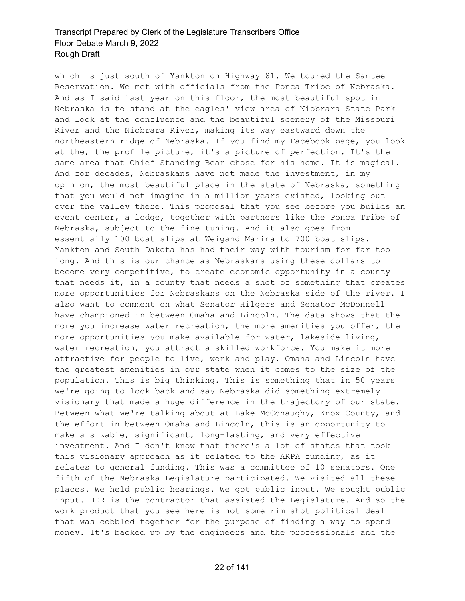which is just south of Yankton on Highway 81. We toured the Santee Reservation. We met with officials from the Ponca Tribe of Nebraska. And as I said last year on this floor, the most beautiful spot in Nebraska is to stand at the eagles' view area of Niobrara State Park and look at the confluence and the beautiful scenery of the Missouri River and the Niobrara River, making its way eastward down the northeastern ridge of Nebraska. If you find my Facebook page, you look at the, the profile picture, it's a picture of perfection. It's the same area that Chief Standing Bear chose for his home. It is magical. And for decades, Nebraskans have not made the investment, in my opinion, the most beautiful place in the state of Nebraska, something that you would not imagine in a million years existed, looking out over the valley there. This proposal that you see before you builds an event center, a lodge, together with partners like the Ponca Tribe of Nebraska, subject to the fine tuning. And it also goes from essentially 100 boat slips at Weigand Marina to 700 boat slips. Yankton and South Dakota has had their way with tourism for far too long. And this is our chance as Nebraskans using these dollars to become very competitive, to create economic opportunity in a county that needs it, in a county that needs a shot of something that creates more opportunities for Nebraskans on the Nebraska side of the river. I also want to comment on what Senator Hilgers and Senator McDonnell have championed in between Omaha and Lincoln. The data shows that the more you increase water recreation, the more amenities you offer, the more opportunities you make available for water, lakeside living, water recreation, you attract a skilled workforce. You make it more attractive for people to live, work and play. Omaha and Lincoln have the greatest amenities in our state when it comes to the size of the population. This is big thinking. This is something that in 50 years we're going to look back and say Nebraska did something extremely visionary that made a huge difference in the trajectory of our state. Between what we're talking about at Lake McConaughy, Knox County, and the effort in between Omaha and Lincoln, this is an opportunity to make a sizable, significant, long-lasting, and very effective investment. And I don't know that there's a lot of states that took this visionary approach as it related to the ARPA funding, as it relates to general funding. This was a committee of 10 senators. One fifth of the Nebraska Legislature participated. We visited all these places. We held public hearings. We got public input. We sought public input. HDR is the contractor that assisted the Legislature. And so the work product that you see here is not some rim shot political deal that was cobbled together for the purpose of finding a way to spend money. It's backed up by the engineers and the professionals and the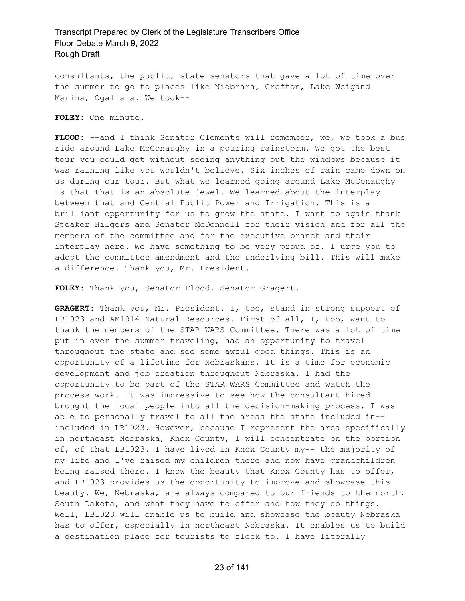consultants, the public, state senators that gave a lot of time over the summer to go to places like Niobrara, Crofton, Lake Weigand Marina, Ogallala. We took--

**FOLEY:** One minute.

FLOOD: --and I think Senator Clements will remember, we, we took a bus ride around Lake McConaughy in a pouring rainstorm. We got the best tour you could get without seeing anything out the windows because it was raining like you wouldn't believe. Six inches of rain came down on us during our tour. But what we learned going around Lake McConaughy is that that is an absolute jewel. We learned about the interplay between that and Central Public Power and Irrigation. This is a brilliant opportunity for us to grow the state. I want to again thank Speaker Hilgers and Senator McDonnell for their vision and for all the members of the committee and for the executive branch and their interplay here. We have something to be very proud of. I urge you to adopt the committee amendment and the underlying bill. This will make a difference. Thank you, Mr. President.

**FOLEY:** Thank you, Senator Flood. Senator Gragert.

**GRAGERT:** Thank you, Mr. President. I, too, stand in strong support of LB1023 and AM1914 Natural Resources. First of all, I, too, want to thank the members of the STAR WARS Committee. There was a lot of time put in over the summer traveling, had an opportunity to travel throughout the state and see some awful good things. This is an opportunity of a lifetime for Nebraskans. It is a time for economic development and job creation throughout Nebraska. I had the opportunity to be part of the STAR WARS Committee and watch the process work. It was impressive to see how the consultant hired brought the local people into all the decision-making process. I was able to personally travel to all the areas the state included in- included in LB1023. However, because I represent the area specifically in northeast Nebraska, Knox County, I will concentrate on the portion of, of that LB1023. I have lived in Knox County my-- the majority of my life and I've raised my children there and now have grandchildren being raised there. I know the beauty that Knox County has to offer, and LB1023 provides us the opportunity to improve and showcase this beauty. We, Nebraska, are always compared to our friends to the north, South Dakota, and what they have to offer and how they do things. Well, LB1023 will enable us to build and showcase the beauty Nebraska has to offer, especially in northeast Nebraska. It enables us to build a destination place for tourists to flock to. I have literally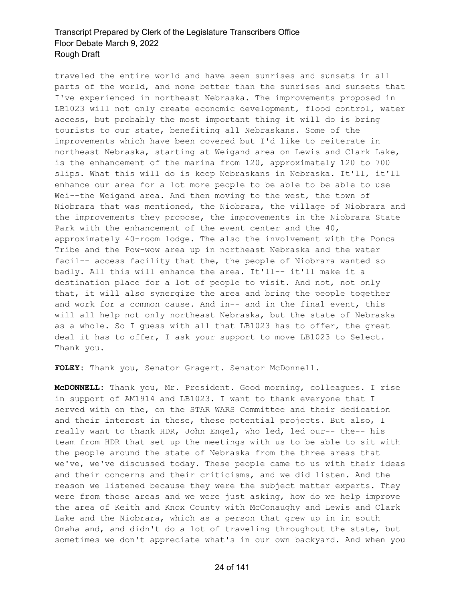traveled the entire world and have seen sunrises and sunsets in all parts of the world, and none better than the sunrises and sunsets that I've experienced in northeast Nebraska. The improvements proposed in LB1023 will not only create economic development, flood control, water access, but probably the most important thing it will do is bring tourists to our state, benefiting all Nebraskans. Some of the improvements which have been covered but I'd like to reiterate in northeast Nebraska, starting at Weigand area on Lewis and Clark Lake, is the enhancement of the marina from 120, approximately 120 to 700 slips. What this will do is keep Nebraskans in Nebraska. It'll, it'll enhance our area for a lot more people to be able to be able to use Wei--the Weigand area. And then moving to the west, the town of Niobrara that was mentioned, the Niobrara, the village of Niobrara and the improvements they propose, the improvements in the Niobrara State Park with the enhancement of the event center and the 40, approximately 40-room lodge. The also the involvement with the Ponca Tribe and the Pow-wow area up in northeast Nebraska and the water facil-- access facility that the, the people of Niobrara wanted so badly. All this will enhance the area. It'll-- it'll make it a destination place for a lot of people to visit. And not, not only that, it will also synergize the area and bring the people together and work for a common cause. And in-- and in the final event, this will all help not only northeast Nebraska, but the state of Nebraska as a whole. So I guess with all that LB1023 has to offer, the great deal it has to offer, I ask your support to move LB1023 to Select. Thank you.

**FOLEY:** Thank you, Senator Gragert. Senator McDonnell.

**McDONNELL:** Thank you, Mr. President. Good morning, colleagues. I rise in support of AM1914 and LB1023. I want to thank everyone that I served with on the, on the STAR WARS Committee and their dedication and their interest in these, these potential projects. But also, I really want to thank HDR, John Engel, who led, led our-- the-- his team from HDR that set up the meetings with us to be able to sit with the people around the state of Nebraska from the three areas that we've, we've discussed today. These people came to us with their ideas and their concerns and their criticisms, and we did listen. And the reason we listened because they were the subject matter experts. They were from those areas and we were just asking, how do we help improve the area of Keith and Knox County with McConaughy and Lewis and Clark Lake and the Niobrara, which as a person that grew up in in south Omaha and, and didn't do a lot of traveling throughout the state, but sometimes we don't appreciate what's in our own backyard. And when you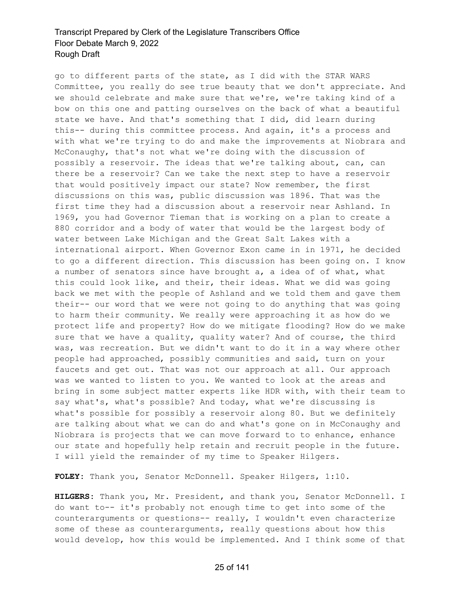go to different parts of the state, as I did with the STAR WARS Committee, you really do see true beauty that we don't appreciate. And we should celebrate and make sure that we're, we're taking kind of a bow on this one and patting ourselves on the back of what a beautiful state we have. And that's something that I did, did learn during this-- during this committee process. And again, it's a process and with what we're trying to do and make the improvements at Niobrara and McConaughy, that's not what we're doing with the discussion of possibly a reservoir. The ideas that we're talking about, can, can there be a reservoir? Can we take the next step to have a reservoir that would positively impact our state? Now remember, the first discussions on this was, public discussion was 1896. That was the first time they had a discussion about a reservoir near Ashland. In 1969, you had Governor Tieman that is working on a plan to create a 880 corridor and a body of water that would be the largest body of water between Lake Michigan and the Great Salt Lakes with a international airport. When Governor Exon came in in 1971, he decided to go a different direction. This discussion has been going on. I know a number of senators since have brought a, a idea of of what, what this could look like, and their, their ideas. What we did was going back we met with the people of Ashland and we told them and gave them their-- our word that we were not going to do anything that was going to harm their community. We really were approaching it as how do we protect life and property? How do we mitigate flooding? How do we make sure that we have a quality, quality water? And of course, the third was, was recreation. But we didn't want to do it in a way where other people had approached, possibly communities and said, turn on your faucets and get out. That was not our approach at all. Our approach was we wanted to listen to you. We wanted to look at the areas and bring in some subject matter experts like HDR with, with their team to say what's, what's possible? And today, what we're discussing is what's possible for possibly a reservoir along 80. But we definitely are talking about what we can do and what's gone on in McConaughy and Niobrara is projects that we can move forward to to enhance, enhance our state and hopefully help retain and recruit people in the future. I will yield the remainder of my time to Speaker Hilgers.

**FOLEY:** Thank you, Senator McDonnell. Speaker Hilgers, 1:10.

**HILGERS:** Thank you, Mr. President, and thank you, Senator McDonnell. I do want to-- it's probably not enough time to get into some of the counterarguments or questions-- really, I wouldn't even characterize some of these as counterarguments, really questions about how this would develop, how this would be implemented. And I think some of that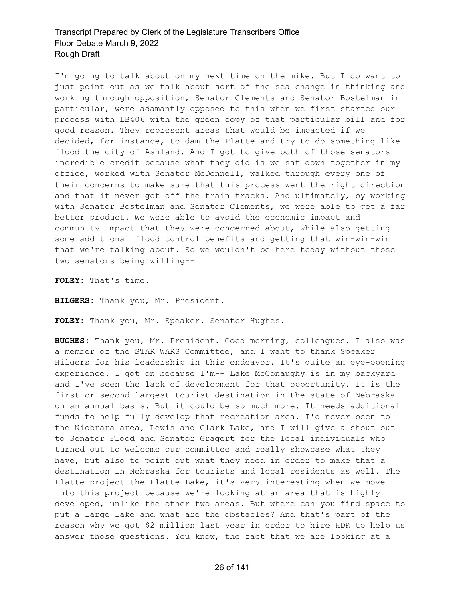I'm going to talk about on my next time on the mike. But I do want to just point out as we talk about sort of the sea change in thinking and working through opposition, Senator Clements and Senator Bostelman in particular, were adamantly opposed to this when we first started our process with LB406 with the green copy of that particular bill and for good reason. They represent areas that would be impacted if we decided, for instance, to dam the Platte and try to do something like flood the city of Ashland. And I got to give both of those senators incredible credit because what they did is we sat down together in my office, worked with Senator McDonnell, walked through every one of their concerns to make sure that this process went the right direction and that it never got off the train tracks. And ultimately, by working with Senator Bostelman and Senator Clements, we were able to get a far better product. We were able to avoid the economic impact and community impact that they were concerned about, while also getting some additional flood control benefits and getting that win-win-win that we're talking about. So we wouldn't be here today without those two senators being willing--

**FOLEY:** That's time.

**HILGERS:** Thank you, Mr. President.

**FOLEY:** Thank you, Mr. Speaker. Senator Hughes.

**HUGHES:** Thank you, Mr. President. Good morning, colleagues. I also was a member of the STAR WARS Committee, and I want to thank Speaker Hilgers for his leadership in this endeavor. It's quite an eye-opening experience. I got on because I'm-- Lake McConaughy is in my backyard and I've seen the lack of development for that opportunity. It is the first or second largest tourist destination in the state of Nebraska on an annual basis. But it could be so much more. It needs additional funds to help fully develop that recreation area. I'd never been to the Niobrara area, Lewis and Clark Lake, and I will give a shout out to Senator Flood and Senator Gragert for the local individuals who turned out to welcome our committee and really showcase what they have, but also to point out what they need in order to make that a destination in Nebraska for tourists and local residents as well. The Platte project the Platte Lake, it's very interesting when we move into this project because we're looking at an area that is highly developed, unlike the other two areas. But where can you find space to put a large lake and what are the obstacles? And that's part of the reason why we got \$2 million last year in order to hire HDR to help us answer those questions. You know, the fact that we are looking at a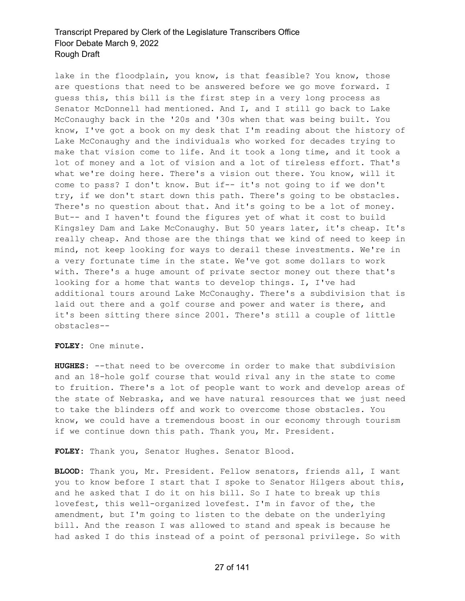lake in the floodplain, you know, is that feasible? You know, those are questions that need to be answered before we go move forward. I guess this, this bill is the first step in a very long process as Senator McDonnell had mentioned. And I, and I still go back to Lake McConaughy back in the '20s and '30s when that was being built. You know, I've got a book on my desk that I'm reading about the history of Lake McConaughy and the individuals who worked for decades trying to make that vision come to life. And it took a long time, and it took a lot of money and a lot of vision and a lot of tireless effort. That's what we're doing here. There's a vision out there. You know, will it come to pass? I don't know. But if-- it's not going to if we don't try, if we don't start down this path. There's going to be obstacles. There's no question about that. And it's going to be a lot of money. But-- and I haven't found the figures yet of what it cost to build Kingsley Dam and Lake McConaughy. But 50 years later, it's cheap. It's really cheap. And those are the things that we kind of need to keep in mind, not keep looking for ways to derail these investments. We're in a very fortunate time in the state. We've got some dollars to work with. There's a huge amount of private sector money out there that's looking for a home that wants to develop things. I, I've had additional tours around Lake McConaughy. There's a subdivision that is laid out there and a golf course and power and water is there, and it's been sitting there since 2001. There's still a couple of little obstacles--

**FOLEY:** One minute.

**HUGHES:** --that need to be overcome in order to make that subdivision and an 18-hole golf course that would rival any in the state to come to fruition. There's a lot of people want to work and develop areas of the state of Nebraska, and we have natural resources that we just need to take the blinders off and work to overcome those obstacles. You know, we could have a tremendous boost in our economy through tourism if we continue down this path. Thank you, Mr. President.

**FOLEY:** Thank you, Senator Hughes. Senator Blood.

**BLOOD:** Thank you, Mr. President. Fellow senators, friends all, I want you to know before I start that I spoke to Senator Hilgers about this, and he asked that I do it on his bill. So I hate to break up this lovefest, this well-organized lovefest. I'm in favor of the, the amendment, but I'm going to listen to the debate on the underlying bill. And the reason I was allowed to stand and speak is because he had asked I do this instead of a point of personal privilege. So with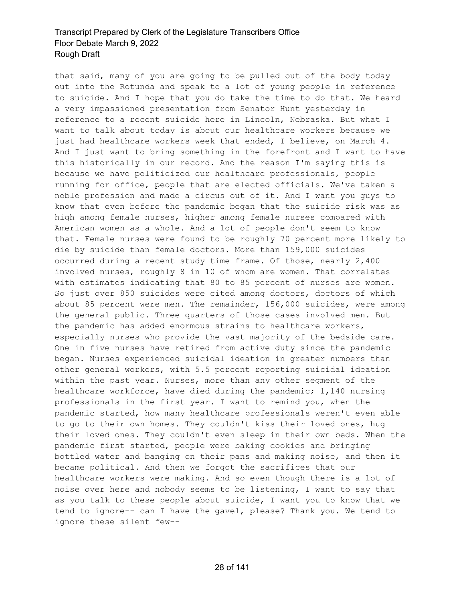that said, many of you are going to be pulled out of the body today out into the Rotunda and speak to a lot of young people in reference to suicide. And I hope that you do take the time to do that. We heard a very impassioned presentation from Senator Hunt yesterday in reference to a recent suicide here in Lincoln, Nebraska. But what I want to talk about today is about our healthcare workers because we just had healthcare workers week that ended, I believe, on March 4. And I just want to bring something in the forefront and I want to have this historically in our record. And the reason I'm saying this is because we have politicized our healthcare professionals, people running for office, people that are elected officials. We've taken a noble profession and made a circus out of it. And I want you guys to know that even before the pandemic began that the suicide risk was as high among female nurses, higher among female nurses compared with American women as a whole. And a lot of people don't seem to know that. Female nurses were found to be roughly 70 percent more likely to die by suicide than female doctors. More than 159,000 suicides occurred during a recent study time frame. Of those, nearly 2,400 involved nurses, roughly 8 in 10 of whom are women. That correlates with estimates indicating that 80 to 85 percent of nurses are women. So just over 850 suicides were cited among doctors, doctors of which about 85 percent were men. The remainder, 156,000 suicides, were among the general public. Three quarters of those cases involved men. But the pandemic has added enormous strains to healthcare workers, especially nurses who provide the vast majority of the bedside care. One in five nurses have retired from active duty since the pandemic began. Nurses experienced suicidal ideation in greater numbers than other general workers, with 5.5 percent reporting suicidal ideation within the past year. Nurses, more than any other segment of the healthcare workforce, have died during the pandemic; 1,140 nursing professionals in the first year. I want to remind you, when the pandemic started, how many healthcare professionals weren't even able to go to their own homes. They couldn't kiss their loved ones, hug their loved ones. They couldn't even sleep in their own beds. When the pandemic first started, people were baking cookies and bringing bottled water and banging on their pans and making noise, and then it became political. And then we forgot the sacrifices that our healthcare workers were making. And so even though there is a lot of noise over here and nobody seems to be listening, I want to say that as you talk to these people about suicide, I want you to know that we tend to ignore-- can I have the gavel, please? Thank you. We tend to ignore these silent few--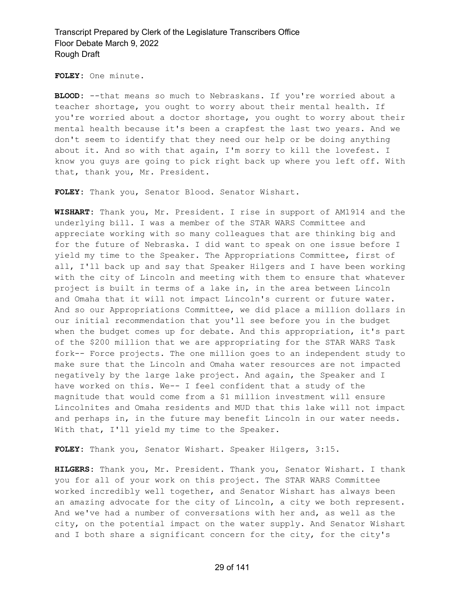**FOLEY:** One minute.

**BLOOD:** --that means so much to Nebraskans. If you're worried about a teacher shortage, you ought to worry about their mental health. If you're worried about a doctor shortage, you ought to worry about their mental health because it's been a crapfest the last two years. And we don't seem to identify that they need our help or be doing anything about it. And so with that again, I'm sorry to kill the lovefest. I know you guys are going to pick right back up where you left off. With that, thank you, Mr. President.

**FOLEY:** Thank you, Senator Blood. Senator Wishart.

**WISHART:** Thank you, Mr. President. I rise in support of AM1914 and the underlying bill. I was a member of the STAR WARS Committee and appreciate working with so many colleagues that are thinking big and for the future of Nebraska. I did want to speak on one issue before I yield my time to the Speaker. The Appropriations Committee, first of all, I'll back up and say that Speaker Hilgers and I have been working with the city of Lincoln and meeting with them to ensure that whatever project is built in terms of a lake in, in the area between Lincoln and Omaha that it will not impact Lincoln's current or future water. And so our Appropriations Committee, we did place a million dollars in our initial recommendation that you'll see before you in the budget when the budget comes up for debate. And this appropriation, it's part of the \$200 million that we are appropriating for the STAR WARS Task fork-- Force projects. The one million goes to an independent study to make sure that the Lincoln and Omaha water resources are not impacted negatively by the large lake project. And again, the Speaker and I have worked on this. We-- I feel confident that a study of the magnitude that would come from a \$1 million investment will ensure Lincolnites and Omaha residents and MUD that this lake will not impact and perhaps in, in the future may benefit Lincoln in our water needs. With that, I'll yield my time to the Speaker.

**FOLEY:** Thank you, Senator Wishart. Speaker Hilgers, 3:15.

**HILGERS:** Thank you, Mr. President. Thank you, Senator Wishart. I thank you for all of your work on this project. The STAR WARS Committee worked incredibly well together, and Senator Wishart has always been an amazing advocate for the city of Lincoln, a city we both represent. And we've had a number of conversations with her and, as well as the city, on the potential impact on the water supply. And Senator Wishart and I both share a significant concern for the city, for the city's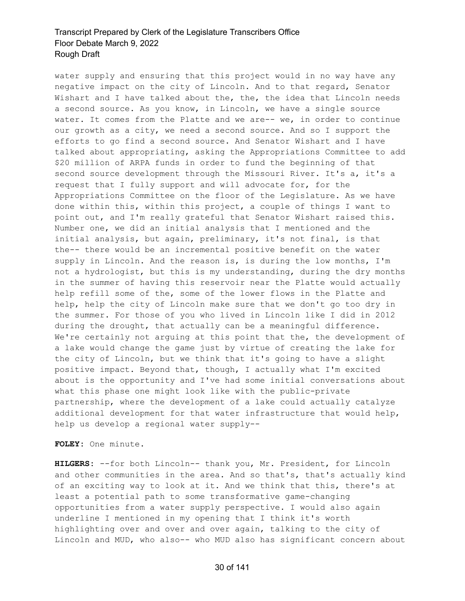water supply and ensuring that this project would in no way have any negative impact on the city of Lincoln. And to that regard, Senator Wishart and I have talked about the, the, the idea that Lincoln needs a second source. As you know, in Lincoln, we have a single source water. It comes from the Platte and we are-- we, in order to continue our growth as a city, we need a second source. And so I support the efforts to go find a second source. And Senator Wishart and I have talked about appropriating, asking the Appropriations Committee to add \$20 million of ARPA funds in order to fund the beginning of that second source development through the Missouri River. It's a, it's a request that I fully support and will advocate for, for the Appropriations Committee on the floor of the Legislature. As we have done within this, within this project, a couple of things I want to point out, and I'm really grateful that Senator Wishart raised this. Number one, we did an initial analysis that I mentioned and the initial analysis, but again, preliminary, it's not final, is that the-- there would be an incremental positive benefit on the water supply in Lincoln. And the reason is, is during the low months, I'm not a hydrologist, but this is my understanding, during the dry months in the summer of having this reservoir near the Platte would actually help refill some of the, some of the lower flows in the Platte and help, help the city of Lincoln make sure that we don't go too dry in the summer. For those of you who lived in Lincoln like I did in 2012 during the drought, that actually can be a meaningful difference. We're certainly not arguing at this point that the, the development of a lake would change the game just by virtue of creating the lake for the city of Lincoln, but we think that it's going to have a slight positive impact. Beyond that, though, I actually what I'm excited about is the opportunity and I've had some initial conversations about what this phase one might look like with the public-private partnership, where the development of a lake could actually catalyze additional development for that water infrastructure that would help, help us develop a regional water supply--

**FOLEY:** One minute.

**HILGERS:** --for both Lincoln-- thank you, Mr. President, for Lincoln and other communities in the area. And so that's, that's actually kind of an exciting way to look at it. And we think that this, there's at least a potential path to some transformative game-changing opportunities from a water supply perspective. I would also again underline I mentioned in my opening that I think it's worth highlighting over and over and over again, talking to the city of Lincoln and MUD, who also-- who MUD also has significant concern about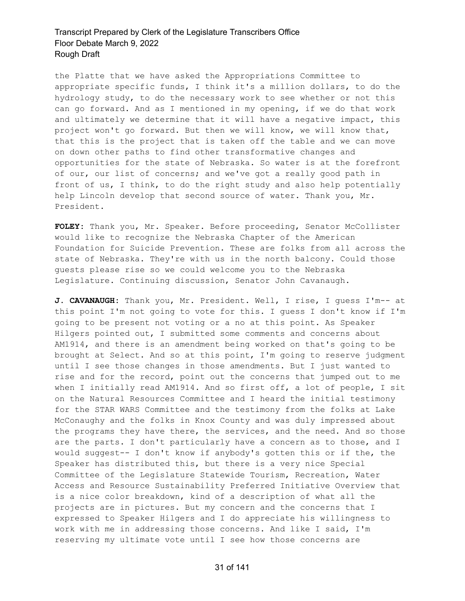the Platte that we have asked the Appropriations Committee to appropriate specific funds, I think it's a million dollars, to do the hydrology study, to do the necessary work to see whether or not this can go forward. And as I mentioned in my opening, if we do that work and ultimately we determine that it will have a negative impact, this project won't go forward. But then we will know, we will know that, that this is the project that is taken off the table and we can move on down other paths to find other transformative changes and opportunities for the state of Nebraska. So water is at the forefront of our, our list of concerns; and we've got a really good path in front of us, I think, to do the right study and also help potentially help Lincoln develop that second source of water. Thank you, Mr. President.

**FOLEY:** Thank you, Mr. Speaker. Before proceeding, Senator McCollister would like to recognize the Nebraska Chapter of the American Foundation for Suicide Prevention. These are folks from all across the state of Nebraska. They're with us in the north balcony. Could those guests please rise so we could welcome you to the Nebraska Legislature. Continuing discussion, Senator John Cavanaugh.

**J. CAVANAUGH:** Thank you, Mr. President. Well, I rise, I guess I'm-- at this point I'm not going to vote for this. I guess I don't know if I'm going to be present not voting or a no at this point. As Speaker Hilgers pointed out, I submitted some comments and concerns about AM1914, and there is an amendment being worked on that's going to be brought at Select. And so at this point, I'm going to reserve judgment until I see those changes in those amendments. But I just wanted to rise and for the record, point out the concerns that jumped out to me when I initially read AM1914. And so first off, a lot of people, I sit on the Natural Resources Committee and I heard the initial testimony for the STAR WARS Committee and the testimony from the folks at Lake McConaughy and the folks in Knox County and was duly impressed about the programs they have there, the services, and the need. And so those are the parts. I don't particularly have a concern as to those, and I would suggest-- I don't know if anybody's gotten this or if the, the Speaker has distributed this, but there is a very nice Special Committee of the Legislature Statewide Tourism, Recreation, Water Access and Resource Sustainability Preferred Initiative Overview that is a nice color breakdown, kind of a description of what all the projects are in pictures. But my concern and the concerns that I expressed to Speaker Hilgers and I do appreciate his willingness to work with me in addressing those concerns. And like I said, I'm reserving my ultimate vote until I see how those concerns are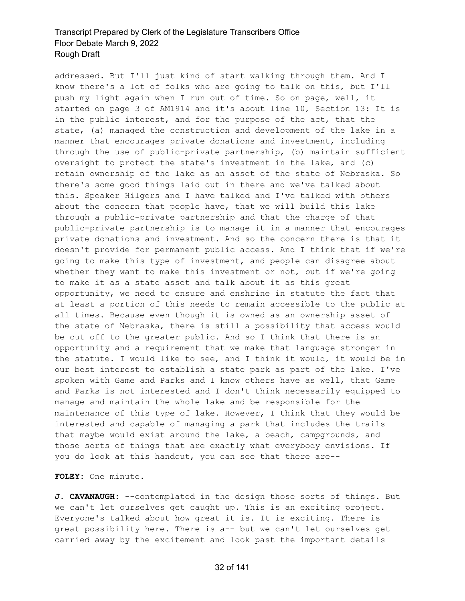addressed. But I'll just kind of start walking through them. And I know there's a lot of folks who are going to talk on this, but I'll push my light again when I run out of time. So on page, well, it started on page 3 of AM1914 and it's about line 10, Section 13: It is in the public interest, and for the purpose of the act, that the state, (a) managed the construction and development of the lake in a manner that encourages private donations and investment, including through the use of public-private partnership, (b) maintain sufficient oversight to protect the state's investment in the lake, and (c) retain ownership of the lake as an asset of the state of Nebraska. So there's some good things laid out in there and we've talked about this. Speaker Hilgers and I have talked and I've talked with others about the concern that people have, that we will build this lake through a public-private partnership and that the charge of that public-private partnership is to manage it in a manner that encourages private donations and investment. And so the concern there is that it doesn't provide for permanent public access. And I think that if we're going to make this type of investment, and people can disagree about whether they want to make this investment or not, but if we're going to make it as a state asset and talk about it as this great opportunity, we need to ensure and enshrine in statute the fact that at least a portion of this needs to remain accessible to the public at all times. Because even though it is owned as an ownership asset of the state of Nebraska, there is still a possibility that access would be cut off to the greater public. And so I think that there is an opportunity and a requirement that we make that language stronger in the statute. I would like to see, and I think it would, it would be in our best interest to establish a state park as part of the lake. I've spoken with Game and Parks and I know others have as well, that Game and Parks is not interested and I don't think necessarily equipped to manage and maintain the whole lake and be responsible for the maintenance of this type of lake. However, I think that they would be interested and capable of managing a park that includes the trails that maybe would exist around the lake, a beach, campgrounds, and those sorts of things that are exactly what everybody envisions. If you do look at this handout, you can see that there are--

**FOLEY:** One minute.

**J. CAVANAUGH:** --contemplated in the design those sorts of things. But we can't let ourselves get caught up. This is an exciting project. Everyone's talked about how great it is. It is exciting. There is great possibility here. There is a-- but we can't let ourselves get carried away by the excitement and look past the important details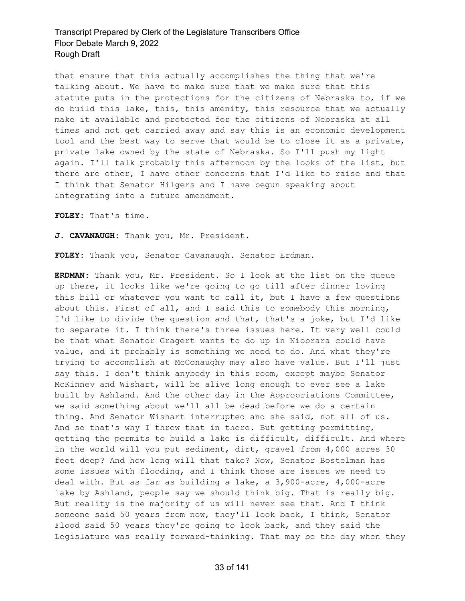that ensure that this actually accomplishes the thing that we're talking about. We have to make sure that we make sure that this statute puts in the protections for the citizens of Nebraska to, if we do build this lake, this, this amenity, this resource that we actually make it available and protected for the citizens of Nebraska at all times and not get carried away and say this is an economic development tool and the best way to serve that would be to close it as a private, private lake owned by the state of Nebraska. So I'll push my light again. I'll talk probably this afternoon by the looks of the list, but there are other, I have other concerns that I'd like to raise and that I think that Senator Hilgers and I have begun speaking about integrating into a future amendment.

**FOLEY:** That's time.

**J. CAVANAUGH:** Thank you, Mr. President.

**FOLEY:** Thank you, Senator Cavanaugh. Senator Erdman.

**ERDMAN:** Thank you, Mr. President. So I look at the list on the queue up there, it looks like we're going to go till after dinner loving this bill or whatever you want to call it, but I have a few questions about this. First of all, and I said this to somebody this morning, I'd like to divide the question and that, that's a joke, but I'd like to separate it. I think there's three issues here. It very well could be that what Senator Gragert wants to do up in Niobrara could have value, and it probably is something we need to do. And what they're trying to accomplish at McConaughy may also have value. But I'll just say this. I don't think anybody in this room, except maybe Senator McKinney and Wishart, will be alive long enough to ever see a lake built by Ashland. And the other day in the Appropriations Committee, we said something about we'll all be dead before we do a certain thing. And Senator Wishart interrupted and she said, not all of us. And so that's why I threw that in there. But getting permitting, getting the permits to build a lake is difficult, difficult. And where in the world will you put sediment, dirt, gravel from 4,000 acres 30 feet deep? And how long will that take? Now, Senator Bostelman has some issues with flooding, and I think those are issues we need to deal with. But as far as building a lake, a 3,900-acre, 4,000-acre lake by Ashland, people say we should think big. That is really big. But reality is the majority of us will never see that. And I think someone said 50 years from now, they'll look back, I think, Senator Flood said 50 years they're going to look back, and they said the Legislature was really forward-thinking. That may be the day when they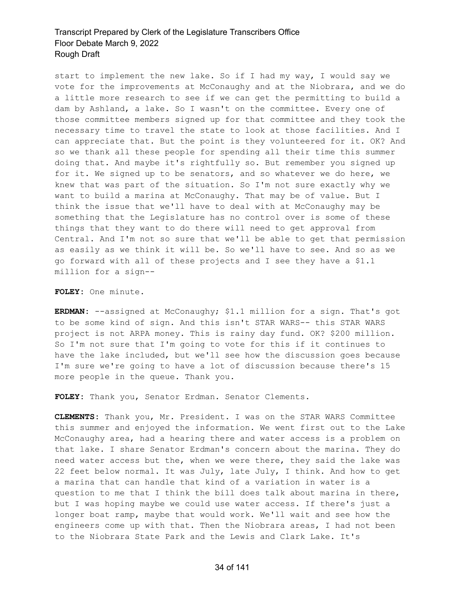start to implement the new lake. So if I had my way, I would say we vote for the improvements at McConaughy and at the Niobrara, and we do a little more research to see if we can get the permitting to build a dam by Ashland, a lake. So I wasn't on the committee. Every one of those committee members signed up for that committee and they took the necessary time to travel the state to look at those facilities. And I can appreciate that. But the point is they volunteered for it. OK? And so we thank all these people for spending all their time this summer doing that. And maybe it's rightfully so. But remember you signed up for it. We signed up to be senators, and so whatever we do here, we knew that was part of the situation. So I'm not sure exactly why we want to build a marina at McConaughy. That may be of value. But I think the issue that we'll have to deal with at McConaughy may be something that the Legislature has no control over is some of these things that they want to do there will need to get approval from Central. And I'm not so sure that we'll be able to get that permission as easily as we think it will be. So we'll have to see. And so as we go forward with all of these projects and I see they have a \$1.1 million for a sign--

**FOLEY:** One minute.

**ERDMAN:** --assigned at McConaughy; \$1.1 million for a sign. That's got to be some kind of sign. And this isn't STAR WARS-- this STAR WARS project is not ARPA money. This is rainy day fund. OK? \$200 million. So I'm not sure that I'm going to vote for this if it continues to have the lake included, but we'll see how the discussion goes because I'm sure we're going to have a lot of discussion because there's 15 more people in the queue. Thank you.

**FOLEY:** Thank you, Senator Erdman. Senator Clements.

**CLEMENTS:** Thank you, Mr. President. I was on the STAR WARS Committee this summer and enjoyed the information. We went first out to the Lake McConaughy area, had a hearing there and water access is a problem on that lake. I share Senator Erdman's concern about the marina. They do need water access but the, when we were there, they said the lake was 22 feet below normal. It was July, late July, I think. And how to get a marina that can handle that kind of a variation in water is a question to me that I think the bill does talk about marina in there, but I was hoping maybe we could use water access. If there's just a longer boat ramp, maybe that would work. We'll wait and see how the engineers come up with that. Then the Niobrara areas, I had not been to the Niobrara State Park and the Lewis and Clark Lake. It's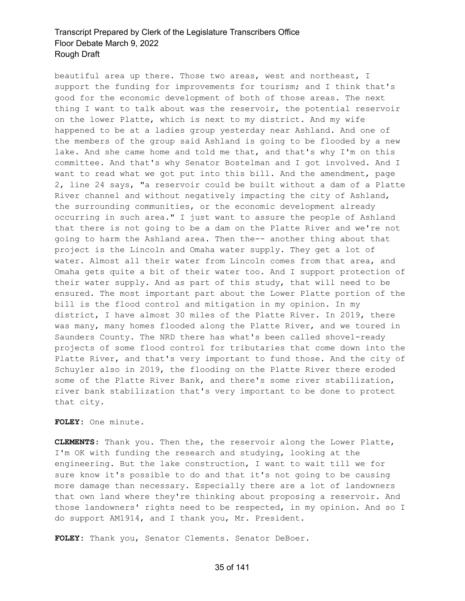beautiful area up there. Those two areas, west and northeast, I support the funding for improvements for tourism; and I think that's good for the economic development of both of those areas. The next thing I want to talk about was the reservoir, the potential reservoir on the lower Platte, which is next to my district. And my wife happened to be at a ladies group yesterday near Ashland. And one of the members of the group said Ashland is going to be flooded by a new lake. And she came home and told me that, and that's why I'm on this committee. And that's why Senator Bostelman and I got involved. And I want to read what we got put into this bill. And the amendment, page 2, line 24 says, "a reservoir could be built without a dam of a Platte River channel and without negatively impacting the city of Ashland, the surrounding communities, or the economic development already occurring in such area." I just want to assure the people of Ashland that there is not going to be a dam on the Platte River and we're not going to harm the Ashland area. Then the-- another thing about that project is the Lincoln and Omaha water supply. They get a lot of water. Almost all their water from Lincoln comes from that area, and Omaha gets quite a bit of their water too. And I support protection of their water supply. And as part of this study, that will need to be ensured. The most important part about the Lower Platte portion of the bill is the flood control and mitigation in my opinion. In my district, I have almost 30 miles of the Platte River. In 2019, there was many, many homes flooded along the Platte River, and we toured in Saunders County. The NRD there has what's been called shovel-ready projects of some flood control for tributaries that come down into the Platte River, and that's very important to fund those. And the city of Schuyler also in 2019, the flooding on the Platte River there eroded some of the Platte River Bank, and there's some river stabilization, river bank stabilization that's very important to be done to protect that city.

#### **FOLEY:** One minute.

**CLEMENTS:** Thank you. Then the, the reservoir along the Lower Platte, I'm OK with funding the research and studying, looking at the engineering. But the lake construction, I want to wait till we for sure know it's possible to do and that it's not going to be causing more damage than necessary. Especially there are a lot of landowners that own land where they're thinking about proposing a reservoir. And those landowners' rights need to be respected, in my opinion. And so I do support AM1914, and I thank you, Mr. President.

**FOLEY:** Thank you, Senator Clements. Senator DeBoer.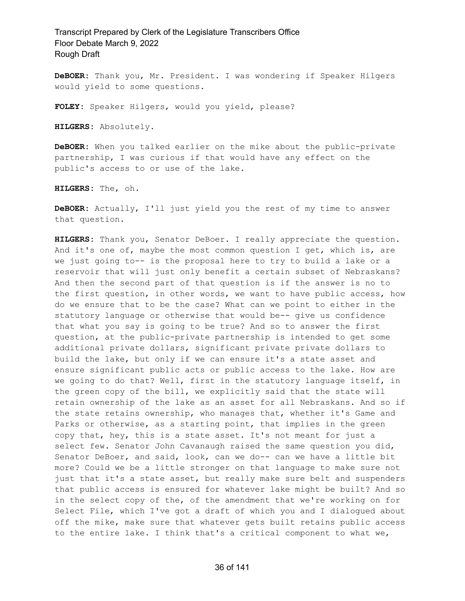**DeBOER:** Thank you, Mr. President. I was wondering if Speaker Hilgers would yield to some questions.

**FOLEY:** Speaker Hilgers, would you yield, please?

**HILGERS:** Absolutely.

**DeBOER:** When you talked earlier on the mike about the public-private partnership, I was curious if that would have any effect on the public's access to or use of the lake.

**HILGERS:** The, oh.

**DeBOER:** Actually, I'll just yield you the rest of my time to answer that question.

**HILGERS:** Thank you, Senator DeBoer. I really appreciate the question. And it's one of, maybe the most common question I get, which is, are we just going to-- is the proposal here to try to build a lake or a reservoir that will just only benefit a certain subset of Nebraskans? And then the second part of that question is if the answer is no to the first question, in other words, we want to have public access, how do we ensure that to be the case? What can we point to either in the statutory language or otherwise that would be-- give us confidence that what you say is going to be true? And so to answer the first question, at the public-private partnership is intended to get some additional private dollars, significant private private dollars to build the lake, but only if we can ensure it's a state asset and ensure significant public acts or public access to the lake. How are we going to do that? Well, first in the statutory language itself, in the green copy of the bill, we explicitly said that the state will retain ownership of the lake as an asset for all Nebraskans. And so if the state retains ownership, who manages that, whether it's Game and Parks or otherwise, as a starting point, that implies in the green copy that, hey, this is a state asset. It's not meant for just a select few. Senator John Cavanaugh raised the same question you did, Senator DeBoer, and said, look, can we do-- can we have a little bit more? Could we be a little stronger on that language to make sure not just that it's a state asset, but really make sure belt and suspenders that public access is ensured for whatever lake might be built? And so in the select copy of the, of the amendment that we're working on for Select File, which I've got a draft of which you and I dialogued about off the mike, make sure that whatever gets built retains public access to the entire lake. I think that's a critical component to what we,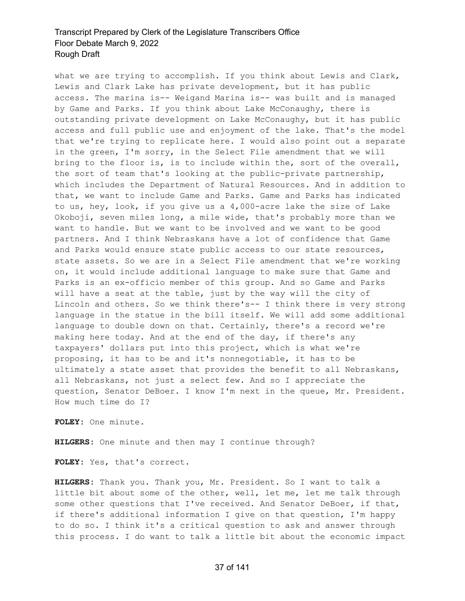what we are trying to accomplish. If you think about Lewis and Clark, Lewis and Clark Lake has private development, but it has public access. The marina is-- Weigand Marina is-- was built and is managed by Game and Parks. If you think about Lake McConaughy, there is outstanding private development on Lake McConaughy, but it has public access and full public use and enjoyment of the lake. That's the model that we're trying to replicate here. I would also point out a separate in the green, I'm sorry, in the Select File amendment that we will bring to the floor is, is to include within the, sort of the overall, the sort of team that's looking at the public-private partnership, which includes the Department of Natural Resources. And in addition to that, we want to include Game and Parks. Game and Parks has indicated to us, hey, look, if you give us a 4,000-acre lake the size of Lake Okoboji, seven miles long, a mile wide, that's probably more than we want to handle. But we want to be involved and we want to be good partners. And I think Nebraskans have a lot of confidence that Game and Parks would ensure state public access to our state resources, state assets. So we are in a Select File amendment that we're working on, it would include additional language to make sure that Game and Parks is an ex-officio member of this group. And so Game and Parks will have a seat at the table, just by the way will the city of Lincoln and others. So we think there's-- I think there is very strong language in the statue in the bill itself. We will add some additional language to double down on that. Certainly, there's a record we're making here today. And at the end of the day, if there's any taxpayers' dollars put into this project, which is what we're proposing, it has to be and it's nonnegotiable, it has to be ultimately a state asset that provides the benefit to all Nebraskans, all Nebraskans, not just a select few. And so I appreciate the question, Senator DeBoer. I know I'm next in the queue, Mr. President. How much time do I?

**FOLEY:** One minute.

**HILGERS:** One minute and then may I continue through?

**FOLEY:** Yes, that's correct.

**HILGERS:** Thank you. Thank you, Mr. President. So I want to talk a little bit about some of the other, well, let me, let me talk through some other questions that I've received. And Senator DeBoer, if that, if there's additional information I give on that question, I'm happy to do so. I think it's a critical question to ask and answer through this process. I do want to talk a little bit about the economic impact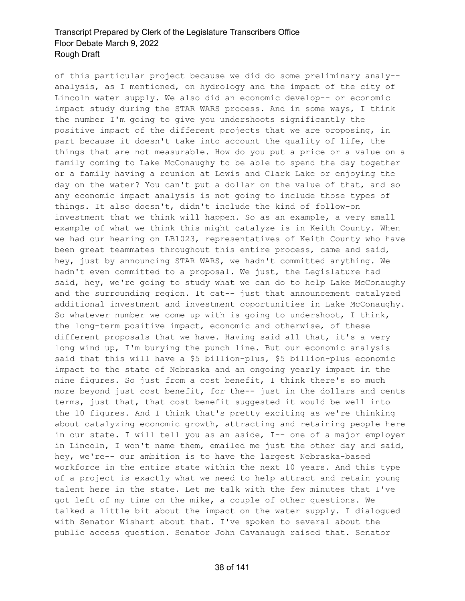of this particular project because we did do some preliminary analy- analysis, as I mentioned, on hydrology and the impact of the city of Lincoln water supply. We also did an economic develop-- or economic impact study during the STAR WARS process. And in some ways, I think the number I'm going to give you undershoots significantly the positive impact of the different projects that we are proposing, in part because it doesn't take into account the quality of life, the things that are not measurable. How do you put a price or a value on a family coming to Lake McConaughy to be able to spend the day together or a family having a reunion at Lewis and Clark Lake or enjoying the day on the water? You can't put a dollar on the value of that, and so any economic impact analysis is not going to include those types of things. It also doesn't, didn't include the kind of follow-on investment that we think will happen. So as an example, a very small example of what we think this might catalyze is in Keith County. When we had our hearing on LB1023, representatives of Keith County who have been great teammates throughout this entire process, came and said, hey, just by announcing STAR WARS, we hadn't committed anything. We hadn't even committed to a proposal. We just, the Legislature had said, hey, we're going to study what we can do to help Lake McConaughy and the surrounding region. It cat-- just that announcement catalyzed additional investment and investment opportunities in Lake McConaughy. So whatever number we come up with is going to undershoot, I think, the long-term positive impact, economic and otherwise, of these different proposals that we have. Having said all that, it's a very long wind up, I'm burying the punch line. But our economic analysis said that this will have a \$5 billion-plus, \$5 billion-plus economic impact to the state of Nebraska and an ongoing yearly impact in the nine figures. So just from a cost benefit, I think there's so much more beyond just cost benefit, for the-- just in the dollars and cents terms, just that, that cost benefit suggested it would be well into the 10 figures. And I think that's pretty exciting as we're thinking about catalyzing economic growth, attracting and retaining people here in our state. I will tell you as an aside, I-- one of a major employer in Lincoln, I won't name them, emailed me just the other day and said, hey, we're-- our ambition is to have the largest Nebraska-based workforce in the entire state within the next 10 years. And this type of a project is exactly what we need to help attract and retain young talent here in the state. Let me talk with the few minutes that I've got left of my time on the mike, a couple of other questions. We talked a little bit about the impact on the water supply. I dialogued with Senator Wishart about that. I've spoken to several about the public access question. Senator John Cavanaugh raised that. Senator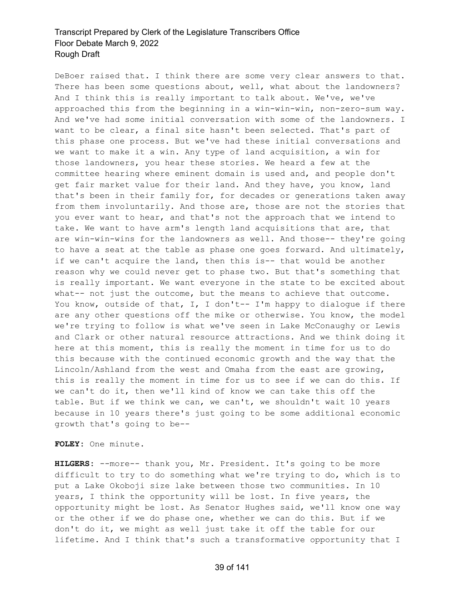DeBoer raised that. I think there are some very clear answers to that. There has been some questions about, well, what about the landowners? And I think this is really important to talk about. We've, we've approached this from the beginning in a win-win-win, non-zero-sum way. And we've had some initial conversation with some of the landowners. I want to be clear, a final site hasn't been selected. That's part of this phase one process. But we've had these initial conversations and we want to make it a win. Any type of land acquisition, a win for those landowners, you hear these stories. We heard a few at the committee hearing where eminent domain is used and, and people don't get fair market value for their land. And they have, you know, land that's been in their family for, for decades or generations taken away from them involuntarily. And those are, those are not the stories that you ever want to hear, and that's not the approach that we intend to take. We want to have arm's length land acquisitions that are, that are win-win-wins for the landowners as well. And those-- they're going to have a seat at the table as phase one goes forward. And ultimately, if we can't acquire the land, then this is-- that would be another reason why we could never get to phase two. But that's something that is really important. We want everyone in the state to be excited about what-- not just the outcome, but the means to achieve that outcome. You know, outside of that, I, I don't -- I'm happy to dialogue if there are any other questions off the mike or otherwise. You know, the model we're trying to follow is what we've seen in Lake McConaughy or Lewis and Clark or other natural resource attractions. And we think doing it here at this moment, this is really the moment in time for us to do this because with the continued economic growth and the way that the Lincoln/Ashland from the west and Omaha from the east are growing, this is really the moment in time for us to see if we can do this. If we can't do it, then we'll kind of know we can take this off the table. But if we think we can, we can't, we shouldn't wait 10 years because in 10 years there's just going to be some additional economic growth that's going to be--

**FOLEY:** One minute.

**HILGERS:** --more-- thank you, Mr. President. It's going to be more difficult to try to do something what we're trying to do, which is to put a Lake Okoboji size lake between those two communities. In 10 years, I think the opportunity will be lost. In five years, the opportunity might be lost. As Senator Hughes said, we'll know one way or the other if we do phase one, whether we can do this. But if we don't do it, we might as well just take it off the table for our lifetime. And I think that's such a transformative opportunity that I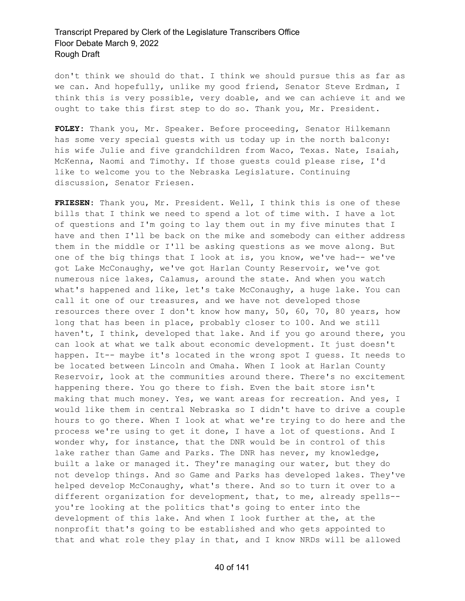don't think we should do that. I think we should pursue this as far as we can. And hopefully, unlike my good friend, Senator Steve Erdman, I think this is very possible, very doable, and we can achieve it and we ought to take this first step to do so. Thank you, Mr. President.

**FOLEY:** Thank you, Mr. Speaker. Before proceeding, Senator Hilkemann has some very special guests with us today up in the north balcony: his wife Julie and five grandchildren from Waco, Texas. Nate, Isaiah, McKenna, Naomi and Timothy. If those guests could please rise, I'd like to welcome you to the Nebraska Legislature. Continuing discussion, Senator Friesen.

**FRIESEN:** Thank you, Mr. President. Well, I think this is one of these bills that I think we need to spend a lot of time with. I have a lot of questions and I'm going to lay them out in my five minutes that I have and then I'll be back on the mike and somebody can either address them in the middle or I'll be asking questions as we move along. But one of the big things that I look at is, you know, we've had-- we've got Lake McConaughy, we've got Harlan County Reservoir, we've got numerous nice lakes, Calamus, around the state. And when you watch what's happened and like, let's take McConaughy, a huge lake. You can call it one of our treasures, and we have not developed those resources there over I don't know how many, 50, 60, 70, 80 years, how long that has been in place, probably closer to 100. And we still haven't, I think, developed that lake. And if you go around there, you can look at what we talk about economic development. It just doesn't happen. It-- maybe it's located in the wrong spot I guess. It needs to be located between Lincoln and Omaha. When I look at Harlan County Reservoir, look at the communities around there. There's no excitement happening there. You go there to fish. Even the bait store isn't making that much money. Yes, we want areas for recreation. And yes, I would like them in central Nebraska so I didn't have to drive a couple hours to go there. When I look at what we're trying to do here and the process we're using to get it done, I have a lot of questions. And I wonder why, for instance, that the DNR would be in control of this lake rather than Game and Parks. The DNR has never, my knowledge, built a lake or managed it. They're managing our water, but they do not develop things. And so Game and Parks has developed lakes. They've helped develop McConaughy, what's there. And so to turn it over to a different organization for development, that, to me, already spells- you're looking at the politics that's going to enter into the development of this lake. And when I look further at the, at the nonprofit that's going to be established and who gets appointed to that and what role they play in that, and I know NRDs will be allowed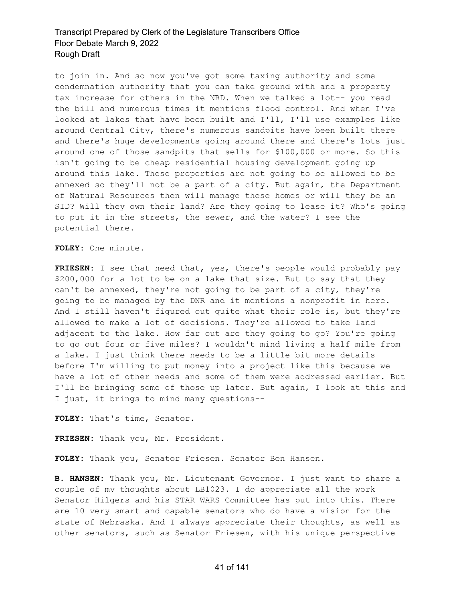to join in. And so now you've got some taxing authority and some condemnation authority that you can take ground with and a property tax increase for others in the NRD. When we talked a lot-- you read the bill and numerous times it mentions flood control. And when I've looked at lakes that have been built and I'll, I'll use examples like around Central City, there's numerous sandpits have been built there and there's huge developments going around there and there's lots just around one of those sandpits that sells for \$100,000 or more. So this isn't going to be cheap residential housing development going up around this lake. These properties are not going to be allowed to be annexed so they'll not be a part of a city. But again, the Department of Natural Resources then will manage these homes or will they be an SID? Will they own their land? Are they going to lease it? Who's going to put it in the streets, the sewer, and the water? I see the potential there.

**FOLEY:** One minute.

**FRIESEN:** I see that need that, yes, there's people would probably pay \$200,000 for a lot to be on a lake that size. But to say that they can't be annexed, they're not going to be part of a city, they're going to be managed by the DNR and it mentions a nonprofit in here. And I still haven't figured out quite what their role is, but they're allowed to make a lot of decisions. They're allowed to take land adjacent to the lake. How far out are they going to go? You're going to go out four or five miles? I wouldn't mind living a half mile from a lake. I just think there needs to be a little bit more details before I'm willing to put money into a project like this because we have a lot of other needs and some of them were addressed earlier. But I'll be bringing some of those up later. But again, I look at this and I just, it brings to mind many questions--

**FOLEY:** That's time, Senator.

**FRIESEN:** Thank you, Mr. President.

**FOLEY:** Thank you, Senator Friesen. Senator Ben Hansen.

**B. HANSEN:** Thank you, Mr. Lieutenant Governor. I just want to share a couple of my thoughts about LB1023. I do appreciate all the work Senator Hilgers and his STAR WARS Committee has put into this. There are 10 very smart and capable senators who do have a vision for the state of Nebraska. And I always appreciate their thoughts, as well as other senators, such as Senator Friesen, with his unique perspective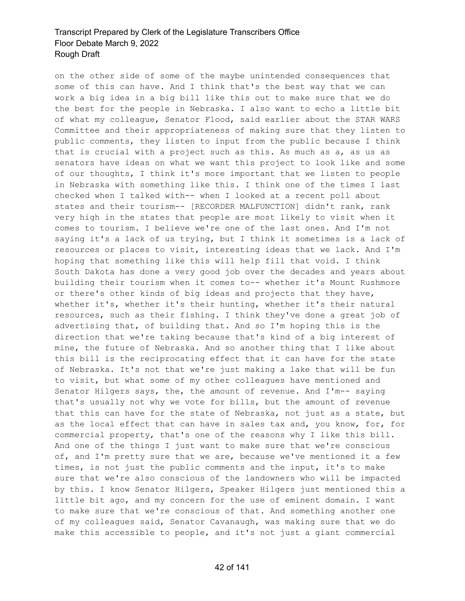on the other side of some of the maybe unintended consequences that some of this can have. And I think that's the best way that we can work a big idea in a big bill like this out to make sure that we do the best for the people in Nebraska. I also want to echo a little bit of what my colleague, Senator Flood, said earlier about the STAR WARS Committee and their appropriateness of making sure that they listen to public comments, they listen to input from the public because I think that is crucial with a project such as this. As much as a, as us as senators have ideas on what we want this project to look like and some of our thoughts, I think it's more important that we listen to people in Nebraska with something like this. I think one of the times I last checked when I talked with-- when I looked at a recent poll about states and their tourism-- [RECORDER MALFUNCTION] didn't rank, rank very high in the states that people are most likely to visit when it comes to tourism. I believe we're one of the last ones. And I'm not saying it's a lack of us trying, but I think it sometimes is a lack of resources or places to visit, interesting ideas that we lack. And I'm hoping that something like this will help fill that void. I think South Dakota has done a very good job over the decades and years about building their tourism when it comes to-- whether it's Mount Rushmore or there's other kinds of big ideas and projects that they have, whether it's, whether it's their hunting, whether it's their natural resources, such as their fishing. I think they've done a great job of advertising that, of building that. And so I'm hoping this is the direction that we're taking because that's kind of a big interest of mine, the future of Nebraska. And so another thing that I like about this bill is the reciprocating effect that it can have for the state of Nebraska. It's not that we're just making a lake that will be fun to visit, but what some of my other colleagues have mentioned and Senator Hilgers says, the, the amount of revenue. And I'm-- saying that's usually not why we vote for bills, but the amount of revenue that this can have for the state of Nebraska, not just as a state, but as the local effect that can have in sales tax and, you know, for, for commercial property, that's one of the reasons why I like this bill. And one of the things I just want to make sure that we're conscious of, and I'm pretty sure that we are, because we've mentioned it a few times, is not just the public comments and the input, it's to make sure that we're also conscious of the landowners who will be impacted by this. I know Senator Hilgers, Speaker Hilgers just mentioned this a little bit ago, and my concern for the use of eminent domain. I want to make sure that we're conscious of that. And something another one of my colleagues said, Senator Cavanaugh, was making sure that we do make this accessible to people, and it's not just a giant commercial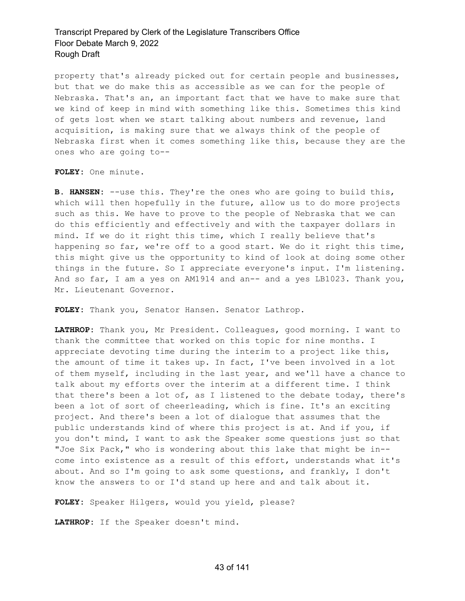property that's already picked out for certain people and businesses, but that we do make this as accessible as we can for the people of Nebraska. That's an, an important fact that we have to make sure that we kind of keep in mind with something like this. Sometimes this kind of gets lost when we start talking about numbers and revenue, land acquisition, is making sure that we always think of the people of Nebraska first when it comes something like this, because they are the ones who are going to--

**FOLEY:** One minute.

**B. HANSEN:** --use this. They're the ones who are going to build this, which will then hopefully in the future, allow us to do more projects such as this. We have to prove to the people of Nebraska that we can do this efficiently and effectively and with the taxpayer dollars in mind. If we do it right this time, which I really believe that's happening so far, we're off to a good start. We do it right this time, this might give us the opportunity to kind of look at doing some other things in the future. So I appreciate everyone's input. I'm listening. And so far, I am a yes on AM1914 and an-- and a yes LB1023. Thank you, Mr. Lieutenant Governor.

**FOLEY:** Thank you, Senator Hansen. Senator Lathrop.

**LATHROP:** Thank you, Mr President. Colleagues, good morning. I want to thank the committee that worked on this topic for nine months. I appreciate devoting time during the interim to a project like this, the amount of time it takes up. In fact, I've been involved in a lot of them myself, including in the last year, and we'll have a chance to talk about my efforts over the interim at a different time. I think that there's been a lot of, as I listened to the debate today, there's been a lot of sort of cheerleading, which is fine. It's an exciting project. And there's been a lot of dialogue that assumes that the public understands kind of where this project is at. And if you, if you don't mind, I want to ask the Speaker some questions just so that "Joe Six Pack," who is wondering about this lake that might be in- come into existence as a result of this effort, understands what it's about. And so I'm going to ask some questions, and frankly, I don't know the answers to or I'd stand up here and and talk about it.

**FOLEY:** Speaker Hilgers, would you yield, please?

**LATHROP:** If the Speaker doesn't mind.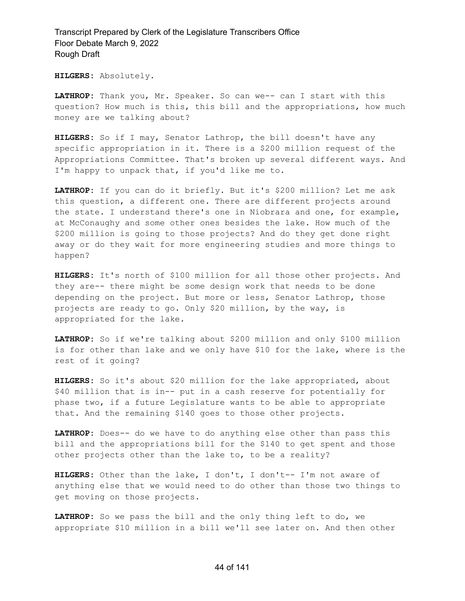**HILGERS:** Absolutely.

**LATHROP:** Thank you, Mr. Speaker. So can we-- can I start with this question? How much is this, this bill and the appropriations, how much money are we talking about?

**HILGERS:** So if I may, Senator Lathrop, the bill doesn't have any specific appropriation in it. There is a \$200 million request of the Appropriations Committee. That's broken up several different ways. And I'm happy to unpack that, if you'd like me to.

**LATHROP:** If you can do it briefly. But it's \$200 million? Let me ask this question, a different one. There are different projects around the state. I understand there's one in Niobrara and one, for example, at McConaughy and some other ones besides the lake. How much of the \$200 million is going to those projects? And do they get done right away or do they wait for more engineering studies and more things to happen?

**HILGERS:** It's north of \$100 million for all those other projects. And they are-- there might be some design work that needs to be done depending on the project. But more or less, Senator Lathrop, those projects are ready to go. Only \$20 million, by the way, is appropriated for the lake.

**LATHROP:** So if we're talking about \$200 million and only \$100 million is for other than lake and we only have \$10 for the lake, where is the rest of it going?

**HILGERS:** So it's about \$20 million for the lake appropriated, about \$40 million that is in-- put in a cash reserve for potentially for phase two, if a future Legislature wants to be able to appropriate that. And the remaining \$140 goes to those other projects.

**LATHROP:** Does-- do we have to do anything else other than pass this bill and the appropriations bill for the \$140 to get spent and those other projects other than the lake to, to be a reality?

**HILGERS:** Other than the lake, I don't, I don't-- I'm not aware of anything else that we would need to do other than those two things to get moving on those projects.

**LATHROP:** So we pass the bill and the only thing left to do, we appropriate \$10 million in a bill we'll see later on. And then other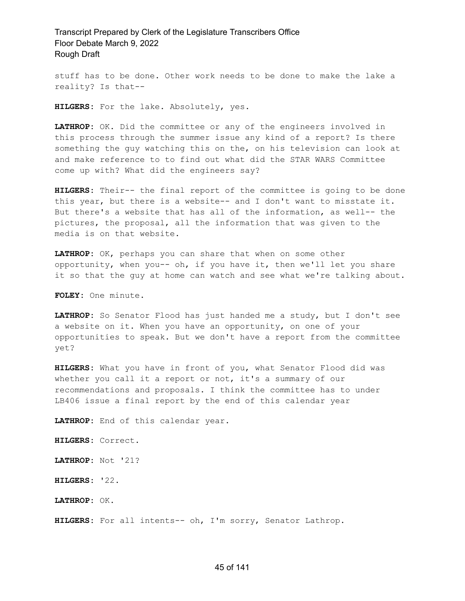stuff has to be done. Other work needs to be done to make the lake a reality? Is that--

**HILGERS:** For the lake. Absolutely, yes.

**LATHROP:** OK. Did the committee or any of the engineers involved in this process through the summer issue any kind of a report? Is there something the guy watching this on the, on his television can look at and make reference to to find out what did the STAR WARS Committee come up with? What did the engineers say?

**HILGERS:** Their-- the final report of the committee is going to be done this year, but there is a website-- and I don't want to misstate it. But there's a website that has all of the information, as well-- the pictures, the proposal, all the information that was given to the media is on that website.

**LATHROP:** OK, perhaps you can share that when on some other opportunity, when you-- oh, if you have it, then we'll let you share it so that the guy at home can watch and see what we're talking about.

**FOLEY:** One minute.

**LATHROP:** So Senator Flood has just handed me a study, but I don't see a website on it. When you have an opportunity, on one of your opportunities to speak. But we don't have a report from the committee yet?

**HILGERS:** What you have in front of you, what Senator Flood did was whether you call it a report or not, it's a summary of our recommendations and proposals. I think the committee has to under LB406 issue a final report by the end of this calendar year

**LATHROP:** End of this calendar year.

**HILGERS:** Correct.

**LATHROP:** Not '21?

**HILGERS:** '22.

**LATHROP:** OK.

**HILGERS:** For all intents-- oh, I'm sorry, Senator Lathrop.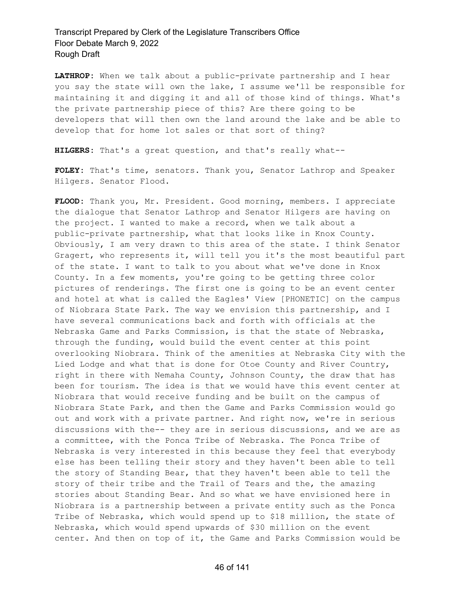**LATHROP:** When we talk about a public-private partnership and I hear you say the state will own the lake, I assume we'll be responsible for maintaining it and digging it and all of those kind of things. What's the private partnership piece of this? Are there going to be developers that will then own the land around the lake and be able to develop that for home lot sales or that sort of thing?

**HILGERS:** That's a great question, and that's really what--

**FOLEY:** That's time, senators. Thank you, Senator Lathrop and Speaker Hilgers. Senator Flood.

**FLOOD:** Thank you, Mr. President. Good morning, members. I appreciate the dialogue that Senator Lathrop and Senator Hilgers are having on the project. I wanted to make a record, when we talk about a public-private partnership, what that looks like in Knox County. Obviously, I am very drawn to this area of the state. I think Senator Gragert, who represents it, will tell you it's the most beautiful part of the state. I want to talk to you about what we've done in Knox County. In a few moments, you're going to be getting three color pictures of renderings. The first one is going to be an event center and hotel at what is called the Eagles' View [PHONETIC] on the campus of Niobrara State Park. The way we envision this partnership, and I have several communications back and forth with officials at the Nebraska Game and Parks Commission, is that the state of Nebraska, through the funding, would build the event center at this point overlooking Niobrara. Think of the amenities at Nebraska City with the Lied Lodge and what that is done for Otoe County and River Country, right in there with Nemaha County, Johnson County, the draw that has been for tourism. The idea is that we would have this event center at Niobrara that would receive funding and be built on the campus of Niobrara State Park, and then the Game and Parks Commission would go out and work with a private partner. And right now, we're in serious discussions with the-- they are in serious discussions, and we are as a committee, with the Ponca Tribe of Nebraska. The Ponca Tribe of Nebraska is very interested in this because they feel that everybody else has been telling their story and they haven't been able to tell the story of Standing Bear, that they haven't been able to tell the story of their tribe and the Trail of Tears and the, the amazing stories about Standing Bear. And so what we have envisioned here in Niobrara is a partnership between a private entity such as the Ponca Tribe of Nebraska, which would spend up to \$18 million, the state of Nebraska, which would spend upwards of \$30 million on the event center. And then on top of it, the Game and Parks Commission would be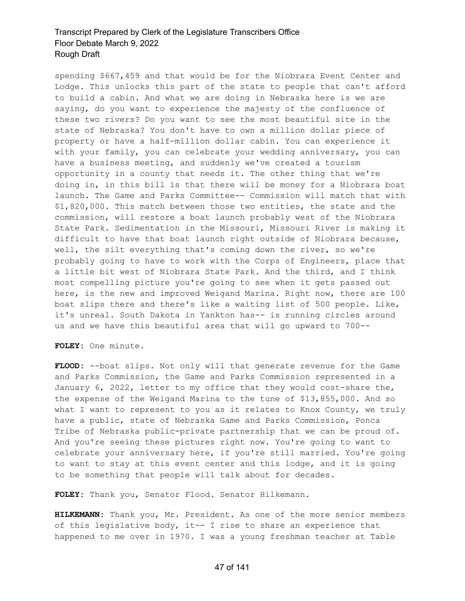spending \$667,459 and that would be for the Niobrara Event Center and Lodge. This unlocks this part of the state to people that can't afford to build a cabin. And what we are doing in Nebraska here is we are saying, do you want to experience the majesty of the confluence of these two rivers? Do you want to see the most beautiful site in the state of Nebraska? You don't have to own a million dollar piece of property or have a half-million dollar cabin. You can experience it with your family, you can celebrate your wedding anniversary, you can have a business meeting, and suddenly we've created a tourism opportunity in a county that needs it. The other thing that we're doing in, in this bill is that there will be money for a Niobrara boat launch. The Game and Parks Committee-- Commission will match that with \$1,820,000. This match between those two entities, the state and the commission, will restore a boat launch probably west of the Niobrara State Park. Sedimentation in the Missouri, Missouri River is making it difficult to have that boat launch right outside of Niobrara because, well, the silt everything that's coming down the river, so we're probably going to have to work with the Corps of Engineers, place that a little bit west of Niobrara State Park. And the third, and I think most compelling picture you're going to see when it gets passed out here, is the new and improved Weigand Marina. Right now, there are 100 boat slips there and there's like a waiting list of 500 people. Like, it's unreal. South Dakota in Yankton has-- is running circles around us and we have this beautiful area that will go upward to 700--

**FOLEY:** One minute.

**FLOOD:** --boat slips. Not only will that generate revenue for the Game and Parks Commission, the Game and Parks Commission represented in a January 6, 2022, letter to my office that they would cost-share the, the expense of the Weigand Marina to the tune of \$13,855,000. And so what I want to represent to you as it relates to Knox County, we truly have a public, state of Nebraska Game and Parks Commission, Ponca Tribe of Nebraska public-private partnership that we can be proud of. And you're seeing these pictures right now. You're going to want to celebrate your anniversary here, if you're still married. You're going to want to stay at this event center and this lodge, and it is going to be something that people will talk about for decades.

**FOLEY:** Thank you, Senator Flood. Senator Hilkemann.

**HILKEMANN:** Thank you, Mr. President. As one of the more senior members of this legislative body, it-- I rise to share an experience that happened to me over in 1970. I was a young freshman teacher at Table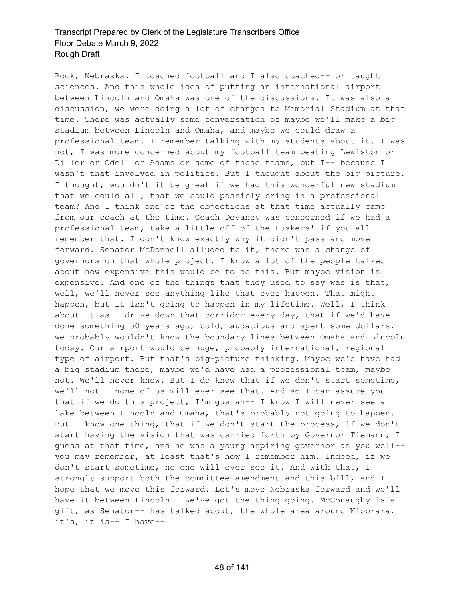Rock, Nebraska. I coached football and I also coached-- or taught sciences. And this whole idea of putting an international airport between Lincoln and Omaha was one of the discussions. It was also a discussion, we were doing a lot of changes to Memorial Stadium at that time. There was actually some conversation of maybe we'll make a big stadium between Lincoln and Omaha, and maybe we could draw a professional team. I remember talking with my students about it. I was not, I was more concerned about my football team beating Lewiston or Diller or Odell or Adams or some of those teams, but I-- because I wasn't that involved in politics. But I thought about the big picture. I thought, wouldn't it be great if we had this wonderful new stadium that we could all, that we could possibly bring in a professional team? And I think one of the objections at that time actually came from our coach at the time. Coach Devaney was concerned if we had a professional team, take a little off of the Huskers' if you all remember that. I don't know exactly why it didn't pass and move forward. Senator McDonnell alluded to it, there was a change of governors on that whole project. I know a lot of the people talked about how expensive this would be to do this. But maybe vision is expensive. And one of the things that they used to say was is that, well, we'll never see anything like that ever happen. That might happen, but it isn't going to happen in my lifetime. Well, I think about it as I drive down that corridor every day, that if we'd have done something 50 years ago, bold, audacious and spent some dollars, we probably wouldn't know the boundary lines between Omaha and Lincoln today. Our airport would be huge, probably international, regional type of airport. But that's big-picture thinking. Maybe we'd have had a big stadium there, maybe we'd have had a professional team, maybe not. We'll never know. But I do know that if we don't start sometime, we'll not-- none of us will ever see that. And so I can assure you that if we do this project, I'm guaran-- I know I will never see a lake between Lincoln and Omaha, that's probably not going to happen. But I know one thing, that if we don't start the process, if we don't start having the vision that was carried forth by Governor Tiemann, I guess at that time, and he was a young aspiring governor as you well- you may remember, at least that's how I remember him. Indeed, if we don't start sometime, no one will ever see it. And with that, I strongly support both the committee amendment and this bill, and I hope that we move this forward. Let's move Nebraska forward and we'll have it between Lincoln-- we've got the thing going. McConaughy is a gift, as Senator-- has talked about, the whole area around Niobrara, it's, it is-- I have--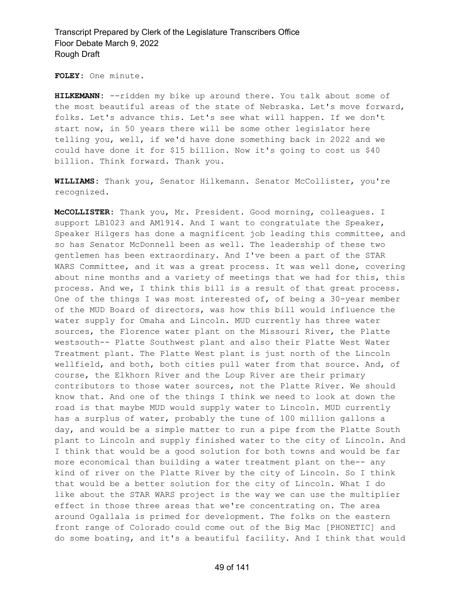**FOLEY:** One minute.

**HILKEMANN:** --ridden my bike up around there. You talk about some of the most beautiful areas of the state of Nebraska. Let's move forward, folks. Let's advance this. Let's see what will happen. If we don't start now, in 50 years there will be some other legislator here telling you, well, if we'd have done something back in 2022 and we could have done it for \$15 billion. Now it's going to cost us \$40 billion. Think forward. Thank you.

**WILLIAMS:** Thank you, Senator Hilkemann. Senator McCollister, you're recognized.

**McCOLLISTER:** Thank you, Mr. President. Good morning, colleagues. I support LB1023 and AM1914. And I want to congratulate the Speaker, Speaker Hilgers has done a magnificent job leading this committee, and so has Senator McDonnell been as well. The leadership of these two gentlemen has been extraordinary. And I've been a part of the STAR WARS Committee, and it was a great process. It was well done, covering about nine months and a variety of meetings that we had for this, this process. And we, I think this bill is a result of that great process. One of the things I was most interested of, of being a 30-year member of the MUD Board of directors, was how this bill would influence the water supply for Omaha and Lincoln. MUD currently has three water sources, the Florence water plant on the Missouri River, the Platte westsouth-- Platte Southwest plant and also their Platte West Water Treatment plant. The Platte West plant is just north of the Lincoln wellfield, and both, both cities pull water from that source. And, of course, the Elkhorn River and the Loup River are their primary contributors to those water sources, not the Platte River. We should know that. And one of the things I think we need to look at down the road is that maybe MUD would supply water to Lincoln. MUD currently has a surplus of water, probably the tune of 100 million gallons a day, and would be a simple matter to run a pipe from the Platte South plant to Lincoln and supply finished water to the city of Lincoln. And I think that would be a good solution for both towns and would be far more economical than building a water treatment plant on the-- any kind of river on the Platte River by the city of Lincoln. So I think that would be a better solution for the city of Lincoln. What I do like about the STAR WARS project is the way we can use the multiplier effect in those three areas that we're concentrating on. The area around Ogallala is primed for development. The folks on the eastern front range of Colorado could come out of the Big Mac [PHONETIC] and do some boating, and it's a beautiful facility. And I think that would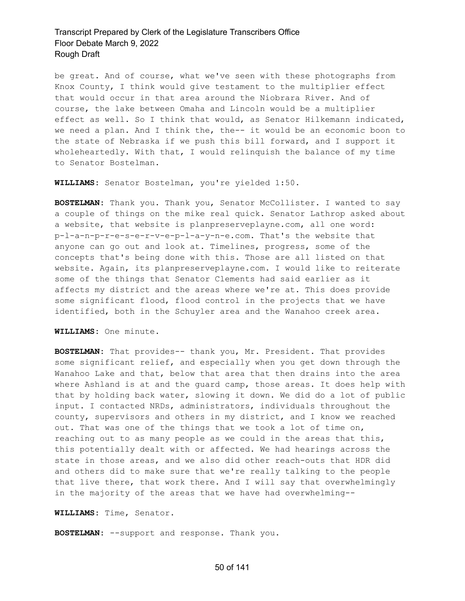be great. And of course, what we've seen with these photographs from Knox County, I think would give testament to the multiplier effect that would occur in that area around the Niobrara River. And of course, the lake between Omaha and Lincoln would be a multiplier effect as well. So I think that would, as Senator Hilkemann indicated, we need a plan. And I think the, the-- it would be an economic boon to the state of Nebraska if we push this bill forward, and I support it wholeheartedly. With that, I would relinquish the balance of my time to Senator Bostelman.

**WILLIAMS:** Senator Bostelman, you're yielded 1:50.

**BOSTELMAN:** Thank you. Thank you, Senator McCollister. I wanted to say a couple of things on the mike real quick. Senator Lathrop asked about a website, that website is planpreserveplayne.com, all one word: p-l-a-n-p-r-e-s-e-r-v-e-p-l-a-y-n-e.com. That's the website that anyone can go out and look at. Timelines, progress, some of the concepts that's being done with this. Those are all listed on that website. Again, its planpreserveplayne.com. I would like to reiterate some of the things that Senator Clements had said earlier as it affects my district and the areas where we're at. This does provide some significant flood, flood control in the projects that we have identified, both in the Schuyler area and the Wanahoo creek area.

**WILLIAMS:** One minute.

**BOSTELMAN:** That provides-- thank you, Mr. President. That provides some significant relief, and especially when you get down through the Wanahoo Lake and that, below that area that then drains into the area where Ashland is at and the guard camp, those areas. It does help with that by holding back water, slowing it down. We did do a lot of public input. I contacted NRDs, administrators, individuals throughout the county, supervisors and others in my district, and I know we reached out. That was one of the things that we took a lot of time on, reaching out to as many people as we could in the areas that this, this potentially dealt with or affected. We had hearings across the state in those areas, and we also did other reach-outs that HDR did and others did to make sure that we're really talking to the people that live there, that work there. And I will say that overwhelmingly in the majority of the areas that we have had overwhelming--

**WILLIAMS:** Time, Senator.

**BOSTELMAN:** --support and response. Thank you.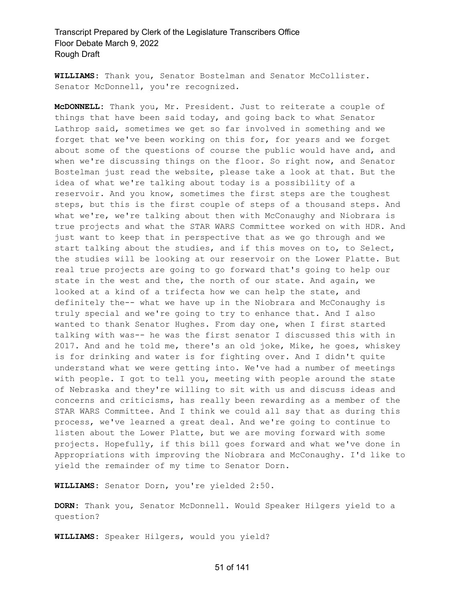**WILLIAMS:** Thank you, Senator Bostelman and Senator McCollister. Senator McDonnell, you're recognized.

**McDONNELL:** Thank you, Mr. President. Just to reiterate a couple of things that have been said today, and going back to what Senator Lathrop said, sometimes we get so far involved in something and we forget that we've been working on this for, for years and we forget about some of the questions of course the public would have and, and when we're discussing things on the floor. So right now, and Senator Bostelman just read the website, please take a look at that. But the idea of what we're talking about today is a possibility of a reservoir. And you know, sometimes the first steps are the toughest steps, but this is the first couple of steps of a thousand steps. And what we're, we're talking about then with McConaughy and Niobrara is true projects and what the STAR WARS Committee worked on with HDR. And just want to keep that in perspective that as we go through and we start talking about the studies, and if this moves on to, to Select, the studies will be looking at our reservoir on the Lower Platte. But real true projects are going to go forward that's going to help our state in the west and the, the north of our state. And again, we looked at a kind of a trifecta how we can help the state, and definitely the-- what we have up in the Niobrara and McConaughy is truly special and we're going to try to enhance that. And I also wanted to thank Senator Hughes. From day one, when I first started talking with was-- he was the first senator I discussed this with in 2017. And and he told me, there's an old joke, Mike, he goes, whiskey is for drinking and water is for fighting over. And I didn't quite understand what we were getting into. We've had a number of meetings with people. I got to tell you, meeting with people around the state of Nebraska and they're willing to sit with us and discuss ideas and concerns and criticisms, has really been rewarding as a member of the STAR WARS Committee. And I think we could all say that as during this process, we've learned a great deal. And we're going to continue to listen about the Lower Platte, but we are moving forward with some projects. Hopefully, if this bill goes forward and what we've done in Appropriations with improving the Niobrara and McConaughy. I'd like to yield the remainder of my time to Senator Dorn.

**WILLIAMS:** Senator Dorn, you're yielded 2:50.

**DORN:** Thank you, Senator McDonnell. Would Speaker Hilgers yield to a question?

**WILLIAMS:** Speaker Hilgers, would you yield?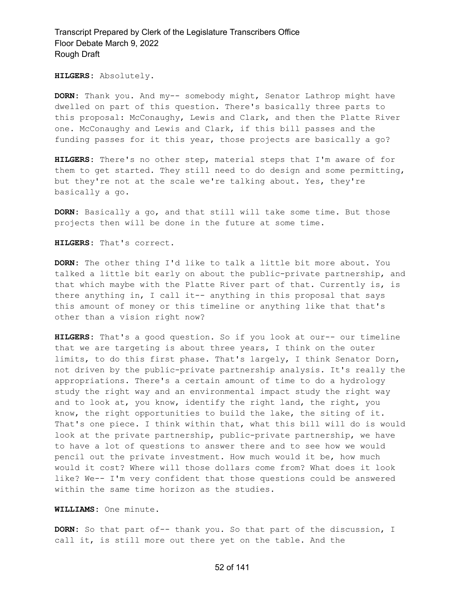**HILGERS:** Absolutely.

**DORN:** Thank you. And my-- somebody might, Senator Lathrop might have dwelled on part of this question. There's basically three parts to this proposal: McConaughy, Lewis and Clark, and then the Platte River one. McConaughy and Lewis and Clark, if this bill passes and the funding passes for it this year, those projects are basically a go?

**HILGERS:** There's no other step, material steps that I'm aware of for them to get started. They still need to do design and some permitting, but they're not at the scale we're talking about. Yes, they're basically a go.

**DORN:** Basically a go, and that still will take some time. But those projects then will be done in the future at some time.

**HILGERS:** That's correct.

**DORN:** The other thing I'd like to talk a little bit more about. You talked a little bit early on about the public-private partnership, and that which maybe with the Platte River part of that. Currently is, is there anything in, I call it-- anything in this proposal that says this amount of money or this timeline or anything like that that's other than a vision right now?

**HILGERS:** That's a good question. So if you look at our-- our timeline that we are targeting is about three years, I think on the outer limits, to do this first phase. That's largely, I think Senator Dorn, not driven by the public-private partnership analysis. It's really the appropriations. There's a certain amount of time to do a hydrology study the right way and an environmental impact study the right way and to look at, you know, identify the right land, the right, you know, the right opportunities to build the lake, the siting of it. That's one piece. I think within that, what this bill will do is would look at the private partnership, public-private partnership, we have to have a lot of questions to answer there and to see how we would pencil out the private investment. How much would it be, how much would it cost? Where will those dollars come from? What does it look like? We-- I'm very confident that those questions could be answered within the same time horizon as the studies.

**WILLIAMS:** One minute.

**DORN:** So that part of-- thank you. So that part of the discussion, I call it, is still more out there yet on the table. And the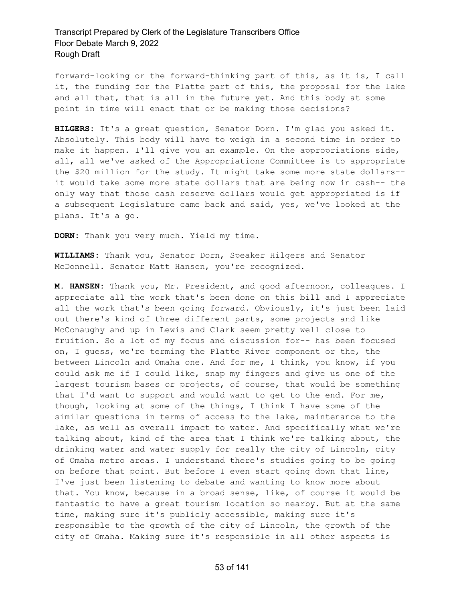forward-looking or the forward-thinking part of this, as it is, I call it, the funding for the Platte part of this, the proposal for the lake and all that, that is all in the future yet. And this body at some point in time will enact that or be making those decisions?

**HILGERS:** It's a great question, Senator Dorn. I'm glad you asked it. Absolutely. This body will have to weigh in a second time in order to make it happen. I'll give you an example. On the appropriations side, all, all we've asked of the Appropriations Committee is to appropriate the \$20 million for the study. It might take some more state dollars- it would take some more state dollars that are being now in cash-- the only way that those cash reserve dollars would get appropriated is if a subsequent Legislature came back and said, yes, we've looked at the plans. It's a go.

**DORN:** Thank you very much. Yield my time.

**WILLIAMS:** Thank you, Senator Dorn, Speaker Hilgers and Senator McDonnell. Senator Matt Hansen, you're recognized.

**M. HANSEN:** Thank you, Mr. President, and good afternoon, colleagues. I appreciate all the work that's been done on this bill and I appreciate all the work that's been going forward. Obviously, it's just been laid out there's kind of three different parts, some projects and like McConaughy and up in Lewis and Clark seem pretty well close to fruition. So a lot of my focus and discussion for-- has been focused on, I guess, we're terming the Platte River component or the, the between Lincoln and Omaha one. And for me, I think, you know, if you could ask me if I could like, snap my fingers and give us one of the largest tourism bases or projects, of course, that would be something that I'd want to support and would want to get to the end. For me, though, looking at some of the things, I think I have some of the similar questions in terms of access to the lake, maintenance to the lake, as well as overall impact to water. And specifically what we're talking about, kind of the area that I think we're talking about, the drinking water and water supply for really the city of Lincoln, city of Omaha metro areas. I understand there's studies going to be going on before that point. But before I even start going down that line, I've just been listening to debate and wanting to know more about that. You know, because in a broad sense, like, of course it would be fantastic to have a great tourism location so nearby. But at the same time, making sure it's publicly accessible, making sure it's responsible to the growth of the city of Lincoln, the growth of the city of Omaha. Making sure it's responsible in all other aspects is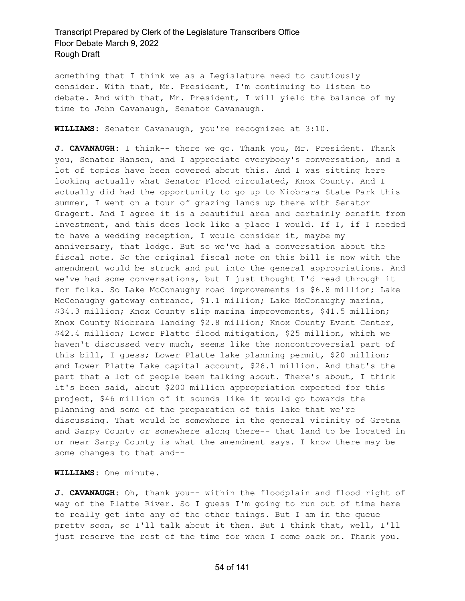something that I think we as a Legislature need to cautiously consider. With that, Mr. President, I'm continuing to listen to debate. And with that, Mr. President, I will yield the balance of my time to John Cavanaugh, Senator Cavanaugh.

**WILLIAMS:** Senator Cavanaugh, you're recognized at 3:10.

**J. CAVANAUGH:** I think-- there we go. Thank you, Mr. President. Thank you, Senator Hansen, and I appreciate everybody's conversation, and a lot of topics have been covered about this. And I was sitting here looking actually what Senator Flood circulated, Knox County. And I actually did had the opportunity to go up to Niobrara State Park this summer, I went on a tour of grazing lands up there with Senator Gragert. And I agree it is a beautiful area and certainly benefit from investment, and this does look like a place I would. If I, if I needed to have a wedding reception, I would consider it, maybe my anniversary, that lodge. But so we've had a conversation about the fiscal note. So the original fiscal note on this bill is now with the amendment would be struck and put into the general appropriations. And we've had some conversations, but I just thought I'd read through it for folks. So Lake McConaughy road improvements is \$6.8 million; Lake McConaughy gateway entrance, \$1.1 million; Lake McConaughy marina, \$34.3 million; Knox County slip marina improvements, \$41.5 million; Knox County Niobrara landing \$2.8 million; Knox County Event Center, \$42.4 million; Lower Platte flood mitigation, \$25 million, which we haven't discussed very much, seems like the noncontroversial part of this bill, I guess; Lower Platte lake planning permit, \$20 million; and Lower Platte Lake capital account, \$26.1 million. And that's the part that a lot of people been talking about. There's about, I think it's been said, about \$200 million appropriation expected for this project, \$46 million of it sounds like it would go towards the planning and some of the preparation of this lake that we're discussing. That would be somewhere in the general vicinity of Gretna and Sarpy County or somewhere along there-- that land to be located in or near Sarpy County is what the amendment says. I know there may be some changes to that and--

**WILLIAMS:** One minute.

**J. CAVANAUGH:** Oh, thank you-- within the floodplain and flood right of way of the Platte River. So I guess I'm going to run out of time here to really get into any of the other things. But I am in the queue pretty soon, so I'll talk about it then. But I think that, well, I'll just reserve the rest of the time for when I come back on. Thank you.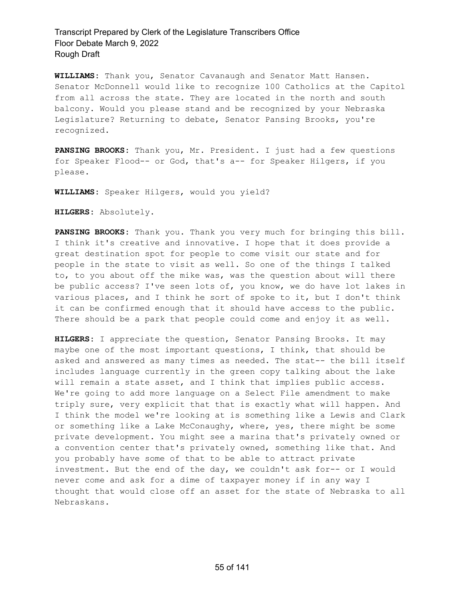**WILLIAMS:** Thank you, Senator Cavanaugh and Senator Matt Hansen. Senator McDonnell would like to recognize 100 Catholics at the Capitol from all across the state. They are located in the north and south balcony. Would you please stand and be recognized by your Nebraska Legislature? Returning to debate, Senator Pansing Brooks, you're recognized.

**PANSING BROOKS:** Thank you, Mr. President. I just had a few questions for Speaker Flood-- or God, that's a-- for Speaker Hilgers, if you please.

**WILLIAMS:** Speaker Hilgers, would you yield?

**HILGERS:** Absolutely.

**PANSING BROOKS:** Thank you. Thank you very much for bringing this bill. I think it's creative and innovative. I hope that it does provide a great destination spot for people to come visit our state and for people in the state to visit as well. So one of the things I talked to, to you about off the mike was, was the question about will there be public access? I've seen lots of, you know, we do have lot lakes in various places, and I think he sort of spoke to it, but I don't think it can be confirmed enough that it should have access to the public. There should be a park that people could come and enjoy it as well.

**HILGERS:** I appreciate the question, Senator Pansing Brooks. It may maybe one of the most important questions, I think, that should be asked and answered as many times as needed. The stat-- the bill itself includes language currently in the green copy talking about the lake will remain a state asset, and I think that implies public access. We're going to add more language on a Select File amendment to make triply sure, very explicit that that is exactly what will happen. And I think the model we're looking at is something like a Lewis and Clark or something like a Lake McConaughy, where, yes, there might be some private development. You might see a marina that's privately owned or a convention center that's privately owned, something like that. And you probably have some of that to be able to attract private investment. But the end of the day, we couldn't ask for-- or I would never come and ask for a dime of taxpayer money if in any way I thought that would close off an asset for the state of Nebraska to all Nebraskans.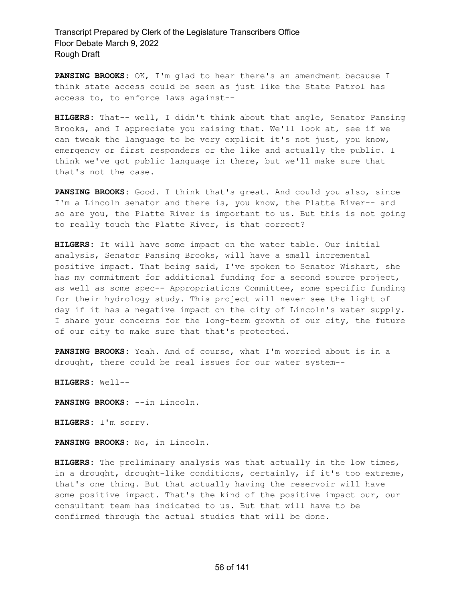**PANSING BROOKS:** OK, I'm glad to hear there's an amendment because I think state access could be seen as just like the State Patrol has access to, to enforce laws against--

**HILGERS:** That-- well, I didn't think about that angle, Senator Pansing Brooks, and I appreciate you raising that. We'll look at, see if we can tweak the language to be very explicit it's not just, you know, emergency or first responders or the like and actually the public. I think we've got public language in there, but we'll make sure that that's not the case.

**PANSING BROOKS:** Good. I think that's great. And could you also, since I'm a Lincoln senator and there is, you know, the Platte River-- and so are you, the Platte River is important to us. But this is not going to really touch the Platte River, is that correct?

**HILGERS:** It will have some impact on the water table. Our initial analysis, Senator Pansing Brooks, will have a small incremental positive impact. That being said, I've spoken to Senator Wishart, she has my commitment for additional funding for a second source project, as well as some spec-- Appropriations Committee, some specific funding for their hydrology study. This project will never see the light of day if it has a negative impact on the city of Lincoln's water supply. I share your concerns for the long-term growth of our city, the future of our city to make sure that that's protected.

**PANSING BROOKS:** Yeah. And of course, what I'm worried about is in a drought, there could be real issues for our water system--

**HILGERS:** Well--

**PANSING BROOKS:** --in Lincoln.

**HILGERS:** I'm sorry.

**PANSING BROOKS:** No, in Lincoln.

**HILGERS:** The preliminary analysis was that actually in the low times, in a drought, drought-like conditions, certainly, if it's too extreme, that's one thing. But that actually having the reservoir will have some positive impact. That's the kind of the positive impact our, our consultant team has indicated to us. But that will have to be confirmed through the actual studies that will be done.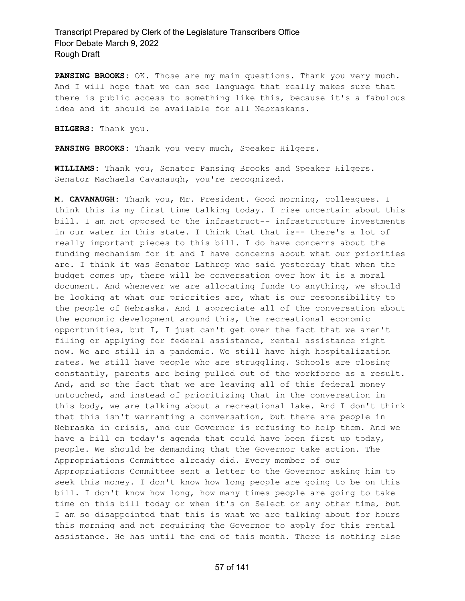**PANSING BROOKS:** OK. Those are my main questions. Thank you very much. And I will hope that we can see language that really makes sure that there is public access to something like this, because it's a fabulous idea and it should be available for all Nebraskans.

**HILGERS:** Thank you.

**PANSING BROOKS:** Thank you very much, Speaker Hilgers.

**WILLIAMS:** Thank you, Senator Pansing Brooks and Speaker Hilgers. Senator Machaela Cavanaugh, you're recognized.

**M. CAVANAUGH:** Thank you, Mr. President. Good morning, colleagues. I think this is my first time talking today. I rise uncertain about this bill. I am not opposed to the infrastruct-- infrastructure investments in our water in this state. I think that that is-- there's a lot of really important pieces to this bill. I do have concerns about the funding mechanism for it and I have concerns about what our priorities are. I think it was Senator Lathrop who said yesterday that when the budget comes up, there will be conversation over how it is a moral document. And whenever we are allocating funds to anything, we should be looking at what our priorities are, what is our responsibility to the people of Nebraska. And I appreciate all of the conversation about the economic development around this, the recreational economic opportunities, but I, I just can't get over the fact that we aren't filing or applying for federal assistance, rental assistance right now. We are still in a pandemic. We still have high hospitalization rates. We still have people who are struggling. Schools are closing constantly, parents are being pulled out of the workforce as a result. And, and so the fact that we are leaving all of this federal money untouched, and instead of prioritizing that in the conversation in this body, we are talking about a recreational lake. And I don't think that this isn't warranting a conversation, but there are people in Nebraska in crisis, and our Governor is refusing to help them. And we have a bill on today's agenda that could have been first up today, people. We should be demanding that the Governor take action. The Appropriations Committee already did. Every member of our Appropriations Committee sent a letter to the Governor asking him to seek this money. I don't know how long people are going to be on this bill. I don't know how long, how many times people are going to take time on this bill today or when it's on Select or any other time, but I am so disappointed that this is what we are talking about for hours this morning and not requiring the Governor to apply for this rental assistance. He has until the end of this month. There is nothing else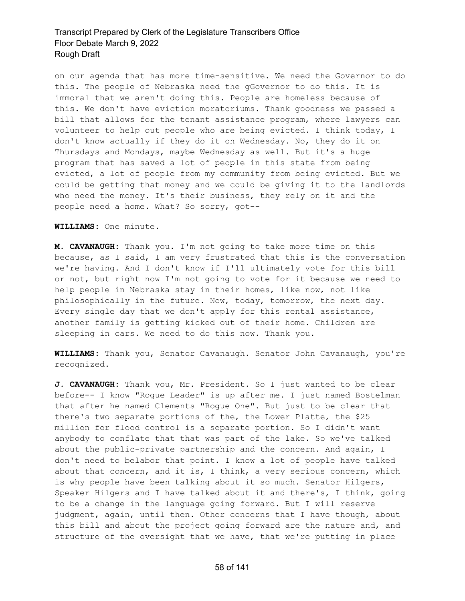on our agenda that has more time-sensitive. We need the Governor to do this. The people of Nebraska need the gGovernor to do this. It is immoral that we aren't doing this. People are homeless because of this. We don't have eviction moratoriums. Thank goodness we passed a bill that allows for the tenant assistance program, where lawyers can volunteer to help out people who are being evicted. I think today, I don't know actually if they do it on Wednesday. No, they do it on Thursdays and Mondays, maybe Wednesday as well. But it's a huge program that has saved a lot of people in this state from being evicted, a lot of people from my community from being evicted. But we could be getting that money and we could be giving it to the landlords who need the money. It's their business, they rely on it and the people need a home. What? So sorry, got--

#### **WILLIAMS:** One minute.

**M. CAVANAUGH:** Thank you. I'm not going to take more time on this because, as I said, I am very frustrated that this is the conversation we're having. And I don't know if I'll ultimately vote for this bill or not, but right now I'm not going to vote for it because we need to help people in Nebraska stay in their homes, like now, not like philosophically in the future. Now, today, tomorrow, the next day. Every single day that we don't apply for this rental assistance, another family is getting kicked out of their home. Children are sleeping in cars. We need to do this now. Thank you.

**WILLIAMS:** Thank you, Senator Cavanaugh. Senator John Cavanaugh, you're recognized.

**J. CAVANAUGH:** Thank you, Mr. President. So I just wanted to be clear before-- I know "Rogue Leader" is up after me. I just named Bostelman that after he named Clements "Rogue One". But just to be clear that there's two separate portions of the, the Lower Platte, the \$25 million for flood control is a separate portion. So I didn't want anybody to conflate that that was part of the lake. So we've talked about the public-private partnership and the concern. And again, I don't need to belabor that point. I know a lot of people have talked about that concern, and it is, I think, a very serious concern, which is why people have been talking about it so much. Senator Hilgers, Speaker Hilgers and I have talked about it and there's, I think, going to be a change in the language going forward. But I will reserve judgment, again, until then. Other concerns that I have though, about this bill and about the project going forward are the nature and, and structure of the oversight that we have, that we're putting in place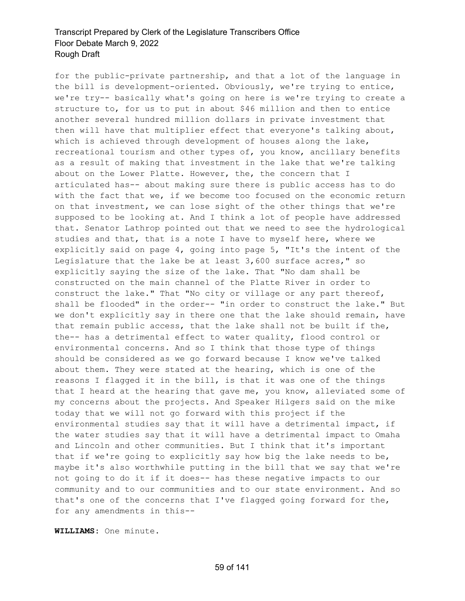for the public-private partnership, and that a lot of the language in the bill is development-oriented. Obviously, we're trying to entice, we're try-- basically what's going on here is we're trying to create a structure to, for us to put in about \$46 million and then to entice another several hundred million dollars in private investment that then will have that multiplier effect that everyone's talking about, which is achieved through development of houses along the lake, recreational tourism and other types of, you know, ancillary benefits as a result of making that investment in the lake that we're talking about on the Lower Platte. However, the, the concern that I articulated has-- about making sure there is public access has to do with the fact that we, if we become too focused on the economic return on that investment, we can lose sight of the other things that we're supposed to be looking at. And I think a lot of people have addressed that. Senator Lathrop pointed out that we need to see the hydrological studies and that, that is a note I have to myself here, where we explicitly said on page 4, going into page 5, "It's the intent of the Legislature that the lake be at least 3,600 surface acres," so explicitly saying the size of the lake. That "No dam shall be constructed on the main channel of the Platte River in order to construct the lake." That "No city or village or any part thereof, shall be flooded" in the order-- "in order to construct the lake." But we don't explicitly say in there one that the lake should remain, have that remain public access, that the lake shall not be built if the, the-- has a detrimental effect to water quality, flood control or environmental concerns. And so I think that those type of things should be considered as we go forward because I know we've talked about them. They were stated at the hearing, which is one of the reasons I flagged it in the bill, is that it was one of the things that I heard at the hearing that gave me, you know, alleviated some of my concerns about the projects. And Speaker Hilgers said on the mike today that we will not go forward with this project if the environmental studies say that it will have a detrimental impact, if the water studies say that it will have a detrimental impact to Omaha and Lincoln and other communities. But I think that it's important that if we're going to explicitly say how big the lake needs to be, maybe it's also worthwhile putting in the bill that we say that we're not going to do it if it does-- has these negative impacts to our community and to our communities and to our state environment. And so that's one of the concerns that I've flagged going forward for the, for any amendments in this--

**WILLIAMS:** One minute.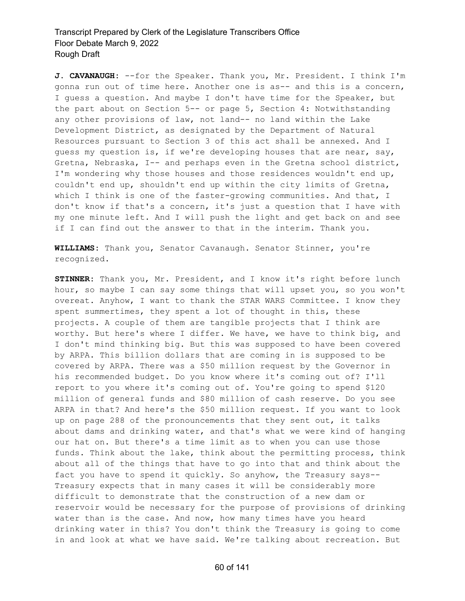**J. CAVANAUGH:** --for the Speaker. Thank you, Mr. President. I think I'm gonna run out of time here. Another one is as-- and this is a concern, I guess a question. And maybe I don't have time for the Speaker, but the part about on Section 5-- or page 5, Section 4: Notwithstanding any other provisions of law, not land-- no land within the Lake Development District, as designated by the Department of Natural Resources pursuant to Section 3 of this act shall be annexed. And I guess my question is, if we're developing houses that are near, say, Gretna, Nebraska, I-- and perhaps even in the Gretna school district, I'm wondering why those houses and those residences wouldn't end up, couldn't end up, shouldn't end up within the city limits of Gretna, which I think is one of the faster-growing communities. And that, I don't know if that's a concern, it's just a question that I have with my one minute left. And I will push the light and get back on and see if I can find out the answer to that in the interim. Thank you.

**WILLIAMS:** Thank you, Senator Cavanaugh. Senator Stinner, you're recognized.

**STINNER:** Thank you, Mr. President, and I know it's right before lunch hour, so maybe I can say some things that will upset you, so you won't overeat. Anyhow, I want to thank the STAR WARS Committee. I know they spent summertimes, they spent a lot of thought in this, these projects. A couple of them are tangible projects that I think are worthy. But here's where I differ. We have, we have to think big, and I don't mind thinking big. But this was supposed to have been covered by ARPA. This billion dollars that are coming in is supposed to be covered by ARPA. There was a \$50 million request by the Governor in his recommended budget. Do you know where it's coming out of? I'll report to you where it's coming out of. You're going to spend \$120 million of general funds and \$80 million of cash reserve. Do you see ARPA in that? And here's the \$50 million request. If you want to look up on page 288 of the pronouncements that they sent out, it talks about dams and drinking water, and that's what we were kind of hanging our hat on. But there's a time limit as to when you can use those funds. Think about the lake, think about the permitting process, think about all of the things that have to go into that and think about the fact you have to spend it quickly. So anyhow, the Treasury says-- Treasury expects that in many cases it will be considerably more difficult to demonstrate that the construction of a new dam or reservoir would be necessary for the purpose of provisions of drinking water than is the case. And now, how many times have you heard drinking water in this? You don't think the Treasury is going to come in and look at what we have said. We're talking about recreation. But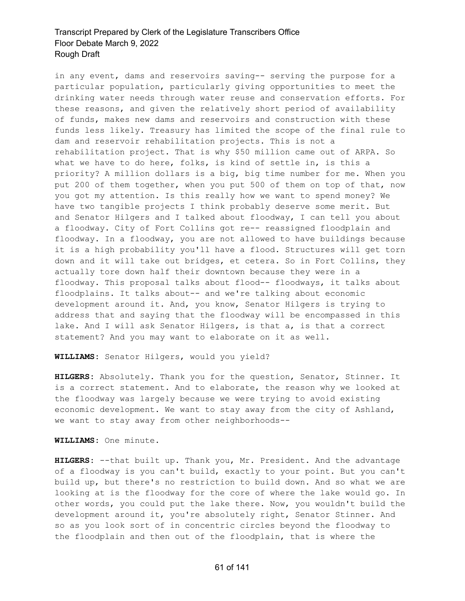in any event, dams and reservoirs saving-- serving the purpose for a particular population, particularly giving opportunities to meet the drinking water needs through water reuse and conservation efforts. For these reasons, and given the relatively short period of availability of funds, makes new dams and reservoirs and construction with these funds less likely. Treasury has limited the scope of the final rule to dam and reservoir rehabilitation projects. This is not a rehabilitation project. That is why \$50 million came out of ARPA. So what we have to do here, folks, is kind of settle in, is this a priority? A million dollars is a big, big time number for me. When you put 200 of them together, when you put 500 of them on top of that, now you got my attention. Is this really how we want to spend money? We have two tangible projects I think probably deserve some merit. But and Senator Hilgers and I talked about floodway, I can tell you about a floodway. City of Fort Collins got re-- reassigned floodplain and floodway. In a floodway, you are not allowed to have buildings because it is a high probability you'll have a flood. Structures will get torn down and it will take out bridges, et cetera. So in Fort Collins, they actually tore down half their downtown because they were in a floodway. This proposal talks about flood-- floodways, it talks about floodplains. It talks about-- and we're talking about economic development around it. And, you know, Senator Hilgers is trying to address that and saying that the floodway will be encompassed in this lake. And I will ask Senator Hilgers, is that a, is that a correct statement? And you may want to elaborate on it as well.

**WILLIAMS:** Senator Hilgers, would you yield?

**HILGERS:** Absolutely. Thank you for the question, Senator, Stinner. It is a correct statement. And to elaborate, the reason why we looked at the floodway was largely because we were trying to avoid existing economic development. We want to stay away from the city of Ashland, we want to stay away from other neighborhoods--

**WILLIAMS:** One minute.

**HILGERS:** --that built up. Thank you, Mr. President. And the advantage of a floodway is you can't build, exactly to your point. But you can't build up, but there's no restriction to build down. And so what we are looking at is the floodway for the core of where the lake would go. In other words, you could put the lake there. Now, you wouldn't build the development around it, you're absolutely right, Senator Stinner. And so as you look sort of in concentric circles beyond the floodway to the floodplain and then out of the floodplain, that is where the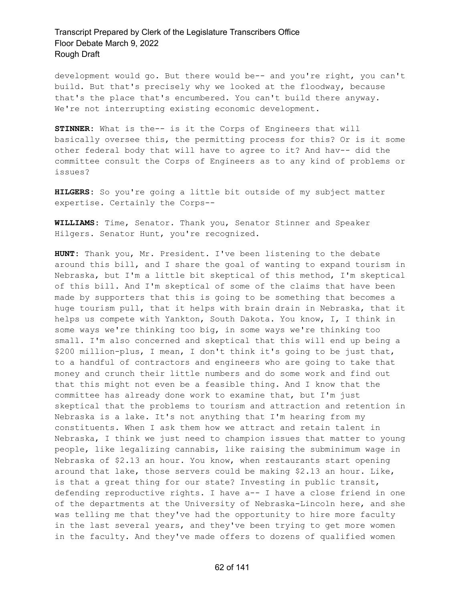development would go. But there would be-- and you're right, you can't build. But that's precisely why we looked at the floodway, because that's the place that's encumbered. You can't build there anyway. We're not interrupting existing economic development.

**STINNER:** What is the-- is it the Corps of Engineers that will basically oversee this, the permitting process for this? Or is it some other federal body that will have to agree to it? And hav-- did the committee consult the Corps of Engineers as to any kind of problems or issues?

**HILGERS:** So you're going a little bit outside of my subject matter expertise. Certainly the Corps--

**WILLIAMS:** Time, Senator. Thank you, Senator Stinner and Speaker Hilgers. Senator Hunt, you're recognized.

**HUNT:** Thank you, Mr. President. I've been listening to the debate around this bill, and I share the goal of wanting to expand tourism in Nebraska, but I'm a little bit skeptical of this method, I'm skeptical of this bill. And I'm skeptical of some of the claims that have been made by supporters that this is going to be something that becomes a huge tourism pull, that it helps with brain drain in Nebraska, that it helps us compete with Yankton, South Dakota. You know, I, I think in some ways we're thinking too big, in some ways we're thinking too small. I'm also concerned and skeptical that this will end up being a \$200 million-plus, I mean, I don't think it's going to be just that, to a handful of contractors and engineers who are going to take that money and crunch their little numbers and do some work and find out that this might not even be a feasible thing. And I know that the committee has already done work to examine that, but I'm just skeptical that the problems to tourism and attraction and retention in Nebraska is a lake. It's not anything that I'm hearing from my constituents. When I ask them how we attract and retain talent in Nebraska, I think we just need to champion issues that matter to young people, like legalizing cannabis, like raising the subminimum wage in Nebraska of \$2.13 an hour. You know, when restaurants start opening around that lake, those servers could be making \$2.13 an hour. Like, is that a great thing for our state? Investing in public transit, defending reproductive rights. I have a-- I have a close friend in one of the departments at the University of Nebraska-Lincoln here, and she was telling me that they've had the opportunity to hire more faculty in the last several years, and they've been trying to get more women in the faculty. And they've made offers to dozens of qualified women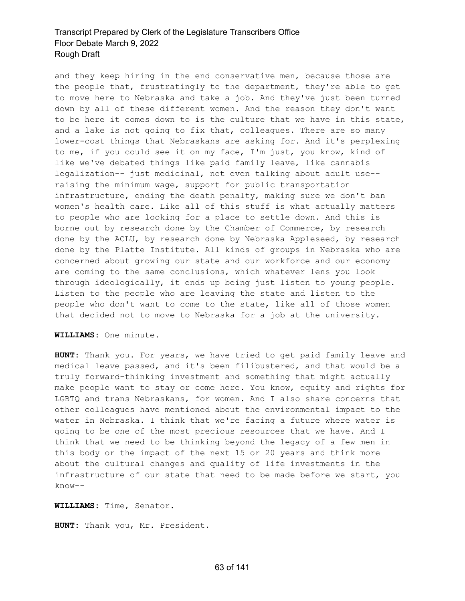and they keep hiring in the end conservative men, because those are the people that, frustratingly to the department, they're able to get to move here to Nebraska and take a job. And they've just been turned down by all of these different women. And the reason they don't want to be here it comes down to is the culture that we have in this state, and a lake is not going to fix that, colleagues. There are so many lower-cost things that Nebraskans are asking for. And it's perplexing to me, if you could see it on my face, I'm just, you know, kind of like we've debated things like paid family leave, like cannabis legalization-- just medicinal, not even talking about adult use- raising the minimum wage, support for public transportation infrastructure, ending the death penalty, making sure we don't ban women's health care. Like all of this stuff is what actually matters to people who are looking for a place to settle down. And this is borne out by research done by the Chamber of Commerce, by research done by the ACLU, by research done by Nebraska Appleseed, by research done by the Platte Institute. All kinds of groups in Nebraska who are concerned about growing our state and our workforce and our economy are coming to the same conclusions, which whatever lens you look through ideologically, it ends up being just listen to young people. Listen to the people who are leaving the state and listen to the people who don't want to come to the state, like all of those women that decided not to move to Nebraska for a job at the university.

**WILLIAMS:** One minute.

**HUNT:** Thank you. For years, we have tried to get paid family leave and medical leave passed, and it's been filibustered, and that would be a truly forward-thinking investment and something that might actually make people want to stay or come here. You know, equity and rights for LGBTQ and trans Nebraskans, for women. And I also share concerns that other colleagues have mentioned about the environmental impact to the water in Nebraska. I think that we're facing a future where water is going to be one of the most precious resources that we have. And I think that we need to be thinking beyond the legacy of a few men in this body or the impact of the next 15 or 20 years and think more about the cultural changes and quality of life investments in the infrastructure of our state that need to be made before we start, you know--

**WILLIAMS:** Time, Senator.

**HUNT:** Thank you, Mr. President.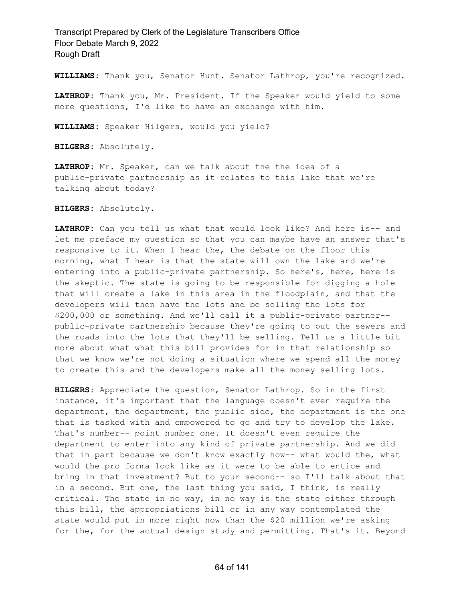**WILLIAMS:** Thank you, Senator Hunt. Senator Lathrop, you're recognized.

**LATHROP:** Thank you, Mr. President. If the Speaker would yield to some more questions, I'd like to have an exchange with him.

**WILLIAMS:** Speaker Hilgers, would you yield?

**HILGERS:** Absolutely.

**LATHROP:** Mr. Speaker, can we talk about the the idea of a public-private partnership as it relates to this lake that we're talking about today?

**HILGERS:** Absolutely.

**LATHROP:** Can you tell us what that would look like? And here is-- and let me preface my question so that you can maybe have an answer that's responsive to it. When I hear the, the debate on the floor this morning, what I hear is that the state will own the lake and we're entering into a public-private partnership. So here's, here, here is the skeptic. The state is going to be responsible for digging a hole that will create a lake in this area in the floodplain, and that the developers will then have the lots and be selling the lots for \$200,000 or something. And we'll call it a public-private partner- public-private partnership because they're going to put the sewers and the roads into the lots that they'll be selling. Tell us a little bit more about what what this bill provides for in that relationship so that we know we're not doing a situation where we spend all the money to create this and the developers make all the money selling lots.

**HILGERS:** Appreciate the question, Senator Lathrop. So in the first instance, it's important that the language doesn't even require the department, the department, the public side, the department is the one that is tasked with and empowered to go and try to develop the lake. That's number-- point number one. It doesn't even require the department to enter into any kind of private partnership. And we did that in part because we don't know exactly how-- what would the, what would the pro forma look like as it were to be able to entice and bring in that investment? But to your second-- so I'll talk about that in a second. But one, the last thing you said, I think, is really critical. The state in no way, in no way is the state either through this bill, the appropriations bill or in any way contemplated the state would put in more right now than the \$20 million we're asking for the, for the actual design study and permitting. That's it. Beyond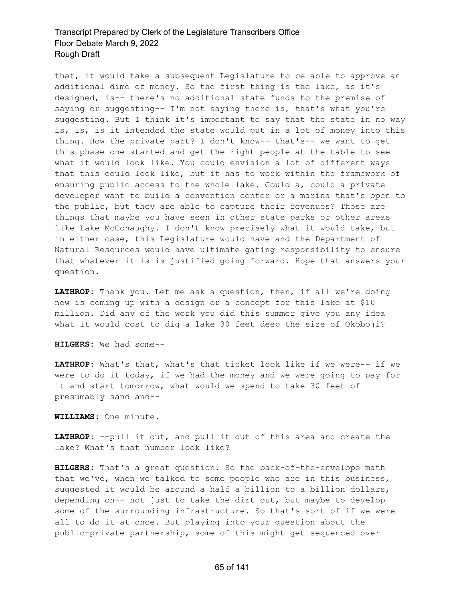that, it would take a subsequent Legislature to be able to approve an additional dime of money. So the first thing is the lake, as it's designed, is-- there's no additional state funds to the premise of saying or suggesting-- I'm not saying there is, that's what you're suggesting. But I think it's important to say that the state in no way is, is, is it intended the state would put in a lot of money into this thing. How the private part? I don't know-- that's-- we want to get this phase one started and get the right people at the table to see what it would look like. You could envision a lot of different ways that this could look like, but it has to work within the framework of ensuring public access to the whole lake. Could a, could a private developer want to build a convention center or a marina that's open to the public, but they are able to capture their revenues? Those are things that maybe you have seen in other state parks or other areas like Lake McConaughy. I don't know precisely what it would take, but in either case, this Legislature would have and the Department of Natural Resources would have ultimate gating responsibility to ensure that whatever it is is justified going forward. Hope that answers your question.

**LATHROP:** Thank you. Let me ask a question, then, if all we're doing now is coming up with a design or a concept for this lake at \$10 million. Did any of the work you did this summer give you any idea what it would cost to dig a lake 30 feet deep the size of Okoboji?

**HILGERS:** We had some--

**LATHROP:** What's that, what's that ticket look like if we were-- if we were to do it today, if we had the money and we were going to pay for it and start tomorrow, what would we spend to take 30 feet of presumably sand and--

**WILLIAMS:** One minute.

**LATHROP:** --pull it out, and pull it out of this area and create the lake? What's that number look like?

**HILGERS:** That's a great question. So the back-of-the-envelope math that we've, when we talked to some people who are in this business, suggested it would be around a half a billion to a billion dollars, depending on-- not just to take the dirt out, but maybe to develop some of the surrounding infrastructure. So that's sort of if we were all to do it at once. But playing into your question about the public-private partnership, some of this might get sequenced over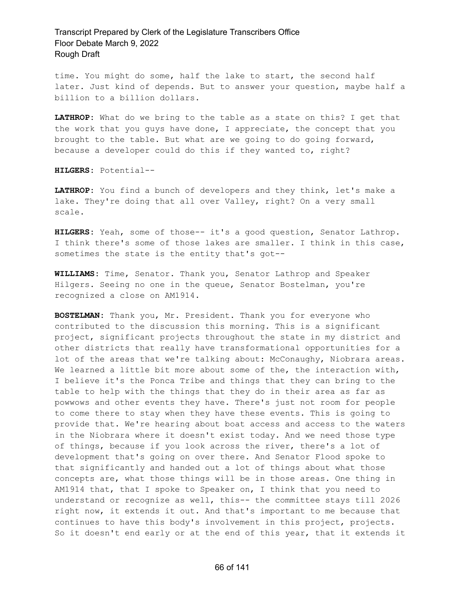time. You might do some, half the lake to start, the second half later. Just kind of depends. But to answer your question, maybe half a billion to a billion dollars.

**LATHROP:** What do we bring to the table as a state on this? I get that the work that you guys have done, I appreciate, the concept that you brought to the table. But what are we going to do going forward, because a developer could do this if they wanted to, right?

**HILGERS:** Potential--

**LATHROP:** You find a bunch of developers and they think, let's make a lake. They're doing that all over Valley, right? On a very small scale.

**HILGERS:** Yeah, some of those-- it's a good question, Senator Lathrop. I think there's some of those lakes are smaller. I think in this case, sometimes the state is the entity that's got--

**WILLIAMS:** Time, Senator. Thank you, Senator Lathrop and Speaker Hilgers. Seeing no one in the queue, Senator Bostelman, you're recognized a close on AM1914.

**BOSTELMAN:** Thank you, Mr. President. Thank you for everyone who contributed to the discussion this morning. This is a significant project, significant projects throughout the state in my district and other districts that really have transformational opportunities for a lot of the areas that we're talking about: McConaughy, Niobrara areas. We learned a little bit more about some of the, the interaction with, I believe it's the Ponca Tribe and things that they can bring to the table to help with the things that they do in their area as far as powwows and other events they have. There's just not room for people to come there to stay when they have these events. This is going to provide that. We're hearing about boat access and access to the waters in the Niobrara where it doesn't exist today. And we need those type of things, because if you look across the river, there's a lot of development that's going on over there. And Senator Flood spoke to that significantly and handed out a lot of things about what those concepts are, what those things will be in those areas. One thing in AM1914 that, that I spoke to Speaker on, I think that you need to understand or recognize as well, this-- the committee stays till 2026 right now, it extends it out. And that's important to me because that continues to have this body's involvement in this project, projects. So it doesn't end early or at the end of this year, that it extends it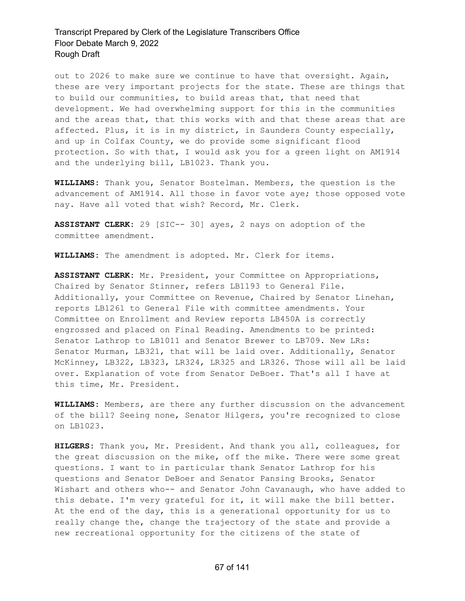out to 2026 to make sure we continue to have that oversight. Again, these are very important projects for the state. These are things that to build our communities, to build areas that, that need that development. We had overwhelming support for this in the communities and the areas that, that this works with and that these areas that are affected. Plus, it is in my district, in Saunders County especially, and up in Colfax County, we do provide some significant flood protection. So with that, I would ask you for a green light on AM1914 and the underlying bill, LB1023. Thank you.

**WILLIAMS:** Thank you, Senator Bostelman. Members, the question is the advancement of AM1914. All those in favor vote aye; those opposed vote nay. Have all voted that wish? Record, Mr. Clerk.

**ASSISTANT CLERK:** 29 [SIC-- 30] ayes, 2 nays on adoption of the committee amendment.

**WILLIAMS:** The amendment is adopted. Mr. Clerk for items.

**ASSISTANT CLERK:** Mr. President, your Committee on Appropriations, Chaired by Senator Stinner, refers LB1193 to General File. Additionally, your Committee on Revenue, Chaired by Senator Linehan, reports LB1261 to General File with committee amendments. Your Committee on Enrollment and Review reports LB450A is correctly engrossed and placed on Final Reading. Amendments to be printed: Senator Lathrop to LB1011 and Senator Brewer to LB709. New LRs: Senator Murman, LB321, that will be laid over. Additionally, Senator McKinney, LB322, LB323, LR324, LR325 and LR326. Those will all be laid over. Explanation of vote from Senator DeBoer. That's all I have at this time, Mr. President.

**WILLIAMS:** Members, are there any further discussion on the advancement of the bill? Seeing none, Senator Hilgers, you're recognized to close on LB1023.

**HILGERS:** Thank you, Mr. President. And thank you all, colleagues, for the great discussion on the mike, off the mike. There were some great questions. I want to in particular thank Senator Lathrop for his questions and Senator DeBoer and Senator Pansing Brooks, Senator Wishart and others who-- and Senator John Cavanaugh, who have added to this debate. I'm very grateful for it, it will make the bill better. At the end of the day, this is a generational opportunity for us to really change the, change the trajectory of the state and provide a new recreational opportunity for the citizens of the state of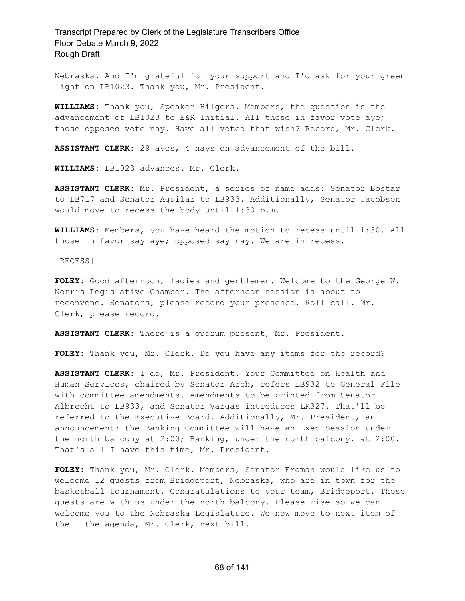Nebraska. And I'm grateful for your support and I'd ask for your green light on LB1023. Thank you, Mr. President.

**WILLIAMS:** Thank you, Speaker Hilgers. Members, the question is the advancement of LB1023 to E&R Initial. All those in favor vote aye; those opposed vote nay. Have all voted that wish? Record, Mr. Clerk.

**ASSISTANT CLERK:** 29 ayes, 4 nays on advancement of the bill.

**WILLIAMS:** LB1023 advances. Mr. Clerk.

**ASSISTANT CLERK:** Mr. President, a series of name adds: Senator Bostar to LB717 and Senator Aguilar to LB933. Additionally, Senator Jacobson would move to recess the body until 1:30 p.m.

**WILLIAMS:** Members, you have heard the motion to recess until 1:30. All those in favor say aye; opposed say nay. We are in recess.

[RECESS]

**FOLEY:** Good afternoon, ladies and gentlemen. Welcome to the George W. Norris Legislative Chamber. The afternoon session is about to reconvene. Senators, please record your presence. Roll call. Mr. Clerk, please record.

**ASSISTANT CLERK:** There is a quorum present, Mr. President.

**FOLEY:** Thank you, Mr. Clerk. Do you have any items for the record?

**ASSISTANT CLERK:** I do, Mr. President. Your Committee on Health and Human Services, chaired by Senator Arch, refers LB932 to General File with committee amendments. Amendments to be printed from Senator Albrecht to LB933, and Senator Vargas introduces LR327. That'll be referred to the Executive Board. Additionally, Mr. President, an announcement: the Banking Committee will have an Exec Session under the north balcony at 2:00; Banking, under the north balcony, at 2:00. That's all I have this time, Mr. President.

**FOLEY:** Thank you, Mr. Clerk. Members, Senator Erdman would like us to welcome 12 guests from Bridgeport, Nebraska, who are in town for the basketball tournament. Congratulations to your team, Bridgeport. Those guests are with us under the north balcony. Please rise so we can welcome you to the Nebraska Legislature. We now move to next item of the-- the agenda, Mr. Clerk, next bill.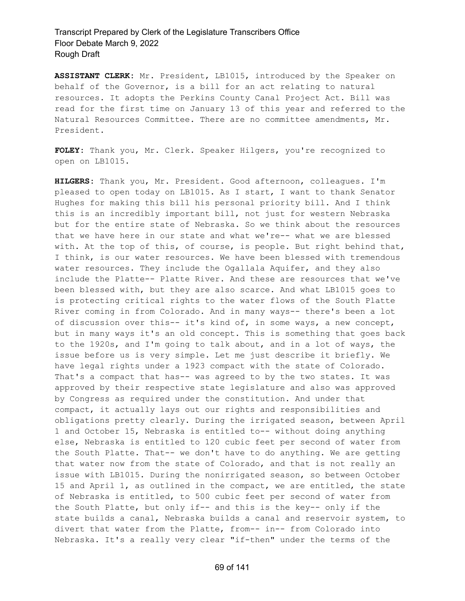**ASSISTANT CLERK:** Mr. President, LB1015, introduced by the Speaker on behalf of the Governor, is a bill for an act relating to natural resources. It adopts the Perkins County Canal Project Act. Bill was read for the first time on January 13 of this year and referred to the Natural Resources Committee. There are no committee amendments, Mr. President.

**FOLEY:** Thank you, Mr. Clerk. Speaker Hilgers, you're recognized to open on LB1015.

**HILGERS:** Thank you, Mr. President. Good afternoon, colleagues. I'm pleased to open today on LB1015. As I start, I want to thank Senator Hughes for making this bill his personal priority bill. And I think this is an incredibly important bill, not just for western Nebraska but for the entire state of Nebraska. So we think about the resources that we have here in our state and what we're-- what we are blessed with. At the top of this, of course, is people. But right behind that, I think, is our water resources. We have been blessed with tremendous water resources. They include the Ogallala Aquifer, and they also include the Platte-- Platte River. And these are resources that we've been blessed with, but they are also scarce. And what LB1015 goes to is protecting critical rights to the water flows of the South Platte River coming in from Colorado. And in many ways-- there's been a lot of discussion over this-- it's kind of, in some ways, a new concept, but in many ways it's an old concept. This is something that goes back to the 1920s, and I'm going to talk about, and in a lot of ways, the issue before us is very simple. Let me just describe it briefly. We have legal rights under a 1923 compact with the state of Colorado. That's a compact that has-- was agreed to by the two states. It was approved by their respective state legislature and also was approved by Congress as required under the constitution. And under that compact, it actually lays out our rights and responsibilities and obligations pretty clearly. During the irrigated season, between April 1 and October 15, Nebraska is entitled to-- without doing anything else, Nebraska is entitled to 120 cubic feet per second of water from the South Platte. That-- we don't have to do anything. We are getting that water now from the state of Colorado, and that is not really an issue with LB1015. During the nonirrigated season, so between October 15 and April 1, as outlined in the compact, we are entitled, the state of Nebraska is entitled, to 500 cubic feet per second of water from the South Platte, but only if-- and this is the key-- only if the state builds a canal, Nebraska builds a canal and reservoir system, to divert that water from the Platte, from-- in-- from Colorado into Nebraska. It's a really very clear "if-then" under the terms of the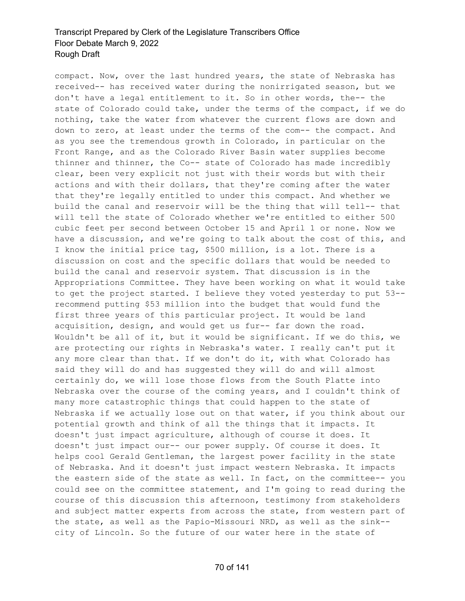compact. Now, over the last hundred years, the state of Nebraska has received-- has received water during the nonirrigated season, but we don't have a legal entitlement to it. So in other words, the-- the state of Colorado could take, under the terms of the compact, if we do nothing, take the water from whatever the current flows are down and down to zero, at least under the terms of the com-- the compact. And as you see the tremendous growth in Colorado, in particular on the Front Range, and as the Colorado River Basin water supplies become thinner and thinner, the Co-- state of Colorado has made incredibly clear, been very explicit not just with their words but with their actions and with their dollars, that they're coming after the water that they're legally entitled to under this compact. And whether we build the canal and reservoir will be the thing that will tell-- that will tell the state of Colorado whether we're entitled to either 500 cubic feet per second between October 15 and April 1 or none. Now we have a discussion, and we're going to talk about the cost of this, and I know the initial price tag, \$500 million, is a lot. There is a discussion on cost and the specific dollars that would be needed to build the canal and reservoir system. That discussion is in the Appropriations Committee. They have been working on what it would take to get the project started. I believe they voted yesterday to put 53- recommend putting \$53 million into the budget that would fund the first three years of this particular project. It would be land acquisition, design, and would get us fur-- far down the road. Wouldn't be all of it, but it would be significant. If we do this, we are protecting our rights in Nebraska's water. I really can't put it any more clear than that. If we don't do it, with what Colorado has said they will do and has suggested they will do and will almost certainly do, we will lose those flows from the South Platte into Nebraska over the course of the coming years, and I couldn't think of many more catastrophic things that could happen to the state of Nebraska if we actually lose out on that water, if you think about our potential growth and think of all the things that it impacts. It doesn't just impact agriculture, although of course it does. It doesn't just impact our-- our power supply. Of course it does. It helps cool Gerald Gentleman, the largest power facility in the state of Nebraska. And it doesn't just impact western Nebraska. It impacts the eastern side of the state as well. In fact, on the committee-- you could see on the committee statement, and I'm going to read during the course of this discussion this afternoon, testimony from stakeholders and subject matter experts from across the state, from western part of the state, as well as the Papio-Missouri NRD, as well as the sink- city of Lincoln. So the future of our water here in the state of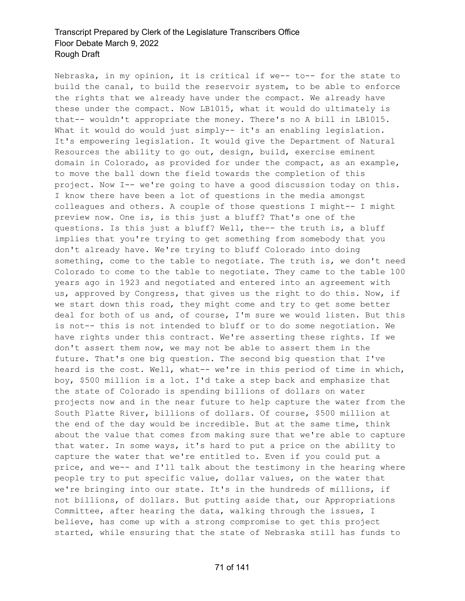Nebraska, in my opinion, it is critical if we-- to-- for the state to build the canal, to build the reservoir system, to be able to enforce the rights that we already have under the compact. We already have these under the compact. Now LB1015, what it would do ultimately is that-- wouldn't appropriate the money. There's no A bill in LB1015. What it would do would just simply-- it's an enabling legislation. It's empowering legislation. It would give the Department of Natural Resources the ability to go out, design, build, exercise eminent domain in Colorado, as provided for under the compact, as an example, to move the ball down the field towards the completion of this project. Now I-- we're going to have a good discussion today on this. I know there have been a lot of questions in the media amongst colleagues and others. A couple of those questions I might-- I might preview now. One is, is this just a bluff? That's one of the questions. Is this just a bluff? Well, the-- the truth is, a bluff implies that you're trying to get something from somebody that you don't already have. We're trying to bluff Colorado into doing something, come to the table to negotiate. The truth is, we don't need Colorado to come to the table to negotiate. They came to the table 100 years ago in 1923 and negotiated and entered into an agreement with us, approved by Congress, that gives us the right to do this. Now, if we start down this road, they might come and try to get some better deal for both of us and, of course, I'm sure we would listen. But this is not-- this is not intended to bluff or to do some negotiation. We have rights under this contract. We're asserting these rights. If we don't assert them now, we may not be able to assert them in the future. That's one big question. The second big question that I've heard is the cost. Well, what-- we're in this period of time in which, boy, \$500 million is a lot. I'd take a step back and emphasize that the state of Colorado is spending billions of dollars on water projects now and in the near future to help capture the water from the South Platte River, billions of dollars. Of course, \$500 million at the end of the day would be incredible. But at the same time, think about the value that comes from making sure that we're able to capture that water. In some ways, it's hard to put a price on the ability to capture the water that we're entitled to. Even if you could put a price, and we-- and I'll talk about the testimony in the hearing where people try to put specific value, dollar values, on the water that we're bringing into our state. It's in the hundreds of millions, if not billions, of dollars. But putting aside that, our Appropriations Committee, after hearing the data, walking through the issues, I believe, has come up with a strong compromise to get this project started, while ensuring that the state of Nebraska still has funds to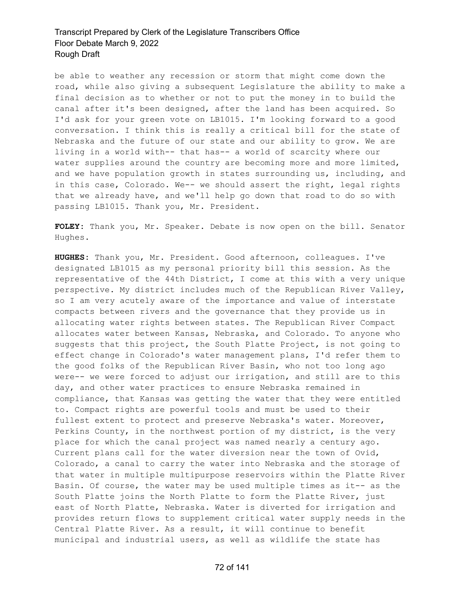be able to weather any recession or storm that might come down the road, while also giving a subsequent Legislature the ability to make a final decision as to whether or not to put the money in to build the canal after it's been designed, after the land has been acquired. So I'd ask for your green vote on LB1015. I'm looking forward to a good conversation. I think this is really a critical bill for the state of Nebraska and the future of our state and our ability to grow. We are living in a world with-- that has-- a world of scarcity where our water supplies around the country are becoming more and more limited, and we have population growth in states surrounding us, including, and in this case, Colorado. We-- we should assert the right, legal rights that we already have, and we'll help go down that road to do so with passing LB1015. Thank you, Mr. President.

**FOLEY:** Thank you, Mr. Speaker. Debate is now open on the bill. Senator Hughes.

**HUGHES:** Thank you, Mr. President. Good afternoon, colleagues. I've designated LB1015 as my personal priority bill this session. As the representative of the 44th District, I come at this with a very unique perspective. My district includes much of the Republican River Valley, so I am very acutely aware of the importance and value of interstate compacts between rivers and the governance that they provide us in allocating water rights between states. The Republican River Compact allocates water between Kansas, Nebraska, and Colorado. To anyone who suggests that this project, the South Platte Project, is not going to effect change in Colorado's water management plans, I'd refer them to the good folks of the Republican River Basin, who not too long ago were-- we were forced to adjust our irrigation, and still are to this day, and other water practices to ensure Nebraska remained in compliance, that Kansas was getting the water that they were entitled to. Compact rights are powerful tools and must be used to their fullest extent to protect and preserve Nebraska's water. Moreover, Perkins County, in the northwest portion of my district, is the very place for which the canal project was named nearly a century ago. Current plans call for the water diversion near the town of Ovid, Colorado, a canal to carry the water into Nebraska and the storage of that water in multiple multipurpose reservoirs within the Platte River Basin. Of course, the water may be used multiple times as it-- as the South Platte joins the North Platte to form the Platte River, just east of North Platte, Nebraska. Water is diverted for irrigation and provides return flows to supplement critical water supply needs in the Central Platte River. As a result, it will continue to benefit municipal and industrial users, as well as wildlife the state has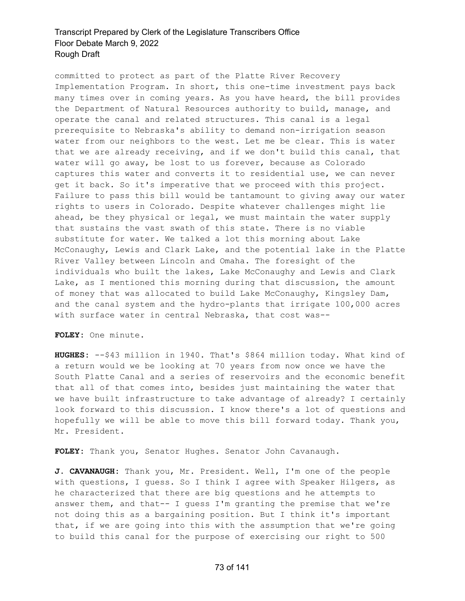committed to protect as part of the Platte River Recovery Implementation Program. In short, this one-time investment pays back many times over in coming years. As you have heard, the bill provides the Department of Natural Resources authority to build, manage, and operate the canal and related structures. This canal is a legal prerequisite to Nebraska's ability to demand non-irrigation season water from our neighbors to the west. Let me be clear. This is water that we are already receiving, and if we don't build this canal, that water will go away, be lost to us forever, because as Colorado captures this water and converts it to residential use, we can never get it back. So it's imperative that we proceed with this project. Failure to pass this bill would be tantamount to giving away our water rights to users in Colorado. Despite whatever challenges might lie ahead, be they physical or legal, we must maintain the water supply that sustains the vast swath of this state. There is no viable substitute for water. We talked a lot this morning about Lake McConaughy, Lewis and Clark Lake, and the potential lake in the Platte River Valley between Lincoln and Omaha. The foresight of the individuals who built the lakes, Lake McConaughy and Lewis and Clark Lake, as I mentioned this morning during that discussion, the amount of money that was allocated to build Lake McConaughy, Kingsley Dam, and the canal system and the hydro-plants that irrigate 100,000 acres with surface water in central Nebraska, that cost was--

**FOLEY:** One minute.

**HUGHES:** --\$43 million in 1940. That's \$864 million today. What kind of a return would we be looking at 70 years from now once we have the South Platte Canal and a series of reservoirs and the economic benefit that all of that comes into, besides just maintaining the water that we have built infrastructure to take advantage of already? I certainly look forward to this discussion. I know there's a lot of questions and hopefully we will be able to move this bill forward today. Thank you, Mr. President.

**FOLEY:** Thank you, Senator Hughes. Senator John Cavanaugh.

**J. CAVANAUGH:** Thank you, Mr. President. Well, I'm one of the people with questions, I guess. So I think I agree with Speaker Hilgers, as he characterized that there are big questions and he attempts to answer them, and that-- I guess I'm granting the premise that we're not doing this as a bargaining position. But I think it's important that, if we are going into this with the assumption that we're going to build this canal for the purpose of exercising our right to 500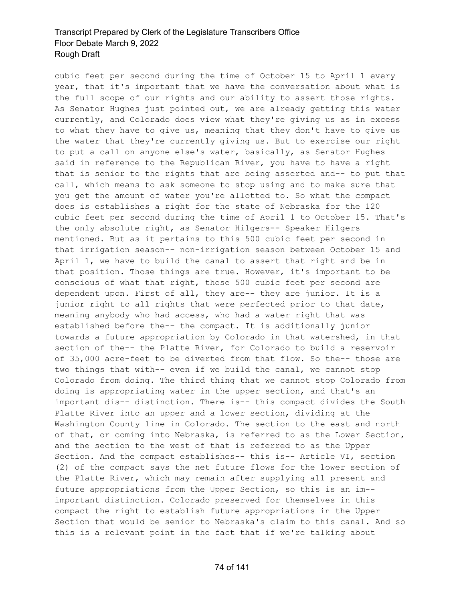cubic feet per second during the time of October 15 to April 1 every year, that it's important that we have the conversation about what is the full scope of our rights and our ability to assert those rights. As Senator Hughes just pointed out, we are already getting this water currently, and Colorado does view what they're giving us as in excess to what they have to give us, meaning that they don't have to give us the water that they're currently giving us. But to exercise our right to put a call on anyone else's water, basically, as Senator Hughes said in reference to the Republican River, you have to have a right that is senior to the rights that are being asserted and-- to put that call, which means to ask someone to stop using and to make sure that you get the amount of water you're allotted to. So what the compact does is establishes a right for the state of Nebraska for the 120 cubic feet per second during the time of April 1 to October 15. That's the only absolute right, as Senator Hilgers-- Speaker Hilgers mentioned. But as it pertains to this 500 cubic feet per second in that irrigation season-- non-irrigation season between October 15 and April 1, we have to build the canal to assert that right and be in that position. Those things are true. However, it's important to be conscious of what that right, those 500 cubic feet per second are dependent upon. First of all, they are-- they are junior. It is a junior right to all rights that were perfected prior to that date, meaning anybody who had access, who had a water right that was established before the-- the compact. It is additionally junior towards a future appropriation by Colorado in that watershed, in that section of the-- the Platte River, for Colorado to build a reservoir of 35,000 acre-feet to be diverted from that flow. So the-- those are two things that with-- even if we build the canal, we cannot stop Colorado from doing. The third thing that we cannot stop Colorado from doing is appropriating water in the upper section, and that's an important dis-- distinction. There is-- this compact divides the South Platte River into an upper and a lower section, dividing at the Washington County line in Colorado. The section to the east and north of that, or coming into Nebraska, is referred to as the Lower Section, and the section to the west of that is referred to as the Upper Section. And the compact establishes-- this is-- Article VI, section (2) of the compact says the net future flows for the lower section of the Platte River, which may remain after supplying all present and future appropriations from the Upper Section, so this is an im- important distinction. Colorado preserved for themselves in this compact the right to establish future appropriations in the Upper Section that would be senior to Nebraska's claim to this canal. And so this is a relevant point in the fact that if we're talking about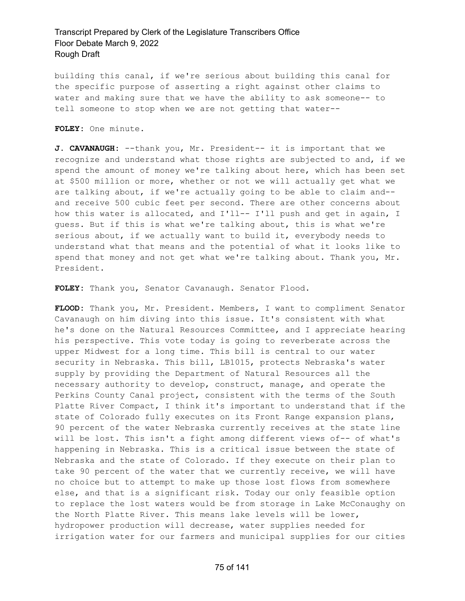building this canal, if we're serious about building this canal for the specific purpose of asserting a right against other claims to water and making sure that we have the ability to ask someone-- to tell someone to stop when we are not getting that water--

**FOLEY:** One minute.

**J. CAVANAUGH:** --thank you, Mr. President-- it is important that we recognize and understand what those rights are subjected to and, if we spend the amount of money we're talking about here, which has been set at \$500 million or more, whether or not we will actually get what we are talking about, if we're actually going to be able to claim and- and receive 500 cubic feet per second. There are other concerns about how this water is allocated, and I'll-- I'll push and get in again, I guess. But if this is what we're talking about, this is what we're serious about, if we actually want to build it, everybody needs to understand what that means and the potential of what it looks like to spend that money and not get what we're talking about. Thank you, Mr. President.

**FOLEY:** Thank you, Senator Cavanaugh. Senator Flood.

**FLOOD:** Thank you, Mr. President. Members, I want to compliment Senator Cavanaugh on him diving into this issue. It's consistent with what he's done on the Natural Resources Committee, and I appreciate hearing his perspective. This vote today is going to reverberate across the upper Midwest for a long time. This bill is central to our water security in Nebraska. This bill, LB1015, protects Nebraska's water supply by providing the Department of Natural Resources all the necessary authority to develop, construct, manage, and operate the Perkins County Canal project, consistent with the terms of the South Platte River Compact, I think it's important to understand that if the state of Colorado fully executes on its Front Range expansion plans, 90 percent of the water Nebraska currently receives at the state line will be lost. This isn't a fight among different views of-- of what's happening in Nebraska. This is a critical issue between the state of Nebraska and the state of Colorado. If they execute on their plan to take 90 percent of the water that we currently receive, we will have no choice but to attempt to make up those lost flows from somewhere else, and that is a significant risk. Today our only feasible option to replace the lost waters would be from storage in Lake McConaughy on the North Platte River. This means lake levels will be lower, hydropower production will decrease, water supplies needed for irrigation water for our farmers and municipal supplies for our cities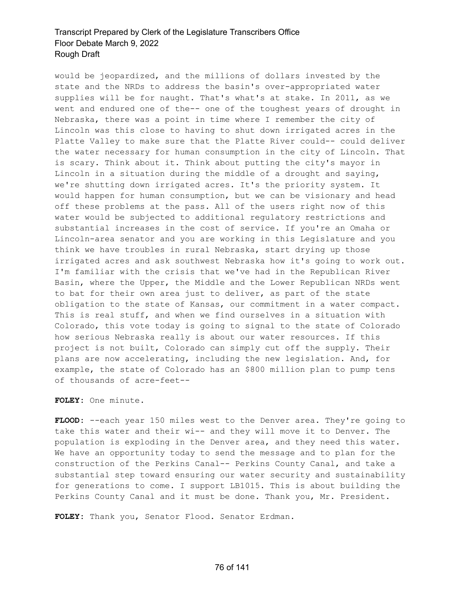would be jeopardized, and the millions of dollars invested by the state and the NRDs to address the basin's over-appropriated water supplies will be for naught. That's what's at stake. In 2011, as we went and endured one of the-- one of the toughest years of drought in Nebraska, there was a point in time where I remember the city of Lincoln was this close to having to shut down irrigated acres in the Platte Valley to make sure that the Platte River could-- could deliver the water necessary for human consumption in the city of Lincoln. That is scary. Think about it. Think about putting the city's mayor in Lincoln in a situation during the middle of a drought and saying, we're shutting down irrigated acres. It's the priority system. It would happen for human consumption, but we can be visionary and head off these problems at the pass. All of the users right now of this water would be subjected to additional regulatory restrictions and substantial increases in the cost of service. If you're an Omaha or Lincoln-area senator and you are working in this Legislature and you think we have troubles in rural Nebraska, start drying up those irrigated acres and ask southwest Nebraska how it's going to work out. I'm familiar with the crisis that we've had in the Republican River Basin, where the Upper, the Middle and the Lower Republican NRDs went to bat for their own area just to deliver, as part of the state obligation to the state of Kansas, our commitment in a water compact. This is real stuff, and when we find ourselves in a situation with Colorado, this vote today is going to signal to the state of Colorado how serious Nebraska really is about our water resources. If this project is not built, Colorado can simply cut off the supply. Their plans are now accelerating, including the new legislation. And, for example, the state of Colorado has an \$800 million plan to pump tens of thousands of acre-feet--

#### **FOLEY:** One minute.

**FLOOD:** --each year 150 miles west to the Denver area. They're going to take this water and their wi-- and they will move it to Denver. The population is exploding in the Denver area, and they need this water. We have an opportunity today to send the message and to plan for the construction of the Perkins Canal-- Perkins County Canal, and take a substantial step toward ensuring our water security and sustainability for generations to come. I support LB1015. This is about building the Perkins County Canal and it must be done. Thank you, Mr. President.

**FOLEY:** Thank you, Senator Flood. Senator Erdman.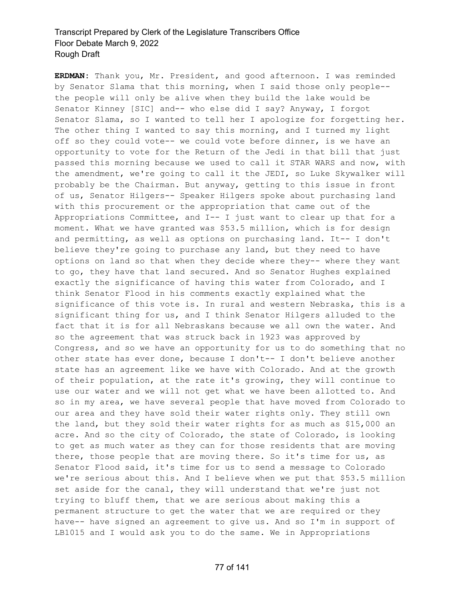**ERDMAN:** Thank you, Mr. President, and good afternoon. I was reminded by Senator Slama that this morning, when I said those only people- the people will only be alive when they build the lake would be Senator Kinney [SIC] and-- who else did I say? Anyway, I forgot Senator Slama, so I wanted to tell her I apologize for forgetting her. The other thing I wanted to say this morning, and I turned my light off so they could vote-- we could vote before dinner, is we have an opportunity to vote for the Return of the Jedi in that bill that just passed this morning because we used to call it STAR WARS and now, with the amendment, we're going to call it the JEDI, so Luke Skywalker will probably be the Chairman. But anyway, getting to this issue in front of us, Senator Hilgers-- Speaker Hilgers spoke about purchasing land with this procurement or the appropriation that came out of the Appropriations Committee, and I-- I just want to clear up that for a moment. What we have granted was \$53.5 million, which is for design and permitting, as well as options on purchasing land. It-- I don't believe they're going to purchase any land, but they need to have options on land so that when they decide where they-- where they want to go, they have that land secured. And so Senator Hughes explained exactly the significance of having this water from Colorado, and I think Senator Flood in his comments exactly explained what the significance of this vote is. In rural and western Nebraska, this is a significant thing for us, and I think Senator Hilgers alluded to the fact that it is for all Nebraskans because we all own the water. And so the agreement that was struck back in 1923 was approved by Congress, and so we have an opportunity for us to do something that no other state has ever done, because I don't-- I don't believe another state has an agreement like we have with Colorado. And at the growth of their population, at the rate it's growing, they will continue to use our water and we will not get what we have been allotted to. And so in my area, we have several people that have moved from Colorado to our area and they have sold their water rights only. They still own the land, but they sold their water rights for as much as \$15,000 an acre. And so the city of Colorado, the state of Colorado, is looking to get as much water as they can for those residents that are moving there, those people that are moving there. So it's time for us, as Senator Flood said, it's time for us to send a message to Colorado we're serious about this. And I believe when we put that \$53.5 million set aside for the canal, they will understand that we're just not trying to bluff them, that we are serious about making this a permanent structure to get the water that we are required or they have-- have signed an agreement to give us. And so I'm in support of LB1015 and I would ask you to do the same. We in Appropriations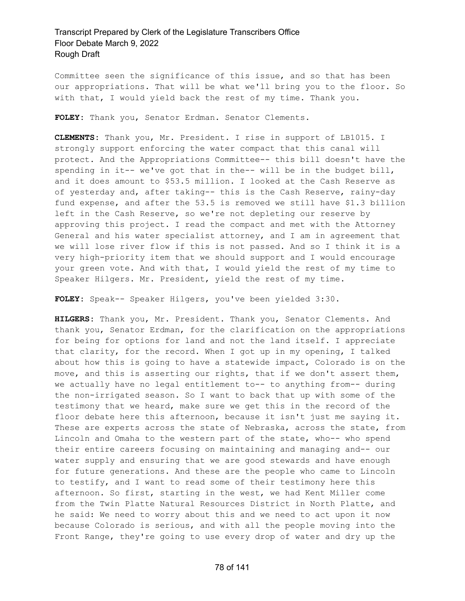Committee seen the significance of this issue, and so that has been our appropriations. That will be what we'll bring you to the floor. So with that, I would yield back the rest of my time. Thank you.

**FOLEY:** Thank you, Senator Erdman. Senator Clements.

**CLEMENTS:** Thank you, Mr. President. I rise in support of LB1015. I strongly support enforcing the water compact that this canal will protect. And the Appropriations Committee-- this bill doesn't have the spending in it-- we've got that in the-- will be in the budget bill, and it does amount to \$53.5 million. I looked at the Cash Reserve as of yesterday and, after taking-- this is the Cash Reserve, rainy-day fund expense, and after the 53.5 is removed we still have \$1.3 billion left in the Cash Reserve, so we're not depleting our reserve by approving this project. I read the compact and met with the Attorney General and his water specialist attorney, and I am in agreement that we will lose river flow if this is not passed. And so I think it is a very high-priority item that we should support and I would encourage your green vote. And with that, I would yield the rest of my time to Speaker Hilgers. Mr. President, yield the rest of my time.

**FOLEY:** Speak-- Speaker Hilgers, you've been yielded 3:30.

**HILGERS:** Thank you, Mr. President. Thank you, Senator Clements. And thank you, Senator Erdman, for the clarification on the appropriations for being for options for land and not the land itself. I appreciate that clarity, for the record. When I got up in my opening, I talked about how this is going to have a statewide impact, Colorado is on the move, and this is asserting our rights, that if we don't assert them, we actually have no legal entitlement to-- to anything from-- during the non-irrigated season. So I want to back that up with some of the testimony that we heard, make sure we get this in the record of the floor debate here this afternoon, because it isn't just me saying it. These are experts across the state of Nebraska, across the state, from Lincoln and Omaha to the western part of the state, who-- who spend their entire careers focusing on maintaining and managing and-- our water supply and ensuring that we are good stewards and have enough for future generations. And these are the people who came to Lincoln to testify, and I want to read some of their testimony here this afternoon. So first, starting in the west, we had Kent Miller come from the Twin Platte Natural Resources District in North Platte, and he said: We need to worry about this and we need to act upon it now because Colorado is serious, and with all the people moving into the Front Range, they're going to use every drop of water and dry up the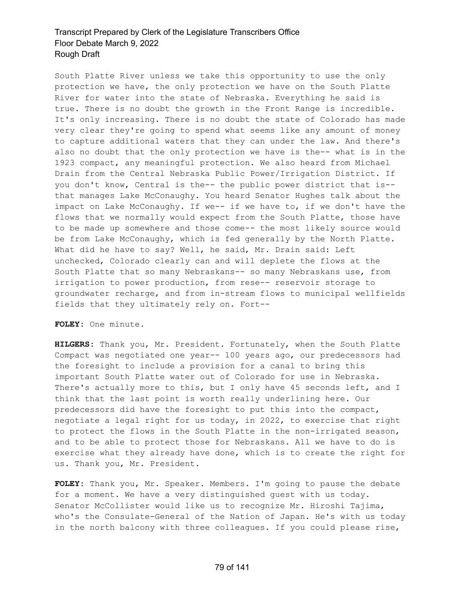South Platte River unless we take this opportunity to use the only protection we have, the only protection we have on the South Platte River for water into the state of Nebraska. Everything he said is true. There is no doubt the growth in the Front Range is incredible. It's only increasing. There is no doubt the state of Colorado has made very clear they're going to spend what seems like any amount of money to capture additional waters that they can under the law. And there's also no doubt that the only protection we have is the-- what is in the 1923 compact, any meaningful protection. We also heard from Michael Drain from the Central Nebraska Public Power/Irrigation District. If you don't know, Central is the-- the public power district that is- that manages Lake McConaughy. You heard Senator Hughes talk about the impact on Lake McConaughy. If we-- if we have to, if we don't have the flows that we normally would expect from the South Platte, those have to be made up somewhere and those come-- the most likely source would be from Lake McConaughy, which is fed generally by the North Platte. What did he have to say? Well, he said, Mr. Drain said: Left unchecked, Colorado clearly can and will deplete the flows at the South Platte that so many Nebraskans-- so many Nebraskans use, from irrigation to power production, from rese-- reservoir storage to groundwater recharge, and from in-stream flows to municipal wellfields fields that they ultimately rely on. Fort--

#### **FOLEY:** One minute.

**HILGERS:** Thank you, Mr. President. Fortunately, when the South Platte Compact was negotiated one year-- 100 years ago, our predecessors had the foresight to include a provision for a canal to bring this important South Platte water out of Colorado for use in Nebraska. There's actually more to this, but I only have 45 seconds left, and I think that the last point is worth really underlining here. Our predecessors did have the foresight to put this into the compact, negotiate a legal right for us today, in 2022, to exercise that right to protect the flows in the South Platte in the non-irrigated season, and to be able to protect those for Nebraskans. All we have to do is exercise what they already have done, which is to create the right for us. Thank you, Mr. President.

**FOLEY:** Thank you, Mr. Speaker. Members. I'm going to pause the debate for a moment. We have a very distinguished guest with us today. Senator McCollister would like us to recognize Mr. Hiroshi Tajima, who's the Consulate-General of the Nation of Japan. He's with us today in the north balcony with three colleagues. If you could please rise,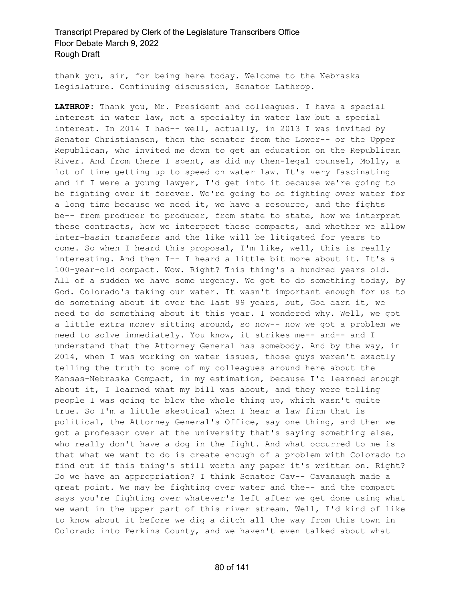thank you, sir, for being here today. Welcome to the Nebraska Legislature. Continuing discussion, Senator Lathrop.

**LATHROP:** Thank you, Mr. President and colleagues. I have a special interest in water law, not a specialty in water law but a special interest. In 2014 I had-- well, actually, in 2013 I was invited by Senator Christiansen, then the senator from the Lower-- or the Upper Republican, who invited me down to get an education on the Republican River. And from there I spent, as did my then-legal counsel, Molly, a lot of time getting up to speed on water law. It's very fascinating and if I were a young lawyer, I'd get into it because we're going to be fighting over it forever. We're going to be fighting over water for a long time because we need it, we have a resource, and the fights be-- from producer to producer, from state to state, how we interpret these contracts, how we interpret these compacts, and whether we allow inter-basin transfers and the like will be litigated for years to come. So when I heard this proposal, I'm like, well, this is really interesting. And then I-- I heard a little bit more about it. It's a 100-year-old compact. Wow. Right? This thing's a hundred years old. All of a sudden we have some urgency. We got to do something today, by God. Colorado's taking our water. It wasn't important enough for us to do something about it over the last 99 years, but, God darn it, we need to do something about it this year. I wondered why. Well, we got a little extra money sitting around, so now-- now we got a problem we need to solve immediately. You know, it strikes me-- and-- and I understand that the Attorney General has somebody. And by the way, in 2014, when I was working on water issues, those guys weren't exactly telling the truth to some of my colleagues around here about the Kansas-Nebraska Compact, in my estimation, because I'd learned enough about it, I learned what my bill was about, and they were telling people I was going to blow the whole thing up, which wasn't quite true. So I'm a little skeptical when I hear a law firm that is political, the Attorney General's Office, say one thing, and then we got a professor over at the university that's saying something else, who really don't have a dog in the fight. And what occurred to me is that what we want to do is create enough of a problem with Colorado to find out if this thing's still worth any paper it's written on. Right? Do we have an appropriation? I think Senator Cav-- Cavanaugh made a great point. We may be fighting over water and the-- and the compact says you're fighting over whatever's left after we get done using what we want in the upper part of this river stream. Well, I'd kind of like to know about it before we dig a ditch all the way from this town in Colorado into Perkins County, and we haven't even talked about what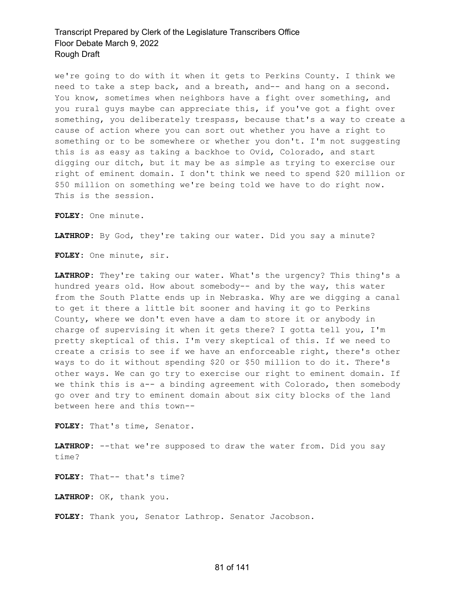we're going to do with it when it gets to Perkins County. I think we need to take a step back, and a breath, and-- and hang on a second. You know, sometimes when neighbors have a fight over something, and you rural guys maybe can appreciate this, if you've got a fight over something, you deliberately trespass, because that's a way to create a cause of action where you can sort out whether you have a right to something or to be somewhere or whether you don't. I'm not suggesting this is as easy as taking a backhoe to Ovid, Colorado, and start digging our ditch, but it may be as simple as trying to exercise our right of eminent domain. I don't think we need to spend \$20 million or \$50 million on something we're being told we have to do right now. This is the session.

**FOLEY:** One minute.

**LATHROP:** By God, they're taking our water. Did you say a minute?

**FOLEY:** One minute, sir.

**LATHROP:** They're taking our water. What's the urgency? This thing's a hundred years old. How about somebody-- and by the way, this water from the South Platte ends up in Nebraska. Why are we digging a canal to get it there a little bit sooner and having it go to Perkins County, where we don't even have a dam to store it or anybody in charge of supervising it when it gets there? I gotta tell you, I'm pretty skeptical of this. I'm very skeptical of this. If we need to create a crisis to see if we have an enforceable right, there's other ways to do it without spending \$20 or \$50 million to do it. There's other ways. We can go try to exercise our right to eminent domain. If we think this is a-- a binding agreement with Colorado, then somebody go over and try to eminent domain about six city blocks of the land between here and this town--

**FOLEY:** That's time, Senator.

**LATHROP:** --that we're supposed to draw the water from. Did you say time?

**FOLEY:** That-- that's time?

**LATHROP:** OK, thank you.

**FOLEY:** Thank you, Senator Lathrop. Senator Jacobson.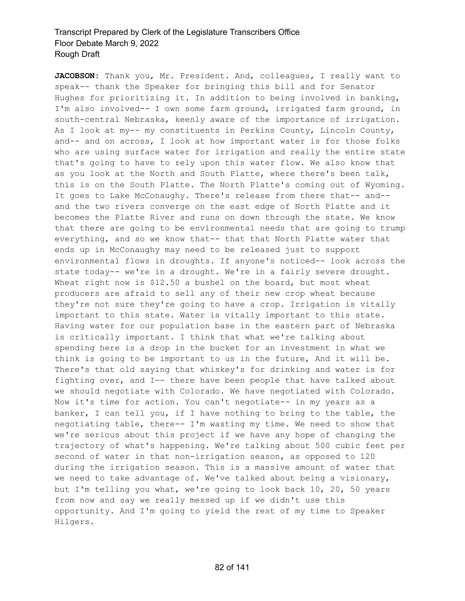**JACOBSON:** Thank you, Mr. President. And, colleagues, I really want to speak-- thank the Speaker for bringing this bill and for Senator Hughes for prioritizing it. In addition to being involved in banking, I'm also involved-- I own some farm ground, irrigated farm ground, in south-central Nebraska, keenly aware of the importance of irrigation. As I look at my-- my constituents in Perkins County, Lincoln County, and-- and on across, I look at how important water is for those folks who are using surface water for irrigation and really the entire state that's going to have to rely upon this water flow. We also know that as you look at the North and South Platte, where there's been talk, this is on the South Platte. The North Platte's coming out of Wyoming. It goes to Lake McConaughy. There's release from there that-- and- and the two rivers converge on the east edge of North Platte and it becomes the Platte River and runs on down through the state. We know that there are going to be environmental needs that are going to trump everything, and so we know that-- that that North Platte water that ends up in McConaughy may need to be released just to support environmental flows in droughts. If anyone's noticed-- look across the state today-- we're in a drought. We're in a fairly severe drought. Wheat right now is \$12.50 a bushel on the board, but most wheat producers are afraid to sell any of their new crop wheat because they're not sure they're going to have a crop. Irrigation is vitally important to this state. Water is vitally important to this state. Having water for our population base in the eastern part of Nebraska is critically important. I think that what we're talking about spending here is a drop in the bucket for an investment in what we think is going to be important to us in the future, And it will be. There's that old saying that whiskey's for drinking and water is for fighting over, and I-- there have been people that have talked about we should negotiate with Colorado. We have negotiated with Colorado. Now it's time for action. You can't negotiate-- in my years as a banker, I can tell you, if I have nothing to bring to the table, the negotiating table, there-- I'm wasting my time. We need to show that we're serious about this project if we have any hope of changing the trajectory of what's happening. We're talking about 500 cubic feet per second of water in that non-irrigation season, as opposed to 120 during the irrigation season. This is a massive amount of water that we need to take advantage of. We've talked about being a visionary, but I'm telling you what, we're going to look back 10, 20, 50 years from now and say we really messed up if we didn't use this opportunity. And I'm going to yield the rest of my time to Speaker Hilgers.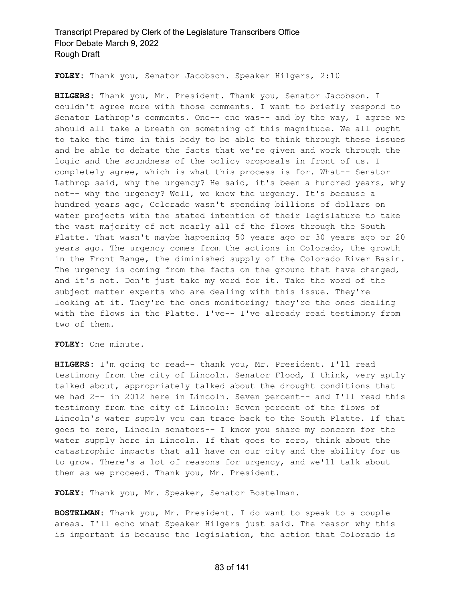**FOLEY:** Thank you, Senator Jacobson. Speaker Hilgers, 2:10

**HILGERS:** Thank you, Mr. President. Thank you, Senator Jacobson. I couldn't agree more with those comments. I want to briefly respond to Senator Lathrop's comments. One-- one was-- and by the way, I agree we should all take a breath on something of this magnitude. We all ought to take the time in this body to be able to think through these issues and be able to debate the facts that we're given and work through the logic and the soundness of the policy proposals in front of us. I completely agree, which is what this process is for. What-- Senator Lathrop said, why the urgency? He said, it's been a hundred years, why not-- why the urgency? Well, we know the urgency. It's because a hundred years ago, Colorado wasn't spending billions of dollars on water projects with the stated intention of their legislature to take the vast majority of not nearly all of the flows through the South Platte. That wasn't maybe happening 50 years ago or 30 years ago or 20 years ago. The urgency comes from the actions in Colorado, the growth in the Front Range, the diminished supply of the Colorado River Basin. The urgency is coming from the facts on the ground that have changed, and it's not. Don't just take my word for it. Take the word of the subject matter experts who are dealing with this issue. They're looking at it. They're the ones monitoring; they're the ones dealing with the flows in the Platte. I've-- I've already read testimony from two of them.

**FOLEY:** One minute.

**HILGERS:** I'm going to read-- thank you, Mr. President. I'll read testimony from the city of Lincoln. Senator Flood, I think, very aptly talked about, appropriately talked about the drought conditions that we had 2-- in 2012 here in Lincoln. Seven percent-- and I'll read this testimony from the city of Lincoln: Seven percent of the flows of Lincoln's water supply you can trace back to the South Platte. If that goes to zero, Lincoln senators-- I know you share my concern for the water supply here in Lincoln. If that goes to zero, think about the catastrophic impacts that all have on our city and the ability for us to grow. There's a lot of reasons for urgency, and we'll talk about them as we proceed. Thank you, Mr. President.

**FOLEY:** Thank you, Mr. Speaker, Senator Bostelman.

**BOSTELMAN:** Thank you, Mr. President. I do want to speak to a couple areas. I'll echo what Speaker Hilgers just said. The reason why this is important is because the legislation, the action that Colorado is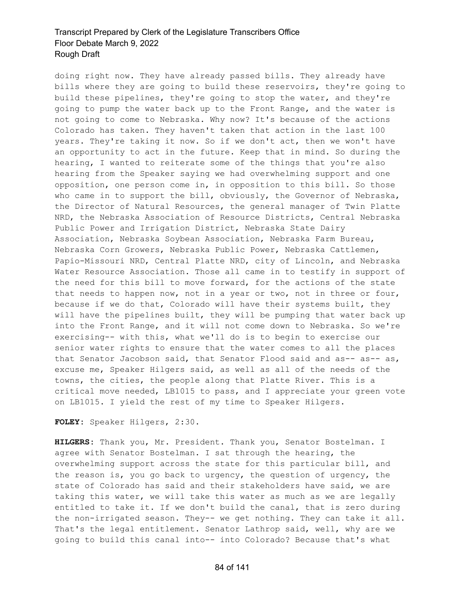doing right now. They have already passed bills. They already have bills where they are going to build these reservoirs, they're going to build these pipelines, they're going to stop the water, and they're going to pump the water back up to the Front Range, and the water is not going to come to Nebraska. Why now? It's because of the actions Colorado has taken. They haven't taken that action in the last 100 years. They're taking it now. So if we don't act, then we won't have an opportunity to act in the future. Keep that in mind. So during the hearing, I wanted to reiterate some of the things that you're also hearing from the Speaker saying we had overwhelming support and one opposition, one person come in, in opposition to this bill. So those who came in to support the bill, obviously, the Governor of Nebraska, the Director of Natural Resources, the general manager of Twin Platte NRD, the Nebraska Association of Resource Districts, Central Nebraska Public Power and Irrigation District, Nebraska State Dairy Association, Nebraska Soybean Association, Nebraska Farm Bureau, Nebraska Corn Growers, Nebraska Public Power, Nebraska Cattlemen, Papio-Missouri NRD, Central Platte NRD, city of Lincoln, and Nebraska Water Resource Association. Those all came in to testify in support of the need for this bill to move forward, for the actions of the state that needs to happen now, not in a year or two, not in three or four, because if we do that, Colorado will have their systems built, they will have the pipelines built, they will be pumping that water back up into the Front Range, and it will not come down to Nebraska. So we're exercising-- with this, what we'll do is to begin to exercise our senior water rights to ensure that the water comes to all the places that Senator Jacobson said, that Senator Flood said and as-- as-- as, excuse me, Speaker Hilgers said, as well as all of the needs of the towns, the cities, the people along that Platte River. This is a critical move needed, LB1015 to pass, and I appreciate your green vote on LB1015. I yield the rest of my time to Speaker Hilgers.

**FOLEY:** Speaker Hilgers, 2:30.

**HILGERS:** Thank you, Mr. President. Thank you, Senator Bostelman. I agree with Senator Bostelman. I sat through the hearing, the overwhelming support across the state for this particular bill, and the reason is, you go back to urgency, the question of urgency, the state of Colorado has said and their stakeholders have said, we are taking this water, we will take this water as much as we are legally entitled to take it. If we don't build the canal, that is zero during the non-irrigated season. They-- we get nothing. They can take it all. That's the legal entitlement. Senator Lathrop said, well, why are we going to build this canal into-- into Colorado? Because that's what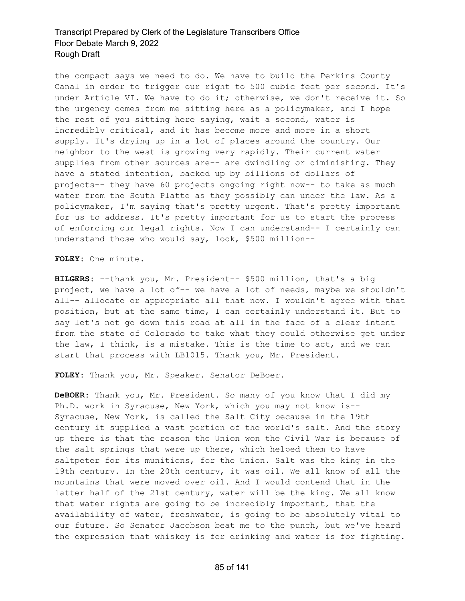the compact says we need to do. We have to build the Perkins County Canal in order to trigger our right to 500 cubic feet per second. It's under Article VI. We have to do it; otherwise, we don't receive it. So the urgency comes from me sitting here as a policymaker, and I hope the rest of you sitting here saying, wait a second, water is incredibly critical, and it has become more and more in a short supply. It's drying up in a lot of places around the country. Our neighbor to the west is growing very rapidly. Their current water supplies from other sources are-- are dwindling or diminishing. They have a stated intention, backed up by billions of dollars of projects-- they have 60 projects ongoing right now-- to take as much water from the South Platte as they possibly can under the law. As a policymaker, I'm saying that's pretty urgent. That's pretty important for us to address. It's pretty important for us to start the process of enforcing our legal rights. Now I can understand-- I certainly can understand those who would say, look, \$500 million--

**FOLEY:** One minute.

**HILGERS:** --thank you, Mr. President-- \$500 million, that's a big project, we have a lot of-- we have a lot of needs, maybe we shouldn't all-- allocate or appropriate all that now. I wouldn't agree with that position, but at the same time, I can certainly understand it. But to say let's not go down this road at all in the face of a clear intent from the state of Colorado to take what they could otherwise get under the law, I think, is a mistake. This is the time to act, and we can start that process with LB1015. Thank you, Mr. President.

**FOLEY:** Thank you, Mr. Speaker. Senator DeBoer.

**DeBOER:** Thank you, Mr. President. So many of you know that I did my Ph.D. work in Syracuse, New York, which you may not know is-- Syracuse, New York, is called the Salt City because in the 19th century it supplied a vast portion of the world's salt. And the story up there is that the reason the Union won the Civil War is because of the salt springs that were up there, which helped them to have saltpeter for its munitions, for the Union. Salt was the king in the 19th century. In the 20th century, it was oil. We all know of all the mountains that were moved over oil. And I would contend that in the latter half of the 21st century, water will be the king. We all know that water rights are going to be incredibly important, that the availability of water, freshwater, is going to be absolutely vital to our future. So Senator Jacobson beat me to the punch, but we've heard the expression that whiskey is for drinking and water is for fighting.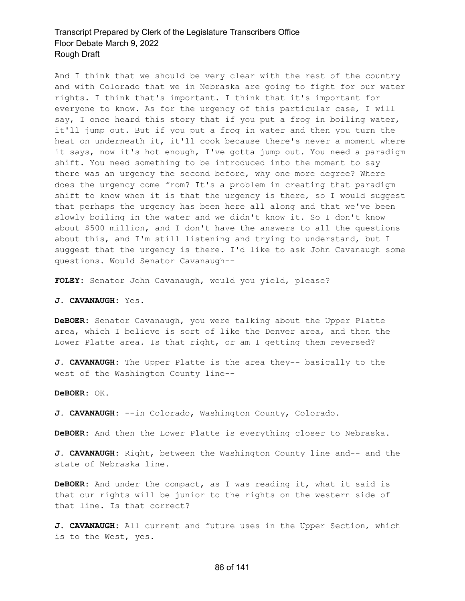And I think that we should be very clear with the rest of the country and with Colorado that we in Nebraska are going to fight for our water rights. I think that's important. I think that it's important for everyone to know. As for the urgency of this particular case, I will say, I once heard this story that if you put a frog in boiling water, it'll jump out. But if you put a frog in water and then you turn the heat on underneath it, it'll cook because there's never a moment where it says, now it's hot enough, I've gotta jump out. You need a paradigm shift. You need something to be introduced into the moment to say there was an urgency the second before, why one more degree? Where does the urgency come from? It's a problem in creating that paradigm shift to know when it is that the urgency is there, so I would suggest that perhaps the urgency has been here all along and that we've been slowly boiling in the water and we didn't know it. So I don't know about \$500 million, and I don't have the answers to all the questions about this, and I'm still listening and trying to understand, but I suggest that the urgency is there. I'd like to ask John Cavanaugh some questions. Would Senator Cavanaugh--

**FOLEY:** Senator John Cavanaugh, would you yield, please?

**J. CAVANAUGH:** Yes.

**DeBOER:** Senator Cavanaugh, you were talking about the Upper Platte area, which I believe is sort of like the Denver area, and then the Lower Platte area. Is that right, or am I getting them reversed?

**J. CAVANAUGH:** The Upper Platte is the area they-- basically to the west of the Washington County line--

**DeBOER:** OK.

**J. CAVANAUGH:** --in Colorado, Washington County, Colorado.

**DeBOER:** And then the Lower Platte is everything closer to Nebraska.

**J. CAVANAUGH:** Right, between the Washington County line and-- and the state of Nebraska line.

**DeBOER:** And under the compact, as I was reading it, what it said is that our rights will be junior to the rights on the western side of that line. Is that correct?

**J. CAVANAUGH:** All current and future uses in the Upper Section, which is to the West, yes.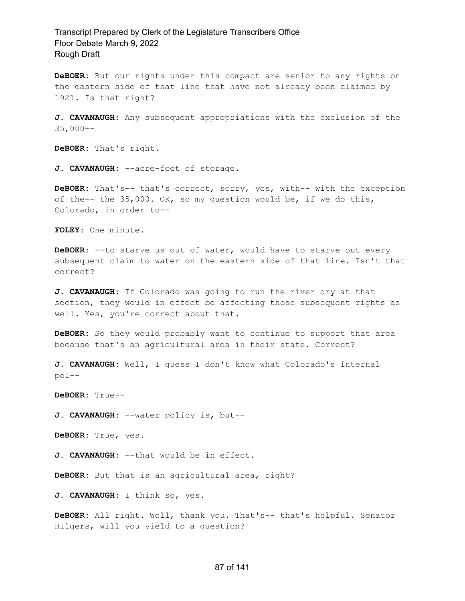**DeBOER:** But our rights under this compact are senior to any rights on the eastern side of that line that have not already been claimed by 1921. Is that right?

**J. CAVANAUGH:** Any subsequent appropriations with the exclusion of the 35,000--

**DeBOER:** That's right.

**J. CAVANAUGH:** --acre-feet of storage.

**DeBOER:** That's-- that's correct, sorry, yes, with-- with the exception of the-- the 35,000. OK, so my question would be, if we do this, Colorado, in order to--

**FOLEY:** One minute.

**DeBOER:** --to starve us out of water, would have to starve out every subsequent claim to water on the eastern side of that line. Isn't that correct?

**J. CAVANAUGH:** If Colorado was going to run the river dry at that section, they would in effect be affecting those subsequent rights as well. Yes, you're correct about that.

**DeBOER:** So they would probably want to continue to support that area because that's an agricultural area in their state. Correct?

**J. CAVANAUGH:** Well, I guess I don't know what Colorado's internal pol--

**DeBOER:** True--

**J. CAVANAUGH:** --water policy is, but--

**DeBOER:** True, yes.

**J. CAVANAUGH:** --that would be in effect.

**DeBOER:** But that is an agricultural area, right?

**J. CAVANAUGH:** I think so, yes.

**DeBOER:** All right. Well, thank you. That's-- that's helpful. Senator Hilgers, will you yield to a question?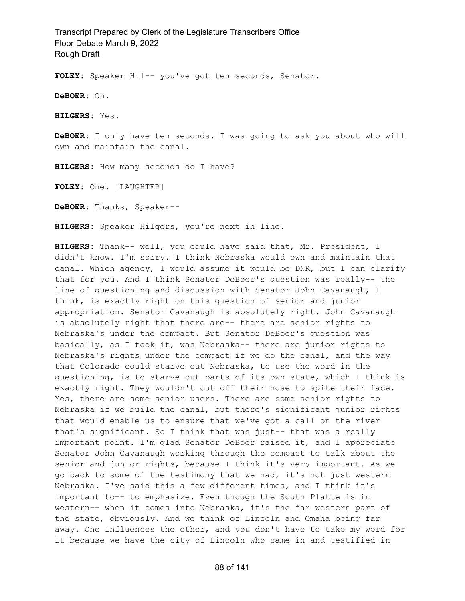**FOLEY:** Speaker Hil-- you've got ten seconds, Senator.

**DeBOER:** Oh.

**HILGERS:** Yes.

**DeBOER:** I only have ten seconds. I was going to ask you about who will own and maintain the canal.

**HILGERS:** How many seconds do I have?

**FOLEY:** One. [LAUGHTER]

**DeBOER:** Thanks, Speaker--

**HILGERS:** Speaker Hilgers, you're next in line.

**HILGERS:** Thank-- well, you could have said that, Mr. President, I didn't know. I'm sorry. I think Nebraska would own and maintain that canal. Which agency, I would assume it would be DNR, but I can clarify that for you. And I think Senator DeBoer's question was really-- the line of questioning and discussion with Senator John Cavanaugh, I think, is exactly right on this question of senior and junior appropriation. Senator Cavanaugh is absolutely right. John Cavanaugh is absolutely right that there are-- there are senior rights to Nebraska's under the compact. But Senator DeBoer's question was basically, as I took it, was Nebraska-- there are junior rights to Nebraska's rights under the compact if we do the canal, and the way that Colorado could starve out Nebraska, to use the word in the questioning, is to starve out parts of its own state, which I think is exactly right. They wouldn't cut off their nose to spite their face. Yes, there are some senior users. There are some senior rights to Nebraska if we build the canal, but there's significant junior rights that would enable us to ensure that we've got a call on the river that's significant. So I think that was just-- that was a really important point. I'm glad Senator DeBoer raised it, and I appreciate Senator John Cavanaugh working through the compact to talk about the senior and junior rights, because I think it's very important. As we go back to some of the testimony that we had, it's not just western Nebraska. I've said this a few different times, and I think it's important to-- to emphasize. Even though the South Platte is in western-- when it comes into Nebraska, it's the far western part of the state, obviously. And we think of Lincoln and Omaha being far away. One influences the other, and you don't have to take my word for it because we have the city of Lincoln who came in and testified in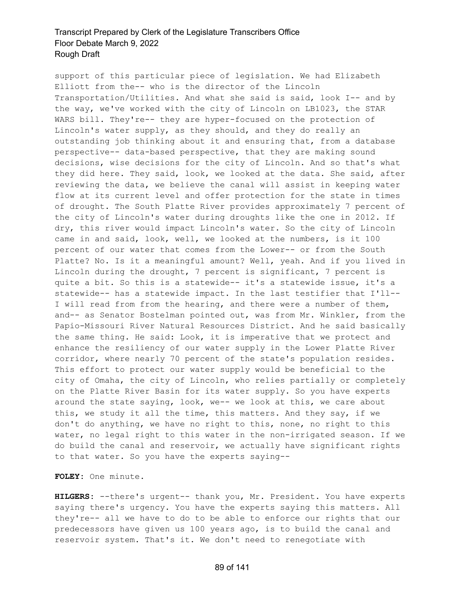support of this particular piece of legislation. We had Elizabeth Elliott from the-- who is the director of the Lincoln Transportation/Utilities. And what she said is said, look I-- and by the way, we've worked with the city of Lincoln on LB1023, the STAR WARS bill. They're-- they are hyper-focused on the protection of Lincoln's water supply, as they should, and they do really an outstanding job thinking about it and ensuring that, from a database perspective-- data-based perspective, that they are making sound decisions, wise decisions for the city of Lincoln. And so that's what they did here. They said, look, we looked at the data. She said, after reviewing the data, we believe the canal will assist in keeping water flow at its current level and offer protection for the state in times of drought. The South Platte River provides approximately 7 percent of the city of Lincoln's water during droughts like the one in 2012. If dry, this river would impact Lincoln's water. So the city of Lincoln came in and said, look, well, we looked at the numbers, is it 100 percent of our water that comes from the Lower-- or from the South Platte? No. Is it a meaningful amount? Well, yeah. And if you lived in Lincoln during the drought, 7 percent is significant, 7 percent is quite a bit. So this is a statewide-- it's a statewide issue, it's a statewide-- has a statewide impact. In the last testifier that I'll-- I will read from from the hearing, and there were a number of them, and-- as Senator Bostelman pointed out, was from Mr. Winkler, from the Papio-Missouri River Natural Resources District. And he said basically the same thing. He said: Look, it is imperative that we protect and enhance the resiliency of our water supply in the Lower Platte River corridor, where nearly 70 percent of the state's population resides. This effort to protect our water supply would be beneficial to the city of Omaha, the city of Lincoln, who relies partially or completely on the Platte River Basin for its water supply. So you have experts around the state saying, look, we-- we look at this, we care about this, we study it all the time, this matters. And they say, if we don't do anything, we have no right to this, none, no right to this water, no legal right to this water in the non-irrigated season. If we do build the canal and reservoir, we actually have significant rights to that water. So you have the experts saying--

**FOLEY:** One minute.

**HILGERS:** --there's urgent-- thank you, Mr. President. You have experts saying there's urgency. You have the experts saying this matters. All they're-- all we have to do to be able to enforce our rights that our predecessors have given us 100 years ago, is to build the canal and reservoir system. That's it. We don't need to renegotiate with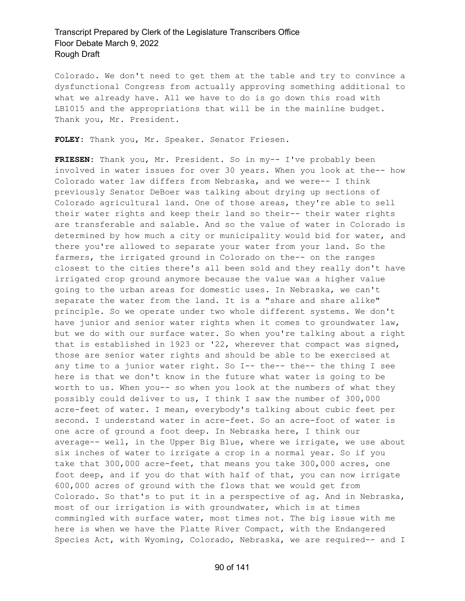Colorado. We don't need to get them at the table and try to convince a dysfunctional Congress from actually approving something additional to what we already have. All we have to do is go down this road with LB1015 and the appropriations that will be in the mainline budget. Thank you, Mr. President.

**FOLEY:** Thank you, Mr. Speaker. Senator Friesen.

**FRIESEN:** Thank you, Mr. President. So in my-- I've probably been involved in water issues for over 30 years. When you look at the-- how Colorado water law differs from Nebraska, and we were-- I think previously Senator DeBoer was talking about drying up sections of Colorado agricultural land. One of those areas, they're able to sell their water rights and keep their land so their-- their water rights are transferable and salable. And so the value of water in Colorado is determined by how much a city or municipality would bid for water, and there you're allowed to separate your water from your land. So the farmers, the irrigated ground in Colorado on the-- on the ranges closest to the cities there's all been sold and they really don't have irrigated crop ground anymore because the value was a higher value going to the urban areas for domestic uses. In Nebraska, we can't separate the water from the land. It is a "share and share alike" principle. So we operate under two whole different systems. We don't have junior and senior water rights when it comes to groundwater law, but we do with our surface water. So when you're talking about a right that is established in 1923 or '22, wherever that compact was signed, those are senior water rights and should be able to be exercised at any time to a junior water right. So I-- the-- the-- the thing I see here is that we don't know in the future what water is going to be worth to us. When you-- so when you look at the numbers of what they possibly could deliver to us, I think I saw the number of 300,000 acre-feet of water. I mean, everybody's talking about cubic feet per second. I understand water in acre-feet. So an acre-foot of water is one acre of ground a foot deep. In Nebraska here, I think our average-- well, in the Upper Big Blue, where we irrigate, we use about six inches of water to irrigate a crop in a normal year. So if you take that 300,000 acre-feet, that means you take 300,000 acres, one foot deep, and if you do that with half of that, you can now irrigate 600,000 acres of ground with the flows that we would get from Colorado. So that's to put it in a perspective of ag. And in Nebraska, most of our irrigation is with groundwater, which is at times commingled with surface water, most times not. The big issue with me here is when we have the Platte River Compact, with the Endangered Species Act, with Wyoming, Colorado, Nebraska, we are required-- and I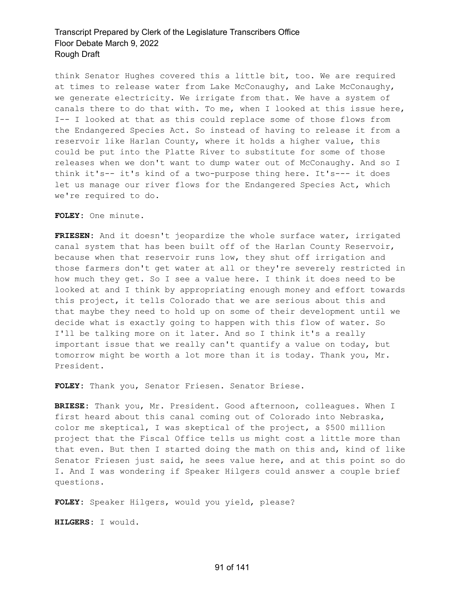think Senator Hughes covered this a little bit, too. We are required at times to release water from Lake McConaughy, and Lake McConaughy, we generate electricity. We irrigate from that. We have a system of canals there to do that with. To me, when I looked at this issue here, I-- I looked at that as this could replace some of those flows from the Endangered Species Act. So instead of having to release it from a reservoir like Harlan County, where it holds a higher value, this could be put into the Platte River to substitute for some of those releases when we don't want to dump water out of McConaughy. And so I think it's-- it's kind of a two-purpose thing here. It's--- it does let us manage our river flows for the Endangered Species Act, which we're required to do.

**FOLEY:** One minute.

**FRIESEN:** And it doesn't jeopardize the whole surface water, irrigated canal system that has been built off of the Harlan County Reservoir, because when that reservoir runs low, they shut off irrigation and those farmers don't get water at all or they're severely restricted in how much they get. So I see a value here. I think it does need to be looked at and I think by appropriating enough money and effort towards this project, it tells Colorado that we are serious about this and that maybe they need to hold up on some of their development until we decide what is exactly going to happen with this flow of water. So I'll be talking more on it later. And so I think it's a really important issue that we really can't quantify a value on today, but tomorrow might be worth a lot more than it is today. Thank you, Mr. President.

**FOLEY:** Thank you, Senator Friesen. Senator Briese.

**BRIESE:** Thank you, Mr. President. Good afternoon, colleagues. When I first heard about this canal coming out of Colorado into Nebraska, color me skeptical, I was skeptical of the project, a \$500 million project that the Fiscal Office tells us might cost a little more than that even. But then I started doing the math on this and, kind of like Senator Friesen just said, he sees value here, and at this point so do I. And I was wondering if Speaker Hilgers could answer a couple brief questions.

**FOLEY:** Speaker Hilgers, would you yield, please?

**HILGERS:** I would.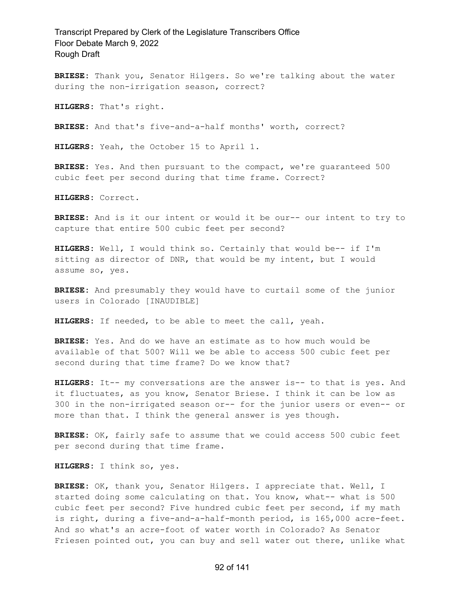**BRIESE:** Thank you, Senator Hilgers. So we're talking about the water during the non-irrigation season, correct?

**HILGERS:** That's right.

**BRIESE:** And that's five-and-a-half months' worth, correct?

**HILGERS:** Yeah, the October 15 to April 1.

**BRIESE:** Yes. And then pursuant to the compact, we're guaranteed 500 cubic feet per second during that time frame. Correct?

**HILGERS:** Correct.

**BRIESE:** And is it our intent or would it be our-- our intent to try to capture that entire 500 cubic feet per second?

**HILGERS:** Well, I would think so. Certainly that would be-- if I'm sitting as director of DNR, that would be my intent, but I would assume so, yes.

**BRIESE:** And presumably they would have to curtail some of the junior users in Colorado [INAUDIBLE]

**HILGERS:** If needed, to be able to meet the call, yeah.

**BRIESE:** Yes. And do we have an estimate as to how much would be available of that 500? Will we be able to access 500 cubic feet per second during that time frame? Do we know that?

**HILGERS:** It-- my conversations are the answer is-- to that is yes. And it fluctuates, as you know, Senator Briese. I think it can be low as 300 in the non-irrigated season or-- for the junior users or even-- or more than that. I think the general answer is yes though.

**BRIESE:** OK, fairly safe to assume that we could access 500 cubic feet per second during that time frame.

**HILGERS:** I think so, yes.

**BRIESE:** OK, thank you, Senator Hilgers. I appreciate that. Well, I started doing some calculating on that. You know, what-- what is 500 cubic feet per second? Five hundred cubic feet per second, if my math is right, during a five-and-a-half-month period, is 165,000 acre-feet. And so what's an acre-foot of water worth in Colorado? As Senator Friesen pointed out, you can buy and sell water out there, unlike what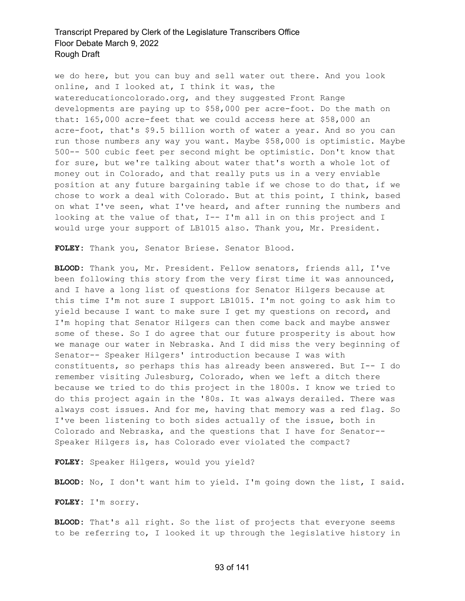we do here, but you can buy and sell water out there. And you look online, and I looked at, I think it was, the watereducationcolorado.org, and they suggested Front Range developments are paying up to \$58,000 per acre-foot. Do the math on that: 165,000 acre-feet that we could access here at \$58,000 an acre-foot, that's \$9.5 billion worth of water a year. And so you can run those numbers any way you want. Maybe \$58,000 is optimistic. Maybe 500-- 500 cubic feet per second might be optimistic. Don't know that for sure, but we're talking about water that's worth a whole lot of money out in Colorado, and that really puts us in a very enviable position at any future bargaining table if we chose to do that, if we chose to work a deal with Colorado. But at this point, I think, based on what I've seen, what I've heard, and after running the numbers and looking at the value of that, I-- I'm all in on this project and I would urge your support of LB1015 also. Thank you, Mr. President.

**FOLEY:** Thank you, Senator Briese. Senator Blood.

**BLOOD:** Thank you, Mr. President. Fellow senators, friends all, I've been following this story from the very first time it was announced, and I have a long list of questions for Senator Hilgers because at this time I'm not sure I support LB1015. I'm not going to ask him to yield because I want to make sure I get my questions on record, and I'm hoping that Senator Hilgers can then come back and maybe answer some of these. So I do agree that our future prosperity is about how we manage our water in Nebraska. And I did miss the very beginning of Senator-- Speaker Hilgers' introduction because I was with constituents, so perhaps this has already been answered. But I-- I do remember visiting Julesburg, Colorado, when we left a ditch there because we tried to do this project in the 1800s. I know we tried to do this project again in the '80s. It was always derailed. There was always cost issues. And for me, having that memory was a red flag. So I've been listening to both sides actually of the issue, both in Colorado and Nebraska, and the questions that I have for Senator-- Speaker Hilgers is, has Colorado ever violated the compact?

**FOLEY:** Speaker Hilgers, would you yield?

**BLOOD:** No, I don't want him to yield. I'm going down the list, I said.

**FOLEY:** I'm sorry.

**BLOOD:** That's all right. So the list of projects that everyone seems to be referring to, I looked it up through the legislative history in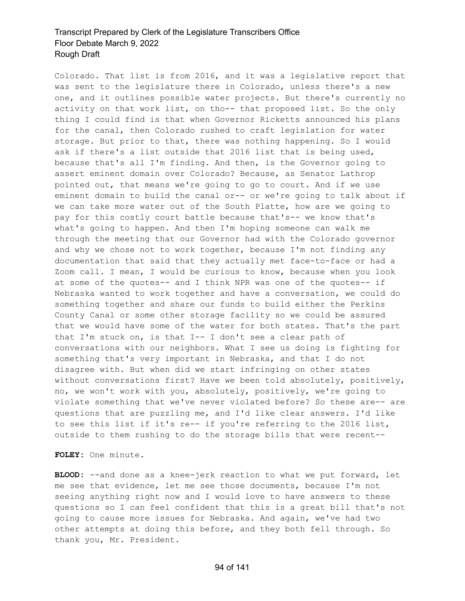Colorado. That list is from 2016, and it was a legislative report that was sent to the legislature there in Colorado, unless there's a new one, and it outlines possible water projects. But there's currently no activity on that work list, on tho-- that proposed list. So the only thing I could find is that when Governor Ricketts announced his plans for the canal, then Colorado rushed to craft legislation for water storage. But prior to that, there was nothing happening. So I would ask if there's a list outside that 2016 list that is being used, because that's all I'm finding. And then, is the Governor going to assert eminent domain over Colorado? Because, as Senator Lathrop pointed out, that means we're going to go to court. And if we use eminent domain to build the canal or-- or we're going to talk about if we can take more water out of the South Platte, how are we going to pay for this costly court battle because that's-- we know that's what's going to happen. And then I'm hoping someone can walk me through the meeting that our Governor had with the Colorado governor and why we chose not to work together, because I'm not finding any documentation that said that they actually met face-to-face or had a Zoom call. I mean, I would be curious to know, because when you look at some of the quotes-- and I think NPR was one of the quotes-- if Nebraska wanted to work together and have a conversation, we could do something together and share our funds to build either the Perkins County Canal or some other storage facility so we could be assured that we would have some of the water for both states. That's the part that I'm stuck on, is that I-- I don't see a clear path of conversations with our neighbors. What I see us doing is fighting for something that's very important in Nebraska, and that I do not disagree with. But when did we start infringing on other states without conversations first? Have we been told absolutely, positively, no, we won't work with you, absolutely, positively, we're going to violate something that we've never violated before? So these are-- are questions that are puzzling me, and I'd like clear answers. I'd like to see this list if it's re-- if you're referring to the 2016 list, outside to them rushing to do the storage bills that were recent--

**FOLEY:** One minute.

**BLOOD:** --and done as a knee-jerk reaction to what we put forward, let me see that evidence, let me see those documents, because I'm not seeing anything right now and I would love to have answers to these questions so I can feel confident that this is a great bill that's not going to cause more issues for Nebraska. And again, we've had two other attempts at doing this before, and they both fell through. So thank you, Mr. President.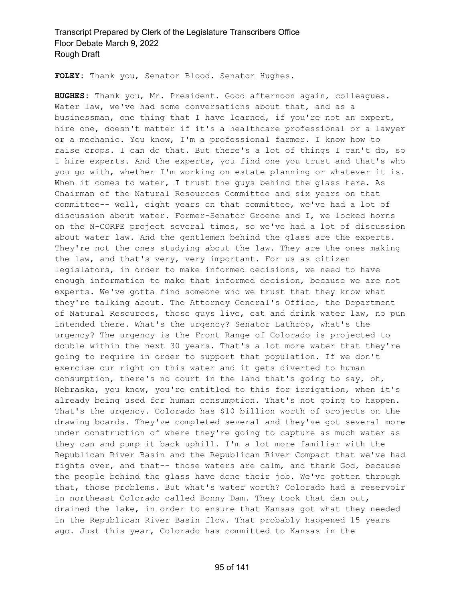**FOLEY:** Thank you, Senator Blood. Senator Hughes.

**HUGHES:** Thank you, Mr. President. Good afternoon again, colleagues. Water law, we've had some conversations about that, and as a businessman, one thing that I have learned, if you're not an expert, hire one, doesn't matter if it's a healthcare professional or a lawyer or a mechanic. You know, I'm a professional farmer. I know how to raise crops. I can do that. But there's a lot of things I can't do, so I hire experts. And the experts, you find one you trust and that's who you go with, whether I'm working on estate planning or whatever it is. When it comes to water, I trust the guys behind the glass here. As Chairman of the Natural Resources Committee and six years on that committee-- well, eight years on that committee, we've had a lot of discussion about water. Former-Senator Groene and I, we locked horns on the N-CORPE project several times, so we've had a lot of discussion about water law. And the gentlemen behind the glass are the experts. They're not the ones studying about the law. They are the ones making the law, and that's very, very important. For us as citizen legislators, in order to make informed decisions, we need to have enough information to make that informed decision, because we are not experts. We've gotta find someone who we trust that they know what they're talking about. The Attorney General's Office, the Department of Natural Resources, those guys live, eat and drink water law, no pun intended there. What's the urgency? Senator Lathrop, what's the urgency? The urgency is the Front Range of Colorado is projected to double within the next 30 years. That's a lot more water that they're going to require in order to support that population. If we don't exercise our right on this water and it gets diverted to human consumption, there's no court in the land that's going to say, oh, Nebraska, you know, you're entitled to this for irrigation, when it's already being used for human consumption. That's not going to happen. That's the urgency. Colorado has \$10 billion worth of projects on the drawing boards. They've completed several and they've got several more under construction of where they're going to capture as much water as they can and pump it back uphill. I'm a lot more familiar with the Republican River Basin and the Republican River Compact that we've had fights over, and that-- those waters are calm, and thank God, because the people behind the glass have done their job. We've gotten through that, those problems. But what's water worth? Colorado had a reservoir in northeast Colorado called Bonny Dam. They took that dam out, drained the lake, in order to ensure that Kansas got what they needed in the Republican River Basin flow. That probably happened 15 years ago. Just this year, Colorado has committed to Kansas in the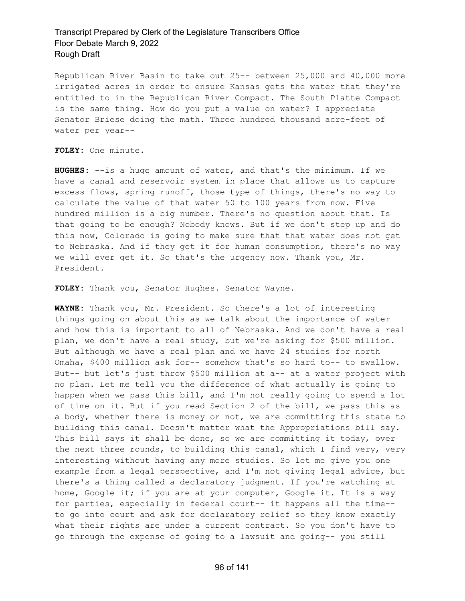Republican River Basin to take out 25-- between 25,000 and 40,000 more irrigated acres in order to ensure Kansas gets the water that they're entitled to in the Republican River Compact. The South Platte Compact is the same thing. How do you put a value on water? I appreciate Senator Briese doing the math. Three hundred thousand acre-feet of water per year--

#### **FOLEY:** One minute.

**HUGHES:** --is a huge amount of water, and that's the minimum. If we have a canal and reservoir system in place that allows us to capture excess flows, spring runoff, those type of things, there's no way to calculate the value of that water 50 to 100 years from now. Five hundred million is a big number. There's no question about that. Is that going to be enough? Nobody knows. But if we don't step up and do this now, Colorado is going to make sure that that water does not get to Nebraska. And if they get it for human consumption, there's no way we will ever get it. So that's the urgency now. Thank you, Mr. President.

**FOLEY:** Thank you, Senator Hughes. Senator Wayne.

**WAYNE:** Thank you, Mr. President. So there's a lot of interesting things going on about this as we talk about the importance of water and how this is important to all of Nebraska. And we don't have a real plan, we don't have a real study, but we're asking for \$500 million. But although we have a real plan and we have 24 studies for north Omaha, \$400 million ask for-- somehow that's so hard to-- to swallow. But-- but let's just throw \$500 million at a-- at a water project with no plan. Let me tell you the difference of what actually is going to happen when we pass this bill, and I'm not really going to spend a lot of time on it. But if you read Section 2 of the bill, we pass this as a body, whether there is money or not, we are committing this state to building this canal. Doesn't matter what the Appropriations bill say. This bill says it shall be done, so we are committing it today, over the next three rounds, to building this canal, which I find very, very interesting without having any more studies. So let me give you one example from a legal perspective, and I'm not giving legal advice, but there's a thing called a declaratory judgment. If you're watching at home, Google it; if you are at your computer, Google it. It is a way for parties, especially in federal court-- it happens all the time- to go into court and ask for declaratory relief so they know exactly what their rights are under a current contract. So you don't have to go through the expense of going to a lawsuit and going-- you still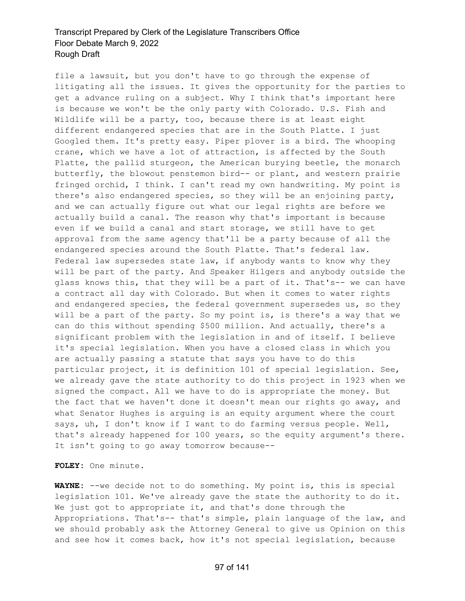file a lawsuit, but you don't have to go through the expense of litigating all the issues. It gives the opportunity for the parties to get a advance ruling on a subject. Why I think that's important here is because we won't be the only party with Colorado. U.S. Fish and Wildlife will be a party, too, because there is at least eight different endangered species that are in the South Platte. I just Googled them. It's pretty easy. Piper plover is a bird. The whooping crane, which we have a lot of attraction, is affected by the South Platte, the pallid sturgeon, the American burying beetle, the monarch butterfly, the blowout penstemon bird-- or plant, and western prairie fringed orchid, I think. I can't read my own handwriting. My point is there's also endangered species, so they will be an enjoining party, and we can actually figure out what our legal rights are before we actually build a canal. The reason why that's important is because even if we build a canal and start storage, we still have to get approval from the same agency that'll be a party because of all the endangered species around the South Platte. That's federal law. Federal law supersedes state law, if anybody wants to know why they will be part of the party. And Speaker Hilgers and anybody outside the glass knows this, that they will be a part of it. That's-- we can have a contract all day with Colorado. But when it comes to water rights and endangered species, the federal government supersedes us, so they will be a part of the party. So my point is, is there's a way that we can do this without spending \$500 million. And actually, there's a significant problem with the legislation in and of itself. I believe it's special legislation. When you have a closed class in which you are actually passing a statute that says you have to do this particular project, it is definition 101 of special legislation. See, we already gave the state authority to do this project in 1923 when we signed the compact. All we have to do is appropriate the money. But the fact that we haven't done it doesn't mean our rights go away, and what Senator Hughes is arguing is an equity argument where the court says, uh, I don't know if I want to do farming versus people. Well, that's already happened for 100 years, so the equity argument's there. It isn't going to go away tomorrow because--

**FOLEY:** One minute.

**WAYNE:** --we decide not to do something. My point is, this is special legislation 101. We've already gave the state the authority to do it. We just got to appropriate it, and that's done through the Appropriations. That's-- that's simple, plain language of the law, and we should probably ask the Attorney General to give us Opinion on this and see how it comes back, how it's not special legislation, because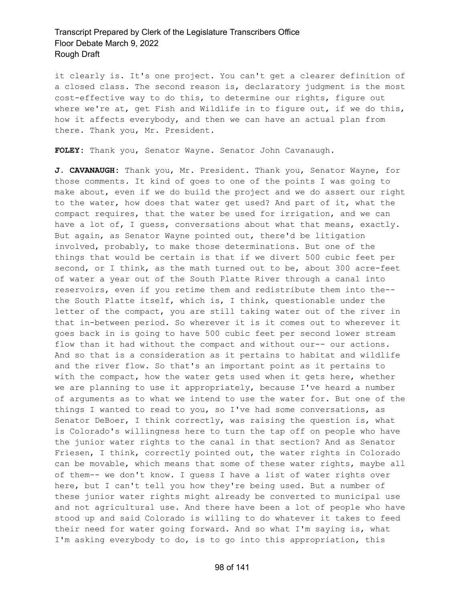it clearly is. It's one project. You can't get a clearer definition of a closed class. The second reason is, declaratory judgment is the most cost-effective way to do this, to determine our rights, figure out where we're at, get Fish and Wildlife in to figure out, if we do this, how it affects everybody, and then we can have an actual plan from there. Thank you, Mr. President.

**FOLEY:** Thank you, Senator Wayne. Senator John Cavanaugh.

**J. CAVANAUGH:** Thank you, Mr. President. Thank you, Senator Wayne, for those comments. It kind of goes to one of the points I was going to make about, even if we do build the project and we do assert our right to the water, how does that water get used? And part of it, what the compact requires, that the water be used for irrigation, and we can have a lot of, I guess, conversations about what that means, exactly. But again, as Senator Wayne pointed out, there'd be litigation involved, probably, to make those determinations. But one of the things that would be certain is that if we divert 500 cubic feet per second, or I think, as the math turned out to be, about 300 acre-feet of water a year out of the South Platte River through a canal into reservoirs, even if you retime them and redistribute them into the- the South Platte itself, which is, I think, questionable under the letter of the compact, you are still taking water out of the river in that in-between period. So wherever it is it comes out to wherever it goes back in is going to have 500 cubic feet per second lower stream flow than it had without the compact and without our-- our actions. And so that is a consideration as it pertains to habitat and wildlife and the river flow. So that's an important point as it pertains to with the compact, how the water gets used when it gets here, whether we are planning to use it appropriately, because I've heard a number of arguments as to what we intend to use the water for. But one of the things I wanted to read to you, so I've had some conversations, as Senator DeBoer, I think correctly, was raising the question is, what is Colorado's willingness here to turn the tap off on people who have the junior water rights to the canal in that section? And as Senator Friesen, I think, correctly pointed out, the water rights in Colorado can be movable, which means that some of these water rights, maybe all of them-- we don't know. I guess I have a list of water rights over here, but I can't tell you how they're being used. But a number of these junior water rights might already be converted to municipal use and not agricultural use. And there have been a lot of people who have stood up and said Colorado is willing to do whatever it takes to feed their need for water going forward. And so what I'm saying is, what I'm asking everybody to do, is to go into this appropriation, this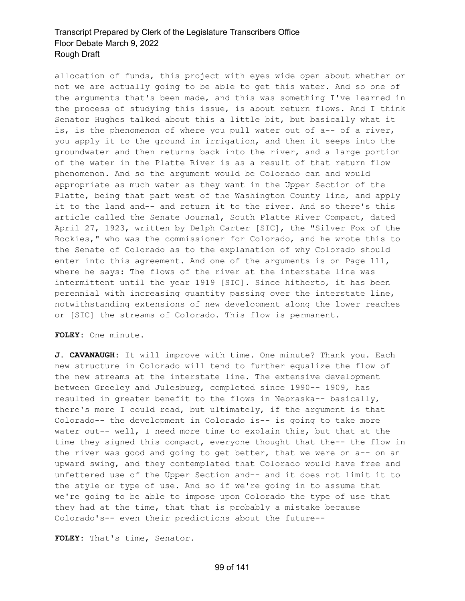allocation of funds, this project with eyes wide open about whether or not we are actually going to be able to get this water. And so one of the arguments that's been made, and this was something I've learned in the process of studying this issue, is about return flows. And I think Senator Hughes talked about this a little bit, but basically what it is, is the phenomenon of where you pull water out of a-- of a river, you apply it to the ground in irrigation, and then it seeps into the groundwater and then returns back into the river, and a large portion of the water in the Platte River is as a result of that return flow phenomenon. And so the argument would be Colorado can and would appropriate as much water as they want in the Upper Section of the Platte, being that part west of the Washington County line, and apply it to the land and-- and return it to the river. And so there's this article called the Senate Journal, South Platte River Compact, dated April 27, 1923, written by Delph Carter [SIC], the "Silver Fox of the Rockies," who was the commissioner for Colorado, and he wrote this to the Senate of Colorado as to the explanation of why Colorado should enter into this agreement. And one of the arguments is on Page 111, where he says: The flows of the river at the interstate line was intermittent until the year 1919 [SIC]. Since hitherto, it has been perennial with increasing quantity passing over the interstate line, notwithstanding extensions of new development along the lower reaches or [SIC] the streams of Colorado. This flow is permanent.

**FOLEY:** One minute.

**J. CAVANAUGH:** It will improve with time. One minute? Thank you. Each new structure in Colorado will tend to further equalize the flow of the new streams at the interstate line. The extensive development between Greeley and Julesburg, completed since 1990-- 1909, has resulted in greater benefit to the flows in Nebraska-- basically, there's more I could read, but ultimately, if the argument is that Colorado-- the development in Colorado is-- is going to take more water out-- well, I need more time to explain this, but that at the time they signed this compact, everyone thought that the-- the flow in the river was good and going to get better, that we were on a-- on an upward swing, and they contemplated that Colorado would have free and unfettered use of the Upper Section and-- and it does not limit it to the style or type of use. And so if we're going in to assume that we're going to be able to impose upon Colorado the type of use that they had at the time, that that is probably a mistake because Colorado's-- even their predictions about the future--

**FOLEY:** That's time, Senator.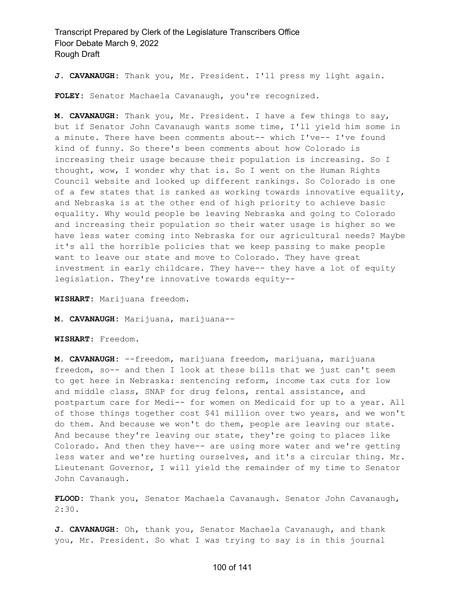**J. CAVANAUGH:** Thank you, Mr. President. I'll press my light again.

**FOLEY:** Senator Machaela Cavanaugh, you're recognized.

**M. CAVANAUGH:** Thank you, Mr. President. I have a few things to say, but if Senator John Cavanaugh wants some time, I'll yield him some in a minute. There have been comments about-- which I've-- I've found kind of funny. So there's been comments about how Colorado is increasing their usage because their population is increasing. So I thought, wow, I wonder why that is. So I went on the Human Rights Council website and looked up different rankings. So Colorado is one of a few states that is ranked as working towards innovative equality, and Nebraska is at the other end of high priority to achieve basic equality. Why would people be leaving Nebraska and going to Colorado and increasing their population so their water usage is higher so we have less water coming into Nebraska for our agricultural needs? Maybe it's all the horrible policies that we keep passing to make people want to leave our state and move to Colorado. They have great investment in early childcare. They have-- they have a lot of equity legislation. They're innovative towards equity--

**WISHART:** Marijuana freedom.

**M. CAVANAUGH:** Marijuana, marijuana--

**WISHART:** Freedom.

**M. CAVANAUGH:** --freedom, marijuana freedom, marijuana, marijuana freedom, so-- and then I look at these bills that we just can't seem to get here in Nebraska: sentencing reform, income tax cuts for low and middle class, SNAP for drug felons, rental assistance, and postpartum care for Medi-- for women on Medicaid for up to a year. All of those things together cost \$41 million over two years, and we won't do them. And because we won't do them, people are leaving our state. And because they're leaving our state, they're going to places like Colorado. And then they have-- are using more water and we're getting less water and we're hurting ourselves, and it's a circular thing. Mr. Lieutenant Governor, I will yield the remainder of my time to Senator John Cavanaugh.

**FLOOD:** Thank you, Senator Machaela Cavanaugh. Senator John Cavanaugh, 2:30.

**J. CAVANAUGH:** Oh, thank you, Senator Machaela Cavanaugh, and thank you, Mr. President. So what I was trying to say is in this journal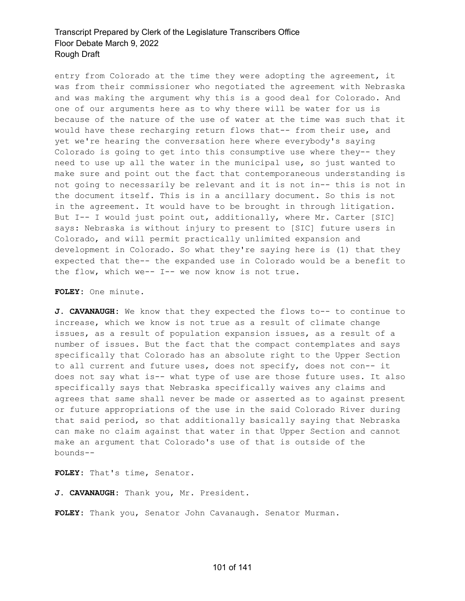entry from Colorado at the time they were adopting the agreement, it was from their commissioner who negotiated the agreement with Nebraska and was making the argument why this is a good deal for Colorado. And one of our arguments here as to why there will be water for us is because of the nature of the use of water at the time was such that it would have these recharging return flows that-- from their use, and yet we're hearing the conversation here where everybody's saying Colorado is going to get into this consumptive use where they-- they need to use up all the water in the municipal use, so just wanted to make sure and point out the fact that contemporaneous understanding is not going to necessarily be relevant and it is not in-- this is not in the document itself. This is in a ancillary document. So this is not in the agreement. It would have to be brought in through litigation. But I-- I would just point out, additionally, where Mr. Carter [SIC] says: Nebraska is without injury to present to [SIC] future users in Colorado, and will permit practically unlimited expansion and development in Colorado. So what they're saying here is (1) that they expected that the-- the expanded use in Colorado would be a benefit to the flow, which we-- I-- we now know is not true.

#### **FOLEY:** One minute.

**J. CAVANAUGH:** We know that they expected the flows to-- to continue to increase, which we know is not true as a result of climate change issues, as a result of population expansion issues, as a result of a number of issues. But the fact that the compact contemplates and says specifically that Colorado has an absolute right to the Upper Section to all current and future uses, does not specify, does not con-- it does not say what is-- what type of use are those future uses. It also specifically says that Nebraska specifically waives any claims and agrees that same shall never be made or asserted as to against present or future appropriations of the use in the said Colorado River during that said period, so that additionally basically saying that Nebraska can make no claim against that water in that Upper Section and cannot make an argument that Colorado's use of that is outside of the bounds--

**FOLEY:** That's time, Senator.

**J. CAVANAUGH:** Thank you, Mr. President.

**FOLEY:** Thank you, Senator John Cavanaugh. Senator Murman.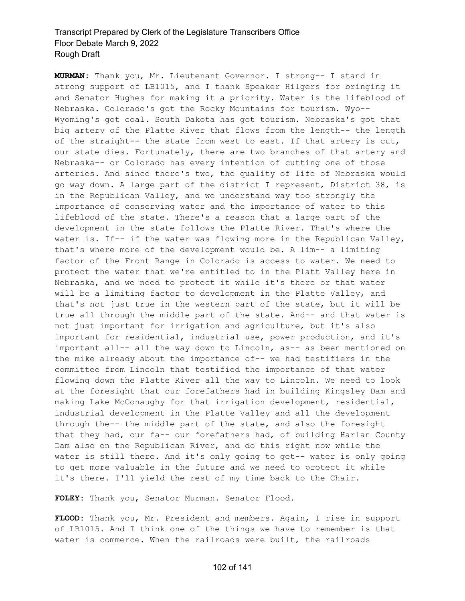**MURMAN:** Thank you, Mr. Lieutenant Governor. I strong-- I stand in strong support of LB1015, and I thank Speaker Hilgers for bringing it and Senator Hughes for making it a priority. Water is the lifeblood of Nebraska. Colorado's got the Rocky Mountains for tourism. Wyo-- Wyoming's got coal. South Dakota has got tourism. Nebraska's got that big artery of the Platte River that flows from the length-- the length of the straight-- the state from west to east. If that artery is cut, our state dies. Fortunately, there are two branches of that artery and Nebraska-- or Colorado has every intention of cutting one of those arteries. And since there's two, the quality of life of Nebraska would go way down. A large part of the district I represent, District 38, is in the Republican Valley, and we understand way too strongly the importance of conserving water and the importance of water to this lifeblood of the state. There's a reason that a large part of the development in the state follows the Platte River. That's where the water is. If-- if the water was flowing more in the Republican Valley, that's where more of the development would be. A lim-- a limiting factor of the Front Range in Colorado is access to water. We need to protect the water that we're entitled to in the Platt Valley here in Nebraska, and we need to protect it while it's there or that water will be a limiting factor to development in the Platte Valley, and that's not just true in the western part of the state, but it will be true all through the middle part of the state. And-- and that water is not just important for irrigation and agriculture, but it's also important for residential, industrial use, power production, and it's important all-- all the way down to Lincoln, as-- as been mentioned on the mike already about the importance of-- we had testifiers in the committee from Lincoln that testified the importance of that water flowing down the Platte River all the way to Lincoln. We need to look at the foresight that our forefathers had in building Kingsley Dam and making Lake McConaughy for that irrigation development, residential, industrial development in the Platte Valley and all the development through the-- the middle part of the state, and also the foresight that they had, our fa-- our forefathers had, of building Harlan County Dam also on the Republican River, and do this right now while the water is still there. And it's only going to get-- water is only going to get more valuable in the future and we need to protect it while it's there. I'll yield the rest of my time back to the Chair.

**FOLEY:** Thank you, Senator Murman. Senator Flood.

**FLOOD:** Thank you, Mr. President and members. Again, I rise in support of LB1015. And I think one of the things we have to remember is that water is commerce. When the railroads were built, the railroads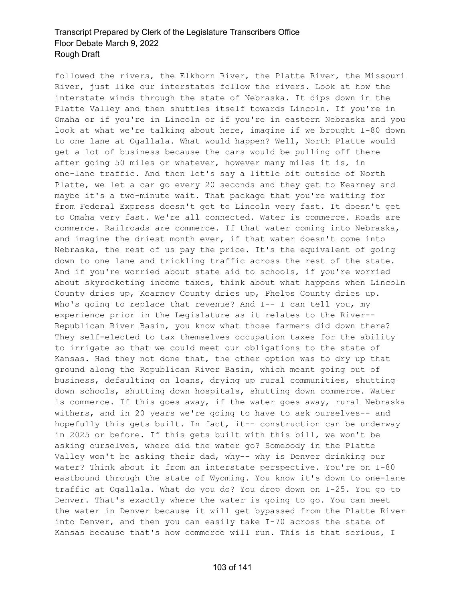followed the rivers, the Elkhorn River, the Platte River, the Missouri River, just like our interstates follow the rivers. Look at how the interstate winds through the state of Nebraska. It dips down in the Platte Valley and then shuttles itself towards Lincoln. If you're in Omaha or if you're in Lincoln or if you're in eastern Nebraska and you look at what we're talking about here, imagine if we brought I-80 down to one lane at Ogallala. What would happen? Well, North Platte would get a lot of business because the cars would be pulling off there after going 50 miles or whatever, however many miles it is, in one-lane traffic. And then let's say a little bit outside of North Platte, we let a car go every 20 seconds and they get to Kearney and maybe it's a two-minute wait. That package that you're waiting for from Federal Express doesn't get to Lincoln very fast. It doesn't get to Omaha very fast. We're all connected. Water is commerce. Roads are commerce. Railroads are commerce. If that water coming into Nebraska, and imagine the driest month ever, if that water doesn't come into Nebraska, the rest of us pay the price. It's the equivalent of going down to one lane and trickling traffic across the rest of the state. And if you're worried about state aid to schools, if you're worried about skyrocketing income taxes, think about what happens when Lincoln County dries up, Kearney County dries up, Phelps County dries up. Who's going to replace that revenue? And I-- I can tell you, my experience prior in the Legislature as it relates to the River-- Republican River Basin, you know what those farmers did down there? They self-elected to tax themselves occupation taxes for the ability to irrigate so that we could meet our obligations to the state of Kansas. Had they not done that, the other option was to dry up that ground along the Republican River Basin, which meant going out of business, defaulting on loans, drying up rural communities, shutting down schools, shutting down hospitals, shutting down commerce. Water is commerce. If this goes away, if the water goes away, rural Nebraska withers, and in 20 years we're going to have to ask ourselves-- and hopefully this gets built. In fact, it-- construction can be underway in 2025 or before. If this gets built with this bill, we won't be asking ourselves, where did the water go? Somebody in the Platte Valley won't be asking their dad, why-- why is Denver drinking our water? Think about it from an interstate perspective. You're on I-80 eastbound through the state of Wyoming. You know it's down to one-lane traffic at Ogallala. What do you do? You drop down on I-25. You go to Denver. That's exactly where the water is going to go. You can meet the water in Denver because it will get bypassed from the Platte River into Denver, and then you can easily take I-70 across the state of Kansas because that's how commerce will run. This is that serious, I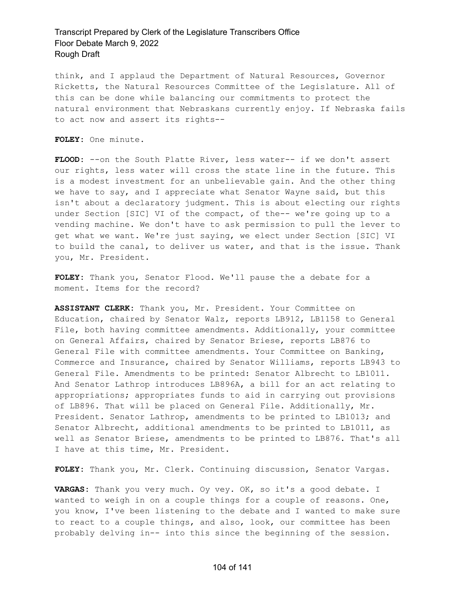think, and I applaud the Department of Natural Resources, Governor Ricketts, the Natural Resources Committee of the Legislature. All of this can be done while balancing our commitments to protect the natural environment that Nebraskans currently enjoy. If Nebraska fails to act now and assert its rights--

**FOLEY:** One minute.

**FLOOD:** --on the South Platte River, less water-- if we don't assert our rights, less water will cross the state line in the future. This is a modest investment for an unbelievable gain. And the other thing we have to say, and I appreciate what Senator Wayne said, but this isn't about a declaratory judgment. This is about electing our rights under Section [SIC] VI of the compact, of the-- we're going up to a vending machine. We don't have to ask permission to pull the lever to get what we want. We're just saying, we elect under Section [SIC] VI to build the canal, to deliver us water, and that is the issue. Thank you, Mr. President.

**FOLEY:** Thank you, Senator Flood. We'll pause the a debate for a moment. Items for the record?

**ASSISTANT CLERK:** Thank you, Mr. President. Your Committee on Education, chaired by Senator Walz, reports LB912, LB1158 to General File, both having committee amendments. Additionally, your committee on General Affairs, chaired by Senator Briese, reports LB876 to General File with committee amendments. Your Committee on Banking, Commerce and Insurance, chaired by Senator Williams, reports LB943 to General File. Amendments to be printed: Senator Albrecht to LB1011. And Senator Lathrop introduces LB896A, a bill for an act relating to appropriations; appropriates funds to aid in carrying out provisions of LB896. That will be placed on General File. Additionally, Mr. President. Senator Lathrop, amendments to be printed to LB1013; and Senator Albrecht, additional amendments to be printed to LB1011, as well as Senator Briese, amendments to be printed to LB876. That's all I have at this time, Mr. President.

**FOLEY:** Thank you, Mr. Clerk. Continuing discussion, Senator Vargas.

**VARGAS:** Thank you very much. Oy vey. OK, so it's a good debate. I wanted to weigh in on a couple things for a couple of reasons. One, you know, I've been listening to the debate and I wanted to make sure to react to a couple things, and also, look, our committee has been probably delving in-- into this since the beginning of the session.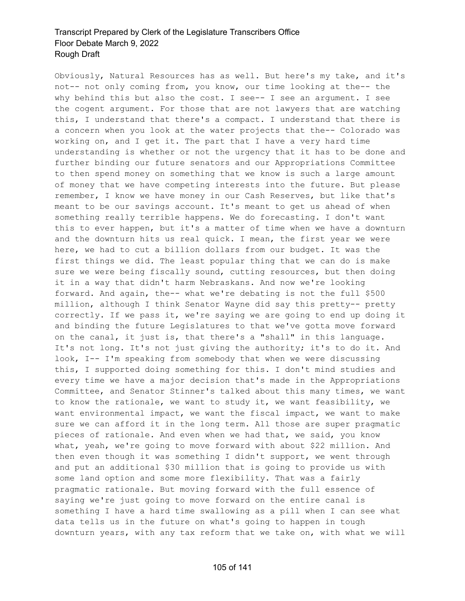Obviously, Natural Resources has as well. But here's my take, and it's not-- not only coming from, you know, our time looking at the-- the why behind this but also the cost. I see-- I see an argument. I see the cogent argument. For those that are not lawyers that are watching this, I understand that there's a compact. I understand that there is a concern when you look at the water projects that the-- Colorado was working on, and I get it. The part that I have a very hard time understanding is whether or not the urgency that it has to be done and further binding our future senators and our Appropriations Committee to then spend money on something that we know is such a large amount of money that we have competing interests into the future. But please remember, I know we have money in our Cash Reserves, but like that's meant to be our savings account. It's meant to get us ahead of when something really terrible happens. We do forecasting. I don't want this to ever happen, but it's a matter of time when we have a downturn and the downturn hits us real quick. I mean, the first year we were here, we had to cut a billion dollars from our budget. It was the first things we did. The least popular thing that we can do is make sure we were being fiscally sound, cutting resources, but then doing it in a way that didn't harm Nebraskans. And now we're looking forward. And again, the-- what we're debating is not the full \$500 million, although I think Senator Wayne did say this pretty-- pretty correctly. If we pass it, we're saying we are going to end up doing it and binding the future Legislatures to that we've gotta move forward on the canal, it just is, that there's a "shall" in this language. It's not long. It's not just giving the authority; it's to do it. And look, I-- I'm speaking from somebody that when we were discussing this, I supported doing something for this. I don't mind studies and every time we have a major decision that's made in the Appropriations Committee, and Senator Stinner's talked about this many times, we want to know the rationale, we want to study it, we want feasibility, we want environmental impact, we want the fiscal impact, we want to make sure we can afford it in the long term. All those are super pragmatic pieces of rationale. And even when we had that, we said, you know what, yeah, we're going to move forward with about \$22 million. And then even though it was something I didn't support, we went through and put an additional \$30 million that is going to provide us with some land option and some more flexibility. That was a fairly pragmatic rationale. But moving forward with the full essence of saying we're just going to move forward on the entire canal is something I have a hard time swallowing as a pill when I can see what data tells us in the future on what's going to happen in tough downturn years, with any tax reform that we take on, with what we will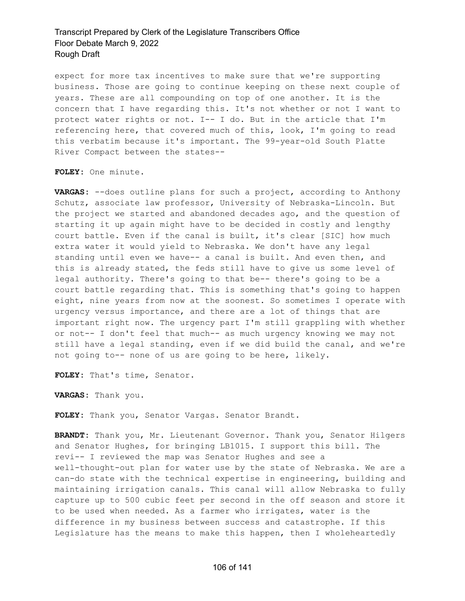expect for more tax incentives to make sure that we're supporting business. Those are going to continue keeping on these next couple of years. These are all compounding on top of one another. It is the concern that I have regarding this. It's not whether or not I want to protect water rights or not. I-- I do. But in the article that I'm referencing here, that covered much of this, look, I'm going to read this verbatim because it's important. The 99-year-old South Platte River Compact between the states--

**FOLEY:** One minute.

**VARGAS:** --does outline plans for such a project, according to Anthony Schutz, associate law professor, University of Nebraska-Lincoln. But the project we started and abandoned decades ago, and the question of starting it up again might have to be decided in costly and lengthy court battle. Even if the canal is built, it's clear [SIC] how much extra water it would yield to Nebraska. We don't have any legal standing until even we have-- a canal is built. And even then, and this is already stated, the feds still have to give us some level of legal authority. There's going to that be-- there's going to be a court battle regarding that. This is something that's going to happen eight, nine years from now at the soonest. So sometimes I operate with urgency versus importance, and there are a lot of things that are important right now. The urgency part I'm still grappling with whether or not-- I don't feel that much-- as much urgency knowing we may not still have a legal standing, even if we did build the canal, and we're not going to-- none of us are going to be here, likely.

**FOLEY:** That's time, Senator.

**VARGAS:** Thank you.

**FOLEY:** Thank you, Senator Vargas. Senator Brandt.

**BRANDT:** Thank you, Mr. Lieutenant Governor. Thank you, Senator Hilgers and Senator Hughes, for bringing LB1015. I support this bill. The revi-- I reviewed the map was Senator Hughes and see a well-thought-out plan for water use by the state of Nebraska. We are a can-do state with the technical expertise in engineering, building and maintaining irrigation canals. This canal will allow Nebraska to fully capture up to 500 cubic feet per second in the off season and store it to be used when needed. As a farmer who irrigates, water is the difference in my business between success and catastrophe. If this Legislature has the means to make this happen, then I wholeheartedly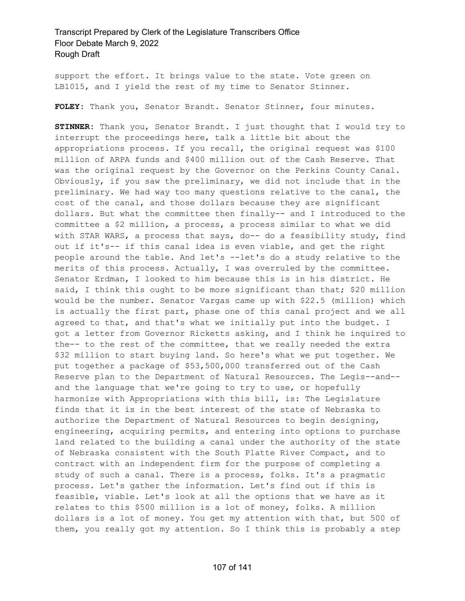support the effort. It brings value to the state. Vote green on LB1015, and I yield the rest of my time to Senator Stinner.

**FOLEY:** Thank you, Senator Brandt. Senator Stinner, four minutes.

**STINNER:** Thank you, Senator Brandt. I just thought that I would try to interrupt the proceedings here, talk a little bit about the appropriations process. If you recall, the original request was \$100 million of ARPA funds and \$400 million out of the Cash Reserve. That was the original request by the Governor on the Perkins County Canal. Obviously, if you saw the preliminary, we did not include that in the preliminary. We had way too many questions relative to the canal, the cost of the canal, and those dollars because they are significant dollars. But what the committee then finally-- and I introduced to the committee a \$2 million, a process, a process similar to what we did with STAR WARS, a process that says, do-- do a feasibility study, find out if it's-- if this canal idea is even viable, and get the right people around the table. And let's --let's do a study relative to the merits of this process. Actually, I was overruled by the committee. Senator Erdman, I looked to him because this is in his district. He said, I think this ought to be more significant than that; \$20 million would be the number. Senator Vargas came up with \$22.5 (million) which is actually the first part, phase one of this canal project and we all agreed to that, and that's what we initially put into the budget. I got a letter from Governor Ricketts asking, and I think he inquired to the-- to the rest of the committee, that we really needed the extra \$32 million to start buying land. So here's what we put together. We put together a package of \$53,500,000 transferred out of the Cash Reserve plan to the Department of Natural Resources. The Legis--and- and the language that we're going to try to use, or hopefully harmonize with Appropriations with this bill, is: The Legislature finds that it is in the best interest of the state of Nebraska to authorize the Department of Natural Resources to begin designing, engineering, acquiring permits, and entering into options to purchase land related to the building a canal under the authority of the state of Nebraska consistent with the South Platte River Compact, and to contract with an independent firm for the purpose of completing a study of such a canal. There is a process, folks. It's a pragmatic process. Let's gather the information. Let's find out if this is feasible, viable. Let's look at all the options that we have as it relates to this \$500 million is a lot of money, folks. A million dollars is a lot of money. You get my attention with that, but 500 of them, you really got my attention. So I think this is probably a step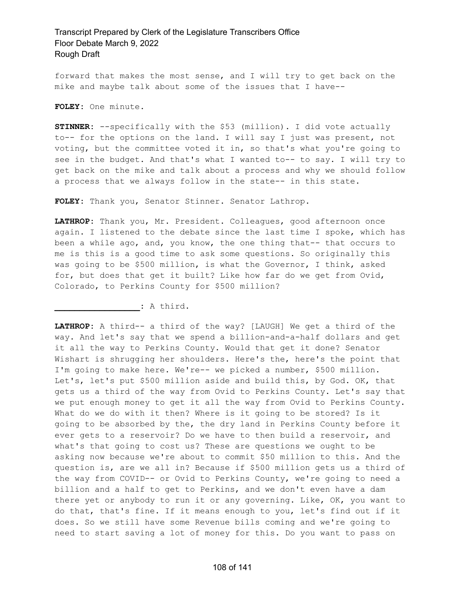forward that makes the most sense, and I will try to get back on the mike and maybe talk about some of the issues that I have--

**FOLEY:** One minute.

**STINNER:** --specifically with the \$53 (million). I did vote actually to-- for the options on the land. I will say I just was present, not voting, but the committee voted it in, so that's what you're going to see in the budget. And that's what I wanted to-- to say. I will try to get back on the mike and talk about a process and why we should follow a process that we always follow in the state-- in this state.

**FOLEY:** Thank you, Senator Stinner. Senator Lathrop.

**LATHROP:** Thank you, Mr. President. Colleagues, good afternoon once again. I listened to the debate since the last time I spoke, which has been a while ago, and, you know, the one thing that-- that occurs to me is this is a good time to ask some questions. So originally this was going to be \$500 million, is what the Governor, I think, asked for, but does that get it built? Like how far do we get from Ovid, Colorado, to Perkins County for \$500 million?

**\_\_\_\_\_\_\_\_\_\_\_\_\_\_\_\_\_:** A third.

**LATHROP:** A third-- a third of the way? [LAUGH] We get a third of the way. And let's say that we spend a billion-and-a-half dollars and get it all the way to Perkins County. Would that get it done? Senator Wishart is shrugging her shoulders. Here's the, here's the point that I'm going to make here. We're-- we picked a number, \$500 million. Let's, let's put \$500 million aside and build this, by God. OK, that gets us a third of the way from Ovid to Perkins County. Let's say that we put enough money to get it all the way from Ovid to Perkins County. What do we do with it then? Where is it going to be stored? Is it going to be absorbed by the, the dry land in Perkins County before it ever gets to a reservoir? Do we have to then build a reservoir, and what's that going to cost us? These are questions we ought to be asking now because we're about to commit \$50 million to this. And the question is, are we all in? Because if \$500 million gets us a third of the way from COVID-- or Ovid to Perkins County, we're going to need a billion and a half to get to Perkins, and we don't even have a dam there yet or anybody to run it or any governing. Like, OK, you want to do that, that's fine. If it means enough to you, let's find out if it does. So we still have some Revenue bills coming and we're going to need to start saving a lot of money for this. Do you want to pass on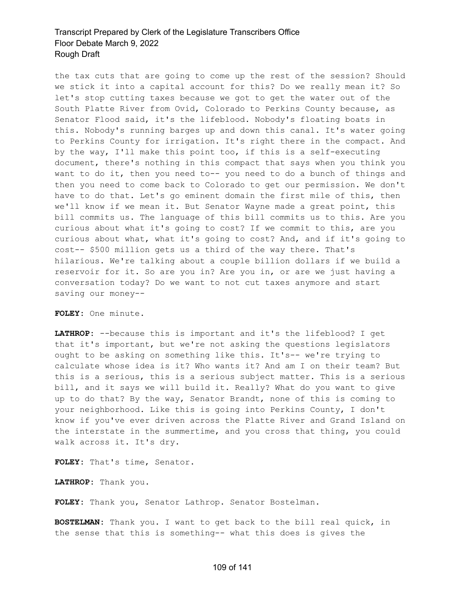the tax cuts that are going to come up the rest of the session? Should we stick it into a capital account for this? Do we really mean it? So let's stop cutting taxes because we got to get the water out of the South Platte River from Ovid, Colorado to Perkins County because, as Senator Flood said, it's the lifeblood. Nobody's floating boats in this. Nobody's running barges up and down this canal. It's water going to Perkins County for irrigation. It's right there in the compact. And by the way, I'll make this point too, if this is a self-executing document, there's nothing in this compact that says when you think you want to do it, then you need to-- you need to do a bunch of things and then you need to come back to Colorado to get our permission. We don't have to do that. Let's go eminent domain the first mile of this, then we'll know if we mean it. But Senator Wayne made a great point, this bill commits us. The language of this bill commits us to this. Are you curious about what it's going to cost? If we commit to this, are you curious about what, what it's going to cost? And, and if it's going to cost-- \$500 million gets us a third of the way there. That's hilarious. We're talking about a couple billion dollars if we build a reservoir for it. So are you in? Are you in, or are we just having a conversation today? Do we want to not cut taxes anymore and start saving our money--

**FOLEY:** One minute.

**LATHROP:** --because this is important and it's the lifeblood? I get that it's important, but we're not asking the questions legislators ought to be asking on something like this. It's-- we're trying to calculate whose idea is it? Who wants it? And am I on their team? But this is a serious, this is a serious subject matter. This is a serious bill, and it says we will build it. Really? What do you want to give up to do that? By the way, Senator Brandt, none of this is coming to your neighborhood. Like this is going into Perkins County, I don't know if you've ever driven across the Platte River and Grand Island on the interstate in the summertime, and you cross that thing, you could walk across it. It's dry.

**FOLEY:** That's time, Senator.

**LATHROP:** Thank you.

**FOLEY:** Thank you, Senator Lathrop. Senator Bostelman.

**BOSTELMAN:** Thank you. I want to get back to the bill real quick, in the sense that this is something-- what this does is gives the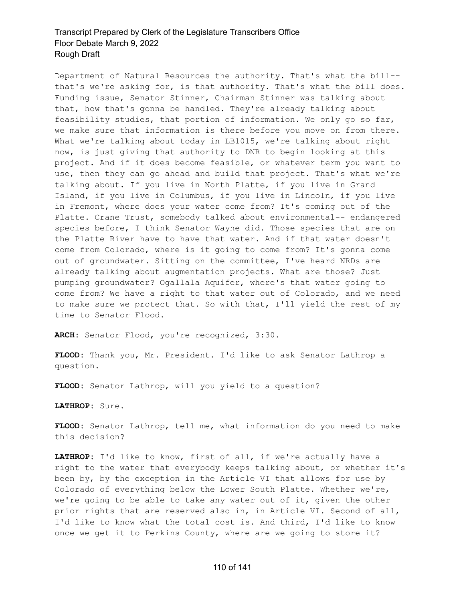Department of Natural Resources the authority. That's what the bill- that's we're asking for, is that authority. That's what the bill does. Funding issue, Senator Stinner, Chairman Stinner was talking about that, how that's gonna be handled. They're already talking about feasibility studies, that portion of information. We only go so far, we make sure that information is there before you move on from there. What we're talking about today in LB1015, we're talking about right now, is just giving that authority to DNR to begin looking at this project. And if it does become feasible, or whatever term you want to use, then they can go ahead and build that project. That's what we're talking about. If you live in North Platte, if you live in Grand Island, if you live in Columbus, if you live in Lincoln, if you live in Fremont, where does your water come from? It's coming out of the Platte. Crane Trust, somebody talked about environmental-- endangered species before, I think Senator Wayne did. Those species that are on the Platte River have to have that water. And if that water doesn't come from Colorado, where is it going to come from? It's gonna come out of groundwater. Sitting on the committee, I've heard NRDs are already talking about augmentation projects. What are those? Just pumping groundwater? Ogallala Aquifer, where's that water going to come from? We have a right to that water out of Colorado, and we need to make sure we protect that. So with that, I'll yield the rest of my time to Senator Flood.

**ARCH:** Senator Flood, you're recognized, 3:30.

**FLOOD:** Thank you, Mr. President. I'd like to ask Senator Lathrop a question.

**FLOOD:** Senator Lathrop, will you yield to a question?

**LATHROP:** Sure.

**FLOOD:** Senator Lathrop, tell me, what information do you need to make this decision?

**LATHROP:** I'd like to know, first of all, if we're actually have a right to the water that everybody keeps talking about, or whether it's been by, by the exception in the Article VI that allows for use by Colorado of everything below the Lower South Platte. Whether we're, we're going to be able to take any water out of it, given the other prior rights that are reserved also in, in Article VI. Second of all, I'd like to know what the total cost is. And third, I'd like to know once we get it to Perkins County, where are we going to store it?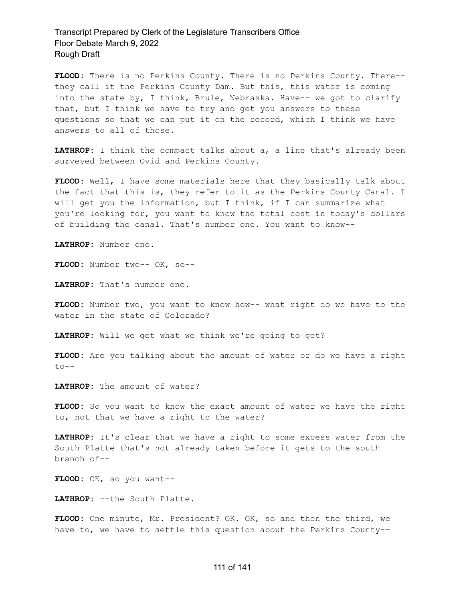**FLOOD:** There is no Perkins County. There is no Perkins County. There- they call it the Perkins County Dam. But this, this water is coming into the state by, I think, Brule, Nebraska. Have-- we got to clarify that, but I think we have to try and get you answers to these questions so that we can put it on the record, which I think we have answers to all of those.

**LATHROP:** I think the compact talks about a, a line that's already been surveyed between Ovid and Perkins County.

**FLOOD:** Well, I have some materials here that they basically talk about the fact that this is, they refer to it as the Perkins County Canal. I will get you the information, but I think, if I can summarize what you're looking for, you want to know the total cost in today's dollars of building the canal. That's number one. You want to know--

**LATHROP:** Number one.

**FLOOD:** Number two-- OK, so--

**LATHROP:** That's number one.

**FLOOD:** Number two, you want to know how-- what right do we have to the water in the state of Colorado?

**LATHROP:** Will we get what we think we're going to get?

**FLOOD:** Are you talking about the amount of water or do we have a right to--

**LATHROP:** The amount of water?

**FLOOD:** So you want to know the exact amount of water we have the right to, not that we have a right to the water?

**LATHROP:** It's clear that we have a right to some excess water from the South Platte that's not already taken before it gets to the south branch of--

**FLOOD:** OK, so you want--

**LATHROP:** --the South Platte.

**FLOOD:** One minute, Mr. President? OK. OK, so and then the third, we have to, we have to settle this question about the Perkins County--

#### 111 of 141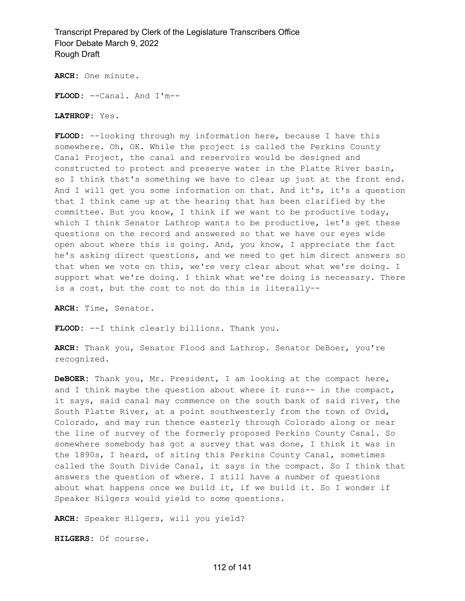**ARCH:** One minute.

**FLOOD:** --Canal. And I'm--

**LATHROP:** Yes.

**FLOOD:** --looking through my information here, because I have this somewhere. Oh, OK. While the project is called the Perkins County Canal Project, the canal and reservoirs would be designed and constructed to protect and preserve water in the Platte River basin, so I think that's something we have to clear up just at the front end. And I will get you some information on that. And it's, it's a question that I think came up at the hearing that has been clarified by the committee. But you know, I think if we want to be productive today, which I think Senator Lathrop wants to be productive, let's get these questions on the record and answered so that we have our eyes wide open about where this is going. And, you know, I appreciate the fact he's asking direct questions, and we need to get him direct answers so that when we vote on this, we're very clear about what we're doing. I support what we're doing. I think what we're doing is necessary. There is a cost, but the cost to not do this is literally--

**ARCH:** Time, Senator.

**FLOOD:** --I think clearly billions. Thank you.

**ARCH:** Thank you, Senator Flood and Lathrop. Senator DeBoer, you're recognized.

**DeBOER:** Thank you, Mr. President, I am looking at the compact here, and I think maybe the question about where it runs-- in the compact, it says, said canal may commence on the south bank of said river, the South Platte River, at a point southwesterly from the town of Ovid, Colorado, and may run thence easterly through Colorado along or near the line of survey of the formerly proposed Perkins County Canal. So somewhere somebody has got a survey that was done, I think it was in the 1890s, I heard, of siting this Perkins County Canal, sometimes called the South Divide Canal, it says in the compact. So I think that answers the question of where. I still have a number of questions about what happens once we build it, if we build it. So I wonder if Speaker Hilgers would yield to some questions.

**ARCH:** Speaker Hilgers, will you yield?

**HILGERS:** Of course.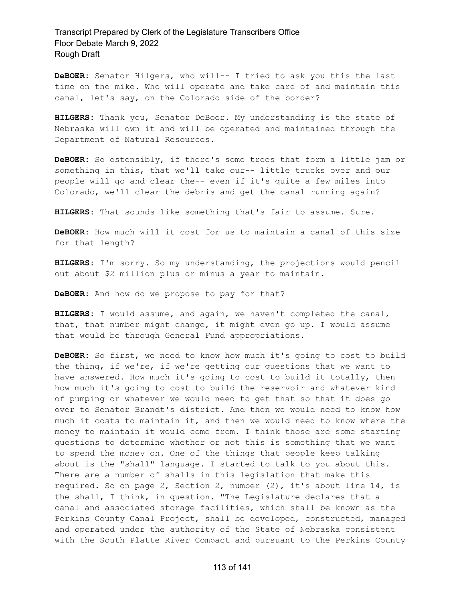**DeBOER:** Senator Hilgers, who will-- I tried to ask you this the last time on the mike. Who will operate and take care of and maintain this canal, let's say, on the Colorado side of the border?

**HILGERS:** Thank you, Senator DeBoer. My understanding is the state of Nebraska will own it and will be operated and maintained through the Department of Natural Resources.

**DeBOER:** So ostensibly, if there's some trees that form a little jam or something in this, that we'll take our-- little trucks over and our people will go and clear the-- even if it's quite a few miles into Colorado, we'll clear the debris and get the canal running again?

**HILGERS:** That sounds like something that's fair to assume. Sure.

**DeBOER:** How much will it cost for us to maintain a canal of this size for that length?

**HILGERS:** I'm sorry. So my understanding, the projections would pencil out about \$2 million plus or minus a year to maintain.

**DeBOER:** And how do we propose to pay for that?

**HILGERS:** I would assume, and again, we haven't completed the canal, that, that number might change, it might even go up. I would assume that would be through General Fund appropriations.

**DeBOER:** So first, we need to know how much it's going to cost to build the thing, if we're, if we're getting our questions that we want to have answered. How much it's going to cost to build it totally, then how much it's going to cost to build the reservoir and whatever kind of pumping or whatever we would need to get that so that it does go over to Senator Brandt's district. And then we would need to know how much it costs to maintain it, and then we would need to know where the money to maintain it would come from. I think those are some starting questions to determine whether or not this is something that we want to spend the money on. One of the things that people keep talking about is the "shall" language. I started to talk to you about this. There are a number of shalls in this legislation that make this required. So on page 2, Section 2, number (2), it's about line 14, is the shall, I think, in question. "The Legislature declares that a canal and associated storage facilities, which shall be known as the Perkins County Canal Project, shall be developed, constructed, managed and operated under the authority of the State of Nebraska consistent with the South Platte River Compact and pursuant to the Perkins County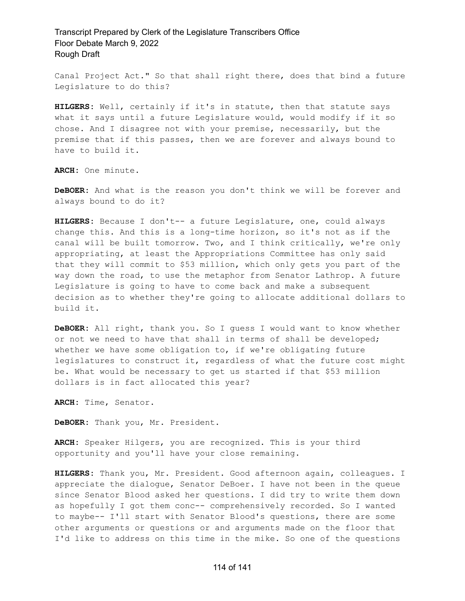Canal Project Act." So that shall right there, does that bind a future Legislature to do this?

**HILGERS:** Well, certainly if it's in statute, then that statute says what it says until a future Legislature would, would modify if it so chose. And I disagree not with your premise, necessarily, but the premise that if this passes, then we are forever and always bound to have to build it.

**ARCH:** One minute.

**DeBOER:** And what is the reason you don't think we will be forever and always bound to do it?

**HILGERS:** Because I don't-- a future Legislature, one, could always change this. And this is a long-time horizon, so it's not as if the canal will be built tomorrow. Two, and I think critically, we're only appropriating, at least the Appropriations Committee has only said that they will commit to \$53 million, which only gets you part of the way down the road, to use the metaphor from Senator Lathrop. A future Legislature is going to have to come back and make a subsequent decision as to whether they're going to allocate additional dollars to build it.

**DeBOER:** All right, thank you. So I guess I would want to know whether or not we need to have that shall in terms of shall be developed; whether we have some obligation to, if we're obligating future legislatures to construct it, regardless of what the future cost might be. What would be necessary to get us started if that \$53 million dollars is in fact allocated this year?

**ARCH:** Time, Senator.

**DeBOER:** Thank you, Mr. President.

**ARCH:** Speaker Hilgers, you are recognized. This is your third opportunity and you'll have your close remaining.

**HILGERS:** Thank you, Mr. President. Good afternoon again, colleagues. I appreciate the dialogue, Senator DeBoer. I have not been in the queue since Senator Blood asked her questions. I did try to write them down as hopefully I got them conc-- comprehensively recorded. So I wanted to maybe-- I'll start with Senator Blood's questions, there are some other arguments or questions or and arguments made on the floor that I'd like to address on this time in the mike. So one of the questions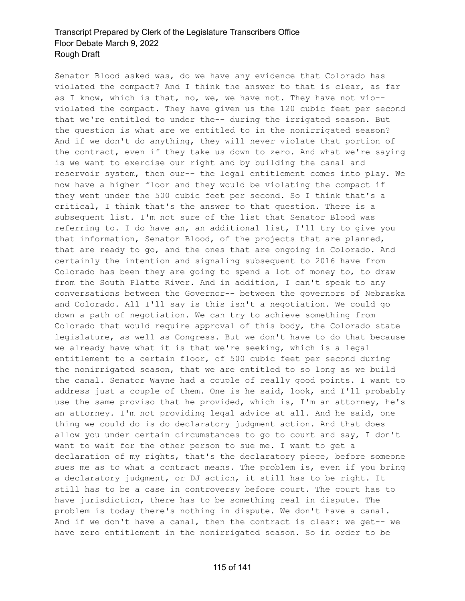Senator Blood asked was, do we have any evidence that Colorado has violated the compact? And I think the answer to that is clear, as far as I know, which is that, no, we, we have not. They have not vio- violated the compact. They have given us the 120 cubic feet per second that we're entitled to under the-- during the irrigated season. But the question is what are we entitled to in the nonirrigated season? And if we don't do anything, they will never violate that portion of the contract, even if they take us down to zero. And what we're saying is we want to exercise our right and by building the canal and reservoir system, then our-- the legal entitlement comes into play. We now have a higher floor and they would be violating the compact if they went under the 500 cubic feet per second. So I think that's a critical, I think that's the answer to that question. There is a subsequent list. I'm not sure of the list that Senator Blood was referring to. I do have an, an additional list, I'll try to give you that information, Senator Blood, of the projects that are planned, that are ready to go, and the ones that are ongoing in Colorado. And certainly the intention and signaling subsequent to 2016 have from Colorado has been they are going to spend a lot of money to, to draw from the South Platte River. And in addition, I can't speak to any conversations between the Governor-- between the governors of Nebraska and Colorado. All I'll say is this isn't a negotiation. We could go down a path of negotiation. We can try to achieve something from Colorado that would require approval of this body, the Colorado state legislature, as well as Congress. But we don't have to do that because we already have what it is that we're seeking, which is a legal entitlement to a certain floor, of 500 cubic feet per second during the nonirrigated season, that we are entitled to so long as we build the canal. Senator Wayne had a couple of really good points. I want to address just a couple of them. One is he said, look, and I'll probably use the same proviso that he provided, which is, I'm an attorney, he's an attorney. I'm not providing legal advice at all. And he said, one thing we could do is do declaratory judgment action. And that does allow you under certain circumstances to go to court and say, I don't want to wait for the other person to sue me. I want to get a declaration of my rights, that's the declaratory piece, before someone sues me as to what a contract means. The problem is, even if you bring a declaratory judgment, or DJ action, it still has to be right. It still has to be a case in controversy before court. The court has to have jurisdiction, there has to be something real in dispute. The problem is today there's nothing in dispute. We don't have a canal. And if we don't have a canal, then the contract is clear: we get-- we have zero entitlement in the nonirrigated season. So in order to be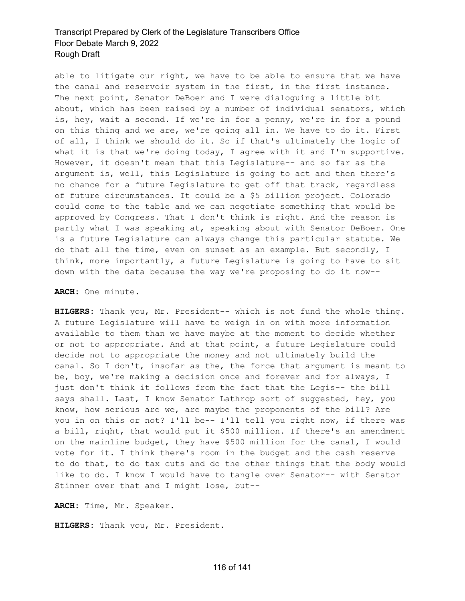able to litigate our right, we have to be able to ensure that we have the canal and reservoir system in the first, in the first instance. The next point, Senator DeBoer and I were dialoguing a little bit about, which has been raised by a number of individual senators, which is, hey, wait a second. If we're in for a penny, we're in for a pound on this thing and we are, we're going all in. We have to do it. First of all, I think we should do it. So if that's ultimately the logic of what it is that we're doing today, I agree with it and I'm supportive. However, it doesn't mean that this Legislature-- and so far as the argument is, well, this Legislature is going to act and then there's no chance for a future Legislature to get off that track, regardless of future circumstances. It could be a \$5 billion project. Colorado could come to the table and we can negotiate something that would be approved by Congress. That I don't think is right. And the reason is partly what I was speaking at, speaking about with Senator DeBoer. One is a future Legislature can always change this particular statute. We do that all the time, even on sunset as an example. But secondly, I think, more importantly, a future Legislature is going to have to sit down with the data because the way we're proposing to do it now--

#### **ARCH:** One minute.

**HILGERS:** Thank you, Mr. President-- which is not fund the whole thing. A future Legislature will have to weigh in on with more information available to them than we have maybe at the moment to decide whether or not to appropriate. And at that point, a future Legislature could decide not to appropriate the money and not ultimately build the canal. So I don't, insofar as the, the force that argument is meant to be, boy, we're making a decision once and forever and for always, I just don't think it follows from the fact that the Legis-- the bill says shall. Last, I know Senator Lathrop sort of suggested, hey, you know, how serious are we, are maybe the proponents of the bill? Are you in on this or not? I'll be-- I'll tell you right now, if there was a bill, right, that would put it \$500 million. If there's an amendment on the mainline budget, they have \$500 million for the canal, I would vote for it. I think there's room in the budget and the cash reserve to do that, to do tax cuts and do the other things that the body would like to do. I know I would have to tangle over Senator-- with Senator Stinner over that and I might lose, but--

**ARCH:** Time, Mr. Speaker.

**HILGERS:** Thank you, Mr. President.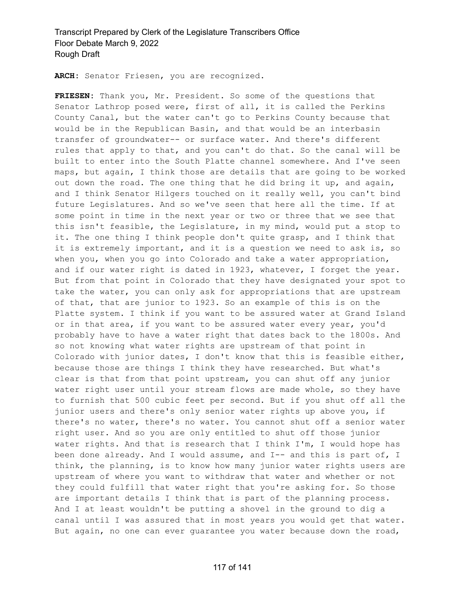**ARCH:** Senator Friesen, you are recognized.

**FRIESEN:** Thank you, Mr. President. So some of the questions that Senator Lathrop posed were, first of all, it is called the Perkins County Canal, but the water can't go to Perkins County because that would be in the Republican Basin, and that would be an interbasin transfer of groundwater-- or surface water. And there's different rules that apply to that, and you can't do that. So the canal will be built to enter into the South Platte channel somewhere. And I've seen maps, but again, I think those are details that are going to be worked out down the road. The one thing that he did bring it up, and again, and I think Senator Hilgers touched on it really well, you can't bind future Legislatures. And so we've seen that here all the time. If at some point in time in the next year or two or three that we see that this isn't feasible, the Legislature, in my mind, would put a stop to it. The one thing I think people don't quite grasp, and I think that it is extremely important, and it is a question we need to ask is, so when you, when you go into Colorado and take a water appropriation, and if our water right is dated in 1923, whatever, I forget the year. But from that point in Colorado that they have designated your spot to take the water, you can only ask for appropriations that are upstream of that, that are junior to 1923. So an example of this is on the Platte system. I think if you want to be assured water at Grand Island or in that area, if you want to be assured water every year, you'd probably have to have a water right that dates back to the 1800s. And so not knowing what water rights are upstream of that point in Colorado with junior dates, I don't know that this is feasible either, because those are things I think they have researched. But what's clear is that from that point upstream, you can shut off any junior water right user until your stream flows are made whole, so they have to furnish that 500 cubic feet per second. But if you shut off all the junior users and there's only senior water rights up above you, if there's no water, there's no water. You cannot shut off a senior water right user. And so you are only entitled to shut off those junior water rights. And that is research that I think I'm, I would hope has been done already. And I would assume, and I-- and this is part of, I think, the planning, is to know how many junior water rights users are upstream of where you want to withdraw that water and whether or not they could fulfill that water right that you're asking for. So those are important details I think that is part of the planning process. And I at least wouldn't be putting a shovel in the ground to dig a canal until I was assured that in most years you would get that water. But again, no one can ever guarantee you water because down the road,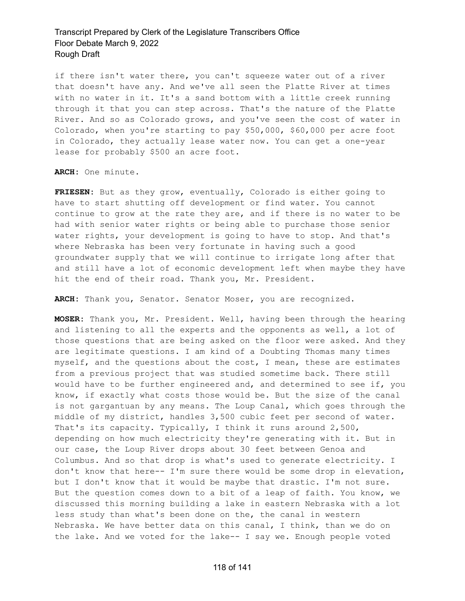if there isn't water there, you can't squeeze water out of a river that doesn't have any. And we've all seen the Platte River at times with no water in it. It's a sand bottom with a little creek running through it that you can step across. That's the nature of the Platte River. And so as Colorado grows, and you've seen the cost of water in Colorado, when you're starting to pay \$50,000, \$60,000 per acre foot in Colorado, they actually lease water now. You can get a one-year lease for probably \$500 an acre foot.

**ARCH:** One minute.

**FRIESEN:** But as they grow, eventually, Colorado is either going to have to start shutting off development or find water. You cannot continue to grow at the rate they are, and if there is no water to be had with senior water rights or being able to purchase those senior water rights, your development is going to have to stop. And that's where Nebraska has been very fortunate in having such a good groundwater supply that we will continue to irrigate long after that and still have a lot of economic development left when maybe they have hit the end of their road. Thank you, Mr. President.

**ARCH:** Thank you, Senator. Senator Moser, you are recognized.

**MOSER:** Thank you, Mr. President. Well, having been through the hearing and listening to all the experts and the opponents as well, a lot of those questions that are being asked on the floor were asked. And they are legitimate questions. I am kind of a Doubting Thomas many times myself, and the questions about the cost, I mean, these are estimates from a previous project that was studied sometime back. There still would have to be further engineered and, and determined to see if, you know, if exactly what costs those would be. But the size of the canal is not gargantuan by any means. The Loup Canal, which goes through the middle of my district, handles 3,500 cubic feet per second of water. That's its capacity. Typically, I think it runs around 2,500, depending on how much electricity they're generating with it. But in our case, the Loup River drops about 30 feet between Genoa and Columbus. And so that drop is what's used to generate electricity. I don't know that here-- I'm sure there would be some drop in elevation, but I don't know that it would be maybe that drastic. I'm not sure. But the question comes down to a bit of a leap of faith. You know, we discussed this morning building a lake in eastern Nebraska with a lot less study than what's been done on the, the canal in western Nebraska. We have better data on this canal, I think, than we do on the lake. And we voted for the lake-- I say we. Enough people voted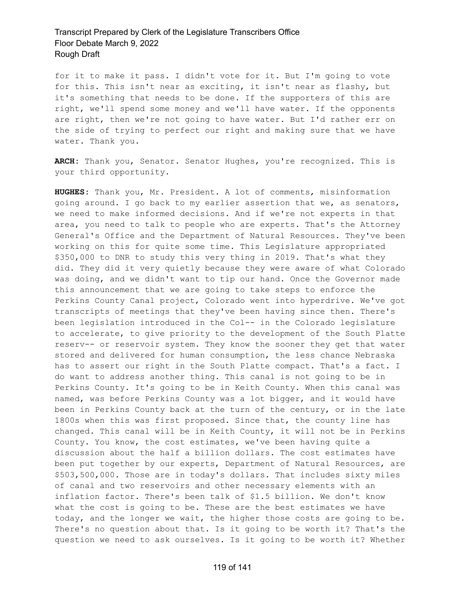for it to make it pass. I didn't vote for it. But I'm going to vote for this. This isn't near as exciting, it isn't near as flashy, but it's something that needs to be done. If the supporters of this are right, we'll spend some money and we'll have water. If the opponents are right, then we're not going to have water. But I'd rather err on the side of trying to perfect our right and making sure that we have water. Thank you.

**ARCH:** Thank you, Senator. Senator Hughes, you're recognized. This is your third opportunity.

**HUGHES:** Thank you, Mr. President. A lot of comments, misinformation going around. I go back to my earlier assertion that we, as senators, we need to make informed decisions. And if we're not experts in that area, you need to talk to people who are experts. That's the Attorney General's Office and the Department of Natural Resources. They've been working on this for quite some time. This Legislature appropriated \$350,000 to DNR to study this very thing in 2019. That's what they did. They did it very quietly because they were aware of what Colorado was doing, and we didn't want to tip our hand. Once the Governor made this announcement that we are going to take steps to enforce the Perkins County Canal project, Colorado went into hyperdrive. We've got transcripts of meetings that they've been having since then. There's been legislation introduced in the Col-- in the Colorado legislature to accelerate, to give priority to the development of the South Platte reserv-- or reservoir system. They know the sooner they get that water stored and delivered for human consumption, the less chance Nebraska has to assert our right in the South Platte compact. That's a fact. I do want to address another thing. This canal is not going to be in Perkins County. It's going to be in Keith County. When this canal was named, was before Perkins County was a lot bigger, and it would have been in Perkins County back at the turn of the century, or in the late 1800s when this was first proposed. Since that, the county line has changed. This canal will be in Keith County, it will not be in Perkins County. You know, the cost estimates, we've been having quite a discussion about the half a billion dollars. The cost estimates have been put together by our experts, Department of Natural Resources, are \$503,500,000. Those are in today's dollars. That includes sixty miles of canal and two reservoirs and other necessary elements with an inflation factor. There's been talk of \$1.5 billion. We don't know what the cost is going to be. These are the best estimates we have today, and the longer we wait, the higher those costs are going to be. There's no question about that. Is it going to be worth it? That's the question we need to ask ourselves. Is it going to be worth it? Whether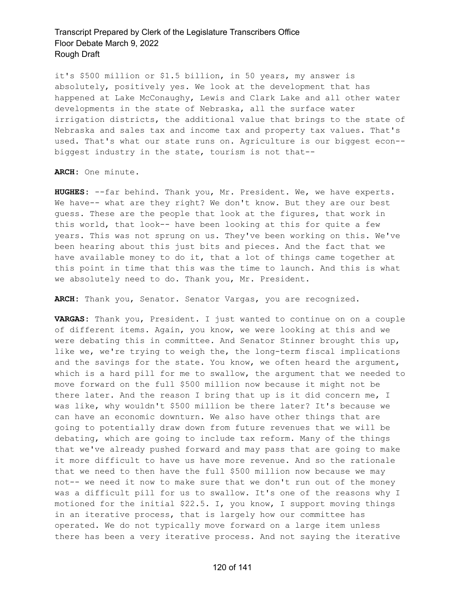it's \$500 million or \$1.5 billion, in 50 years, my answer is absolutely, positively yes. We look at the development that has happened at Lake McConaughy, Lewis and Clark Lake and all other water developments in the state of Nebraska, all the surface water irrigation districts, the additional value that brings to the state of Nebraska and sales tax and income tax and property tax values. That's used. That's what our state runs on. Agriculture is our biggest econ- biggest industry in the state, tourism is not that--

**ARCH:** One minute.

**HUGHES:** --far behind. Thank you, Mr. President. We, we have experts. We have-- what are they right? We don't know. But they are our best guess. These are the people that look at the figures, that work in this world, that look-- have been looking at this for quite a few years. This was not sprung on us. They've been working on this. We've been hearing about this just bits and pieces. And the fact that we have available money to do it, that a lot of things came together at this point in time that this was the time to launch. And this is what we absolutely need to do. Thank you, Mr. President.

**ARCH:** Thank you, Senator. Senator Vargas, you are recognized.

**VARGAS:** Thank you, President. I just wanted to continue on on a couple of different items. Again, you know, we were looking at this and we were debating this in committee. And Senator Stinner brought this up, like we, we're trying to weigh the, the long-term fiscal implications and the savings for the state. You know, we often heard the argument, which is a hard pill for me to swallow, the argument that we needed to move forward on the full \$500 million now because it might not be there later. And the reason I bring that up is it did concern me, I was like, why wouldn't \$500 million be there later? It's because we can have an economic downturn. We also have other things that are going to potentially draw down from future revenues that we will be debating, which are going to include tax reform. Many of the things that we've already pushed forward and may pass that are going to make it more difficult to have us have more revenue. And so the rationale that we need to then have the full \$500 million now because we may not-- we need it now to make sure that we don't run out of the money was a difficult pill for us to swallow. It's one of the reasons why I motioned for the initial \$22.5. I, you know, I support moving things in an iterative process, that is largely how our committee has operated. We do not typically move forward on a large item unless there has been a very iterative process. And not saying the iterative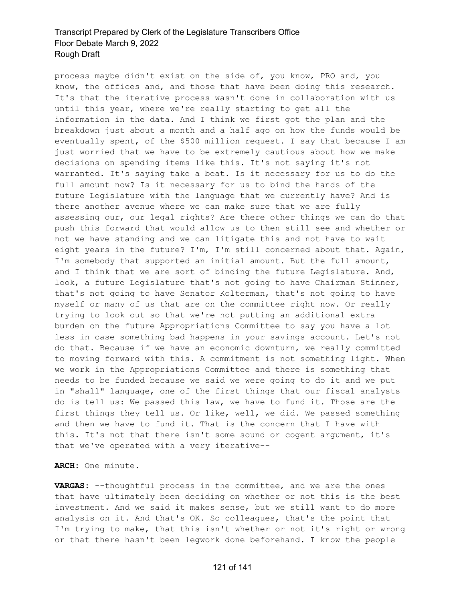process maybe didn't exist on the side of, you know, PRO and, you know, the offices and, and those that have been doing this research. It's that the iterative process wasn't done in collaboration with us until this year, where we're really starting to get all the information in the data. And I think we first got the plan and the breakdown just about a month and a half ago on how the funds would be eventually spent, of the \$500 million request. I say that because I am just worried that we have to be extremely cautious about how we make decisions on spending items like this. It's not saying it's not warranted. It's saying take a beat. Is it necessary for us to do the full amount now? Is it necessary for us to bind the hands of the future Legislature with the language that we currently have? And is there another avenue where we can make sure that we are fully assessing our, our legal rights? Are there other things we can do that push this forward that would allow us to then still see and whether or not we have standing and we can litigate this and not have to wait eight years in the future? I'm, I'm still concerned about that. Again, I'm somebody that supported an initial amount. But the full amount, and I think that we are sort of binding the future Legislature. And, look, a future Legislature that's not going to have Chairman Stinner, that's not going to have Senator Kolterman, that's not going to have myself or many of us that are on the committee right now. Or really trying to look out so that we're not putting an additional extra burden on the future Appropriations Committee to say you have a lot less in case something bad happens in your savings account. Let's not do that. Because if we have an economic downturn, we really committed to moving forward with this. A commitment is not something light. When we work in the Appropriations Committee and there is something that needs to be funded because we said we were going to do it and we put in "shall" language, one of the first things that our fiscal analysts do is tell us: We passed this law, we have to fund it. Those are the first things they tell us. Or like, well, we did. We passed something and then we have to fund it. That is the concern that I have with this. It's not that there isn't some sound or cogent argument, it's that we've operated with a very iterative--

**ARCH:** One minute.

**VARGAS:** --thoughtful process in the committee, and we are the ones that have ultimately been deciding on whether or not this is the best investment. And we said it makes sense, but we still want to do more analysis on it. And that's OK. So colleagues, that's the point that I'm trying to make, that this isn't whether or not it's right or wrong or that there hasn't been legwork done beforehand. I know the people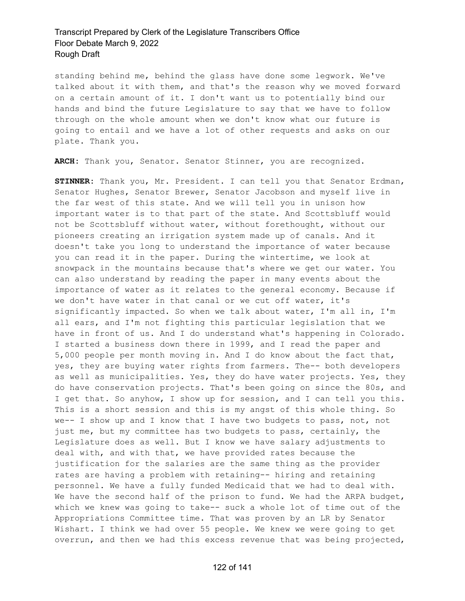standing behind me, behind the glass have done some legwork. We've talked about it with them, and that's the reason why we moved forward on a certain amount of it. I don't want us to potentially bind our hands and bind the future Legislature to say that we have to follow through on the whole amount when we don't know what our future is going to entail and we have a lot of other requests and asks on our plate. Thank you.

**ARCH:** Thank you, Senator. Senator Stinner, you are recognized.

**STINNER:** Thank you, Mr. President. I can tell you that Senator Erdman, Senator Hughes, Senator Brewer, Senator Jacobson and myself live in the far west of this state. And we will tell you in unison how important water is to that part of the state. And Scottsbluff would not be Scottsbluff without water, without forethought, without our pioneers creating an irrigation system made up of canals. And it doesn't take you long to understand the importance of water because you can read it in the paper. During the wintertime, we look at snowpack in the mountains because that's where we get our water. You can also understand by reading the paper in many events about the importance of water as it relates to the general economy. Because if we don't have water in that canal or we cut off water, it's significantly impacted. So when we talk about water, I'm all in, I'm all ears, and I'm not fighting this particular legislation that we have in front of us. And I do understand what's happening in Colorado. I started a business down there in 1999, and I read the paper and 5,000 people per month moving in. And I do know about the fact that, yes, they are buying water rights from farmers. The-- both developers as well as municipalities. Yes, they do have water projects. Yes, they do have conservation projects. That's been going on since the 80s, and I get that. So anyhow, I show up for session, and I can tell you this. This is a short session and this is my angst of this whole thing. So we-- I show up and I know that I have two budgets to pass, not, not just me, but my committee has two budgets to pass, certainly, the Legislature does as well. But I know we have salary adjustments to deal with, and with that, we have provided rates because the justification for the salaries are the same thing as the provider rates are having a problem with retaining-- hiring and retaining personnel. We have a fully funded Medicaid that we had to deal with. We have the second half of the prison to fund. We had the ARPA budget, which we knew was going to take-- suck a whole lot of time out of the Appropriations Committee time. That was proven by an LR by Senator Wishart. I think we had over 55 people. We knew we were going to get overrun, and then we had this excess revenue that was being projected,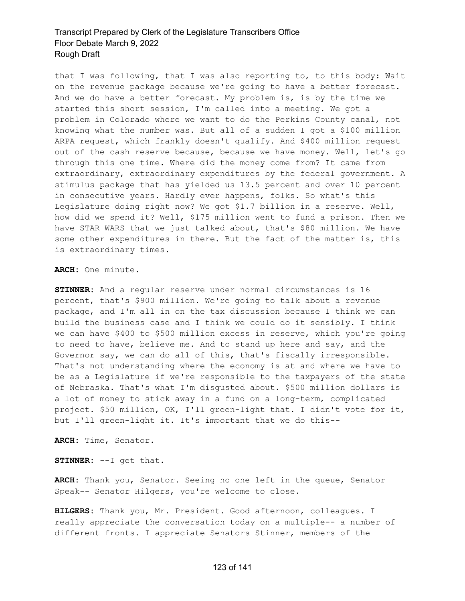that I was following, that I was also reporting to, to this body: Wait on the revenue package because we're going to have a better forecast. And we do have a better forecast. My problem is, is by the time we started this short session, I'm called into a meeting. We got a problem in Colorado where we want to do the Perkins County canal, not knowing what the number was. But all of a sudden I got a \$100 million ARPA request, which frankly doesn't qualify. And \$400 million request out of the cash reserve because, because we have money. Well, let's go through this one time. Where did the money come from? It came from extraordinary, extraordinary expenditures by the federal government. A stimulus package that has yielded us 13.5 percent and over 10 percent in consecutive years. Hardly ever happens, folks. So what's this Legislature doing right now? We got \$1.7 billion in a reserve. Well, how did we spend it? Well, \$175 million went to fund a prison. Then we have STAR WARS that we just talked about, that's \$80 million. We have some other expenditures in there. But the fact of the matter is, this is extraordinary times.

**ARCH:** One minute.

**STINNER:** And a regular reserve under normal circumstances is 16 percent, that's \$900 million. We're going to talk about a revenue package, and I'm all in on the tax discussion because I think we can build the business case and I think we could do it sensibly. I think we can have \$400 to \$500 million excess in reserve, which you're going to need to have, believe me. And to stand up here and say, and the Governor say, we can do all of this, that's fiscally irresponsible. That's not understanding where the economy is at and where we have to be as a Legislature if we're responsible to the taxpayers of the state of Nebraska. That's what I'm disgusted about. \$500 million dollars is a lot of money to stick away in a fund on a long-term, complicated project. \$50 million, OK, I'll green-light that. I didn't vote for it, but I'll green-light it. It's important that we do this--

**ARCH:** Time, Senator.

**STINNER:** --I get that.

**ARCH:** Thank you, Senator. Seeing no one left in the queue, Senator Speak-- Senator Hilgers, you're welcome to close.

**HILGERS:** Thank you, Mr. President. Good afternoon, colleagues. I really appreciate the conversation today on a multiple-- a number of different fronts. I appreciate Senators Stinner, members of the

#### 123 of 141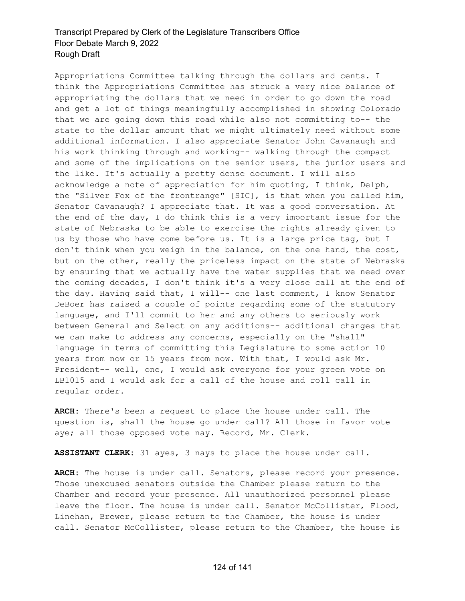Appropriations Committee talking through the dollars and cents. I think the Appropriations Committee has struck a very nice balance of appropriating the dollars that we need in order to go down the road and get a lot of things meaningfully accomplished in showing Colorado that we are going down this road while also not committing to-- the state to the dollar amount that we might ultimately need without some additional information. I also appreciate Senator John Cavanaugh and his work thinking through and working-- walking through the compact and some of the implications on the senior users, the junior users and the like. It's actually a pretty dense document. I will also acknowledge a note of appreciation for him quoting, I think, Delph, the "Silver Fox of the frontrange" [SIC], is that when you called him, Senator Cavanaugh? I appreciate that. It was a good conversation. At the end of the day, I do think this is a very important issue for the state of Nebraska to be able to exercise the rights already given to us by those who have come before us. It is a large price tag, but I don't think when you weigh in the balance, on the one hand, the cost, but on the other, really the priceless impact on the state of Nebraska by ensuring that we actually have the water supplies that we need over the coming decades, I don't think it's a very close call at the end of the day. Having said that, I will-- one last comment, I know Senator DeBoer has raised a couple of points regarding some of the statutory language, and I'll commit to her and any others to seriously work between General and Select on any additions-- additional changes that we can make to address any concerns, especially on the "shall" language in terms of committing this Legislature to some action 10 years from now or 15 years from now. With that, I would ask Mr. President-- well, one, I would ask everyone for your green vote on LB1015 and I would ask for a call of the house and roll call in regular order.

**ARCH:** There's been a request to place the house under call. The question is, shall the house go under call? All those in favor vote aye; all those opposed vote nay. Record, Mr. Clerk.

**ASSISTANT CLERK:** 31 ayes, 3 nays to place the house under call.

**ARCH:** The house is under call. Senators, please record your presence. Those unexcused senators outside the Chamber please return to the Chamber and record your presence. All unauthorized personnel please leave the floor. The house is under call. Senator McCollister, Flood, Linehan, Brewer, please return to the Chamber, the house is under call. Senator McCollister, please return to the Chamber, the house is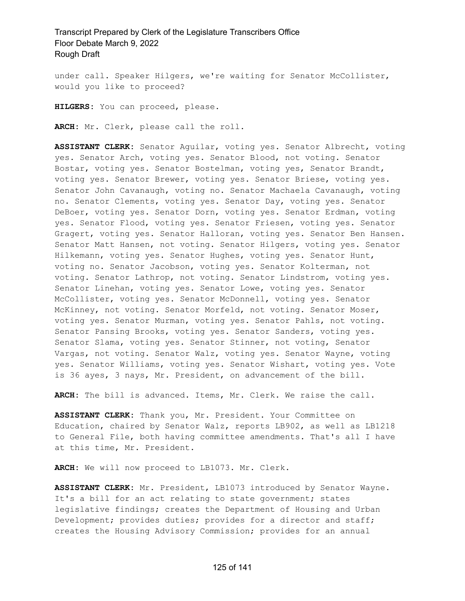under call. Speaker Hilgers, we're waiting for Senator McCollister, would you like to proceed?

**HILGERS:** You can proceed, please.

**ARCH:** Mr. Clerk, please call the roll.

**ASSISTANT CLERK:** Senator Aguilar, voting yes. Senator Albrecht, voting yes. Senator Arch, voting yes. Senator Blood, not voting. Senator Bostar, voting yes. Senator Bostelman, voting yes, Senator Brandt, voting yes. Senator Brewer, voting yes. Senator Briese, voting yes. Senator John Cavanaugh, voting no. Senator Machaela Cavanaugh, voting no. Senator Clements, voting yes. Senator Day, voting yes. Senator DeBoer, voting yes. Senator Dorn, voting yes. Senator Erdman, voting yes. Senator Flood, voting yes. Senator Friesen, voting yes. Senator Gragert, voting yes. Senator Halloran, voting yes. Senator Ben Hansen. Senator Matt Hansen, not voting. Senator Hilgers, voting yes. Senator Hilkemann, voting yes. Senator Hughes, voting yes. Senator Hunt, voting no. Senator Jacobson, voting yes. Senator Kolterman, not voting. Senator Lathrop, not voting. Senator Lindstrom, voting yes. Senator Linehan, voting yes. Senator Lowe, voting yes. Senator McCollister, voting yes. Senator McDonnell, voting yes. Senator McKinney, not voting. Senator Morfeld, not voting. Senator Moser, voting yes. Senator Murman, voting yes. Senator Pahls, not voting. Senator Pansing Brooks, voting yes. Senator Sanders, voting yes. Senator Slama, voting yes. Senator Stinner, not voting, Senator Vargas, not voting. Senator Walz, voting yes. Senator Wayne, voting yes. Senator Williams, voting yes. Senator Wishart, voting yes. Vote is 36 ayes, 3 nays, Mr. President, on advancement of the bill.

**ARCH:** The bill is advanced. Items, Mr. Clerk. We raise the call.

**ASSISTANT CLERK:** Thank you, Mr. President. Your Committee on Education, chaired by Senator Walz, reports LB902, as well as LB1218 to General File, both having committee amendments. That's all I have at this time, Mr. President.

**ARCH:** We will now proceed to LB1073. Mr. Clerk.

**ASSISTANT CLERK:** Mr. President, LB1073 introduced by Senator Wayne. It's a bill for an act relating to state government; states legislative findings; creates the Department of Housing and Urban Development; provides duties; provides for a director and staff; creates the Housing Advisory Commission; provides for an annual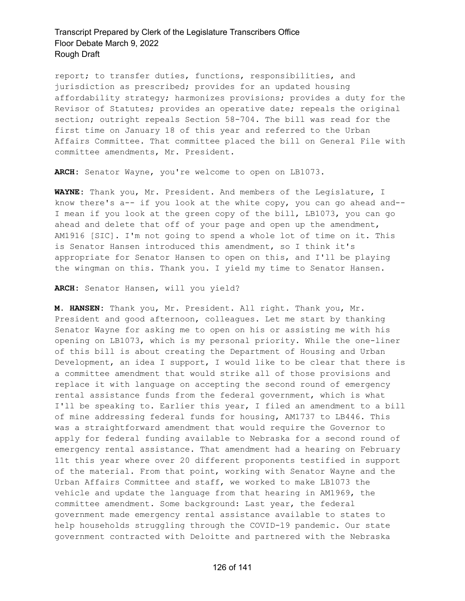report; to transfer duties, functions, responsibilities, and jurisdiction as prescribed; provides for an updated housing affordability strategy; harmonizes provisions; provides a duty for the Revisor of Statutes; provides an operative date; repeals the original section; outright repeals Section 58-704. The bill was read for the first time on January 18 of this year and referred to the Urban Affairs Committee. That committee placed the bill on General File with committee amendments, Mr. President.

**ARCH:** Senator Wayne, you're welcome to open on LB1073.

**WAYNE:** Thank you, Mr. President. And members of the Legislature, I know there's a-- if you look at the white copy, you can go ahead and-- I mean if you look at the green copy of the bill, LB1073, you can go ahead and delete that off of your page and open up the amendment, AM1916 [SIC]. I'm not going to spend a whole lot of time on it. This is Senator Hansen introduced this amendment, so I think it's appropriate for Senator Hansen to open on this, and I'll be playing the wingman on this. Thank you. I yield my time to Senator Hansen.

**ARCH:** Senator Hansen, will you yield?

**M. HANSEN:** Thank you, Mr. President. All right. Thank you, Mr. President and good afternoon, colleagues. Let me start by thanking Senator Wayne for asking me to open on his or assisting me with his opening on LB1073, which is my personal priority. While the one-liner of this bill is about creating the Department of Housing and Urban Development, an idea I support, I would like to be clear that there is a committee amendment that would strike all of those provisions and replace it with language on accepting the second round of emergency rental assistance funds from the federal government, which is what I'll be speaking to. Earlier this year, I filed an amendment to a bill of mine addressing federal funds for housing, AM1737 to LB446. This was a straightforward amendment that would require the Governor to apply for federal funding available to Nebraska for a second round of emergency rental assistance. That amendment had a hearing on February 11t this year where over 20 different proponents testified in support of the material. From that point, working with Senator Wayne and the Urban Affairs Committee and staff, we worked to make LB1073 the vehicle and update the language from that hearing in AM1969, the committee amendment. Some background: Last year, the federal government made emergency rental assistance available to states to help households struggling through the COVID-19 pandemic. Our state government contracted with Deloitte and partnered with the Nebraska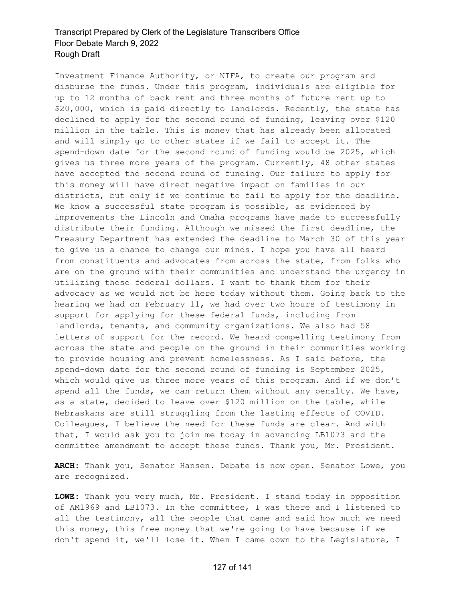Investment Finance Authority, or NIFA, to create our program and disburse the funds. Under this program, individuals are eligible for up to 12 months of back rent and three months of future rent up to \$20,000, which is paid directly to landlords. Recently, the state has declined to apply for the second round of funding, leaving over \$120 million in the table. This is money that has already been allocated and will simply go to other states if we fail to accept it. The spend-down date for the second round of funding would be 2025, which gives us three more years of the program. Currently, 48 other states have accepted the second round of funding. Our failure to apply for this money will have direct negative impact on families in our districts, but only if we continue to fail to apply for the deadline. We know a successful state program is possible, as evidenced by improvements the Lincoln and Omaha programs have made to successfully distribute their funding. Although we missed the first deadline, the Treasury Department has extended the deadline to March 30 of this year to give us a chance to change our minds. I hope you have all heard from constituents and advocates from across the state, from folks who are on the ground with their communities and understand the urgency in utilizing these federal dollars. I want to thank them for their advocacy as we would not be here today without them. Going back to the hearing we had on February 11, we had over two hours of testimony in support for applying for these federal funds, including from landlords, tenants, and community organizations. We also had 58 letters of support for the record. We heard compelling testimony from across the state and people on the ground in their communities working to provide housing and prevent homelessness. As I said before, the spend-down date for the second round of funding is September 2025, which would give us three more years of this program. And if we don't spend all the funds, we can return them without any penalty. We have, as a state, decided to leave over \$120 million on the table, while Nebraskans are still struggling from the lasting effects of COVID. Colleagues, I believe the need for these funds are clear. And with that, I would ask you to join me today in advancing LB1073 and the committee amendment to accept these funds. Thank you, Mr. President.

**ARCH:** Thank you, Senator Hansen. Debate is now open. Senator Lowe, you are recognized.

**LOWE:** Thank you very much, Mr. President. I stand today in opposition of AM1969 and LB1073. In the committee, I was there and I listened to all the testimony, all the people that came and said how much we need this money, this free money that we're going to have because if we don't spend it, we'll lose it. When I came down to the Legislature, I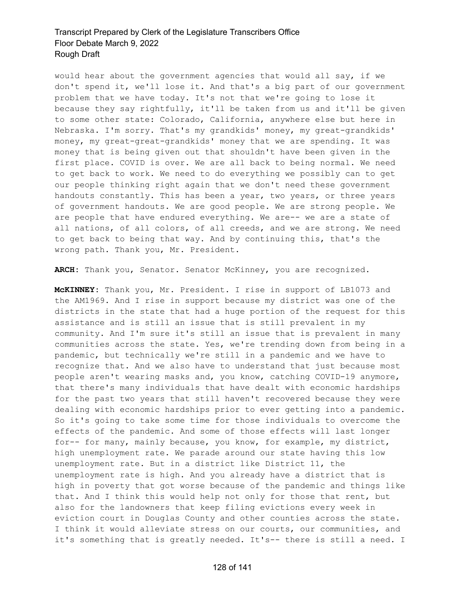would hear about the government agencies that would all say, if we don't spend it, we'll lose it. And that's a big part of our government problem that we have today. It's not that we're going to lose it because they say rightfully, it'll be taken from us and it'll be given to some other state: Colorado, California, anywhere else but here in Nebraska. I'm sorry. That's my grandkids' money, my great-grandkids' money, my great-great-grandkids' money that we are spending. It was money that is being given out that shouldn't have been given in the first place. COVID is over. We are all back to being normal. We need to get back to work. We need to do everything we possibly can to get our people thinking right again that we don't need these government handouts constantly. This has been a year, two years, or three years of government handouts. We are good people. We are strong people. We are people that have endured everything. We are-- we are a state of all nations, of all colors, of all creeds, and we are strong. We need to get back to being that way. And by continuing this, that's the wrong path. Thank you, Mr. President.

**ARCH:** Thank you, Senator. Senator McKinney, you are recognized.

**McKINNEY:** Thank you, Mr. President. I rise in support of LB1073 and the AM1969. And I rise in support because my district was one of the districts in the state that had a huge portion of the request for this assistance and is still an issue that is still prevalent in my community. And I'm sure it's still an issue that is prevalent in many communities across the state. Yes, we're trending down from being in a pandemic, but technically we're still in a pandemic and we have to recognize that. And we also have to understand that just because most people aren't wearing masks and, you know, catching COVID-19 anymore, that there's many individuals that have dealt with economic hardships for the past two years that still haven't recovered because they were dealing with economic hardships prior to ever getting into a pandemic. So it's going to take some time for those individuals to overcome the effects of the pandemic. And some of those effects will last longer for-- for many, mainly because, you know, for example, my district, high unemployment rate. We parade around our state having this low unemployment rate. But in a district like District 11, the unemployment rate is high. And you already have a district that is high in poverty that got worse because of the pandemic and things like that. And I think this would help not only for those that rent, but also for the landowners that keep filing evictions every week in eviction court in Douglas County and other counties across the state. I think it would alleviate stress on our courts, our communities, and it's something that is greatly needed. It's-- there is still a need. I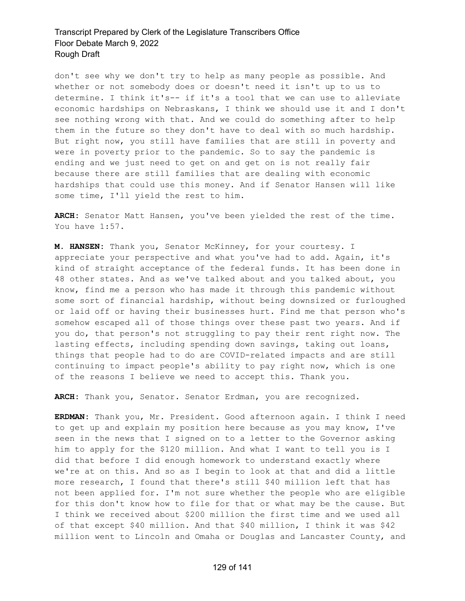don't see why we don't try to help as many people as possible. And whether or not somebody does or doesn't need it isn't up to us to determine. I think it's-- if it's a tool that we can use to alleviate economic hardships on Nebraskans, I think we should use it and I don't see nothing wrong with that. And we could do something after to help them in the future so they don't have to deal with so much hardship. But right now, you still have families that are still in poverty and were in poverty prior to the pandemic. So to say the pandemic is ending and we just need to get on and get on is not really fair because there are still families that are dealing with economic hardships that could use this money. And if Senator Hansen will like some time, I'll yield the rest to him.

**ARCH:** Senator Matt Hansen, you've been yielded the rest of the time. You have 1:57.

**M. HANSEN:** Thank you, Senator McKinney, for your courtesy. I appreciate your perspective and what you've had to add. Again, it's kind of straight acceptance of the federal funds. It has been done in 48 other states. And as we've talked about and you talked about, you know, find me a person who has made it through this pandemic without some sort of financial hardship, without being downsized or furloughed or laid off or having their businesses hurt. Find me that person who's somehow escaped all of those things over these past two years. And if you do, that person's not struggling to pay their rent right now. The lasting effects, including spending down savings, taking out loans, things that people had to do are COVID-related impacts and are still continuing to impact people's ability to pay right now, which is one of the reasons I believe we need to accept this. Thank you.

**ARCH:** Thank you, Senator. Senator Erdman, you are recognized.

**ERDMAN:** Thank you, Mr. President. Good afternoon again. I think I need to get up and explain my position here because as you may know, I've seen in the news that I signed on to a letter to the Governor asking him to apply for the \$120 million. And what I want to tell you is I did that before I did enough homework to understand exactly where we're at on this. And so as I begin to look at that and did a little more research, I found that there's still \$40 million left that has not been applied for. I'm not sure whether the people who are eligible for this don't know how to file for that or what may be the cause. But I think we received about \$200 million the first time and we used all of that except \$40 million. And that \$40 million, I think it was \$42 million went to Lincoln and Omaha or Douglas and Lancaster County, and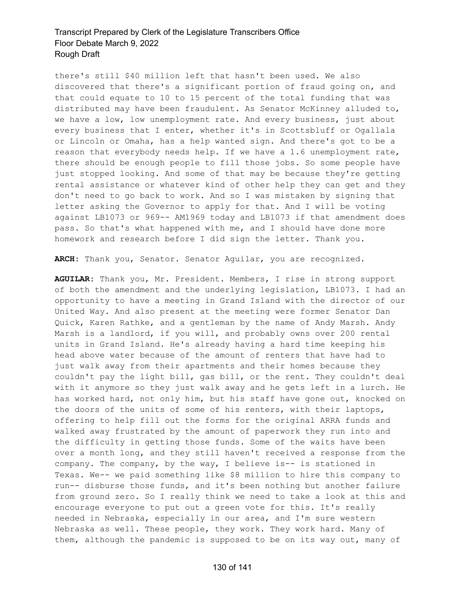there's still \$40 million left that hasn't been used. We also discovered that there's a significant portion of fraud going on, and that could equate to 10 to 15 percent of the total funding that was distributed may have been fraudulent. As Senator McKinney alluded to, we have a low, low unemployment rate. And every business, just about every business that I enter, whether it's in Scottsbluff or Ogallala or Lincoln or Omaha, has a help wanted sign. And there's got to be a reason that everybody needs help. If we have a 1.6 unemployment rate, there should be enough people to fill those jobs. So some people have just stopped looking. And some of that may be because they're getting rental assistance or whatever kind of other help they can get and they don't need to go back to work. And so I was mistaken by signing that letter asking the Governor to apply for that. And I will be voting against LB1073 or 969-- AM1969 today and LB1073 if that amendment does pass. So that's what happened with me, and I should have done more homework and research before I did sign the letter. Thank you.

**ARCH:** Thank you, Senator. Senator Aguilar, you are recognized.

**AGUILAR:** Thank you, Mr. President. Members, I rise in strong support of both the amendment and the underlying legislation, LB1073. I had an opportunity to have a meeting in Grand Island with the director of our United Way. And also present at the meeting were former Senator Dan Quick, Karen Rathke, and a gentleman by the name of Andy Marsh. Andy Marsh is a landlord, if you will, and probably owns over 200 rental units in Grand Island. He's already having a hard time keeping his head above water because of the amount of renters that have had to just walk away from their apartments and their homes because they couldn't pay the light bill, gas bill, or the rent. They couldn't deal with it anymore so they just walk away and he gets left in a lurch. He has worked hard, not only him, but his staff have gone out, knocked on the doors of the units of some of his renters, with their laptops, offering to help fill out the forms for the original ARRA funds and walked away frustrated by the amount of paperwork they run into and the difficulty in getting those funds. Some of the waits have been over a month long, and they still haven't received a response from the company. The company, by the way, I believe is-- is stationed in Texas. We-- we paid something like \$8 million to hire this company to run-- disburse those funds, and it's been nothing but another failure from ground zero. So I really think we need to take a look at this and encourage everyone to put out a green vote for this. It's really needed in Nebraska, especially in our area, and I'm sure western Nebraska as well. These people, they work. They work hard. Many of them, although the pandemic is supposed to be on its way out, many of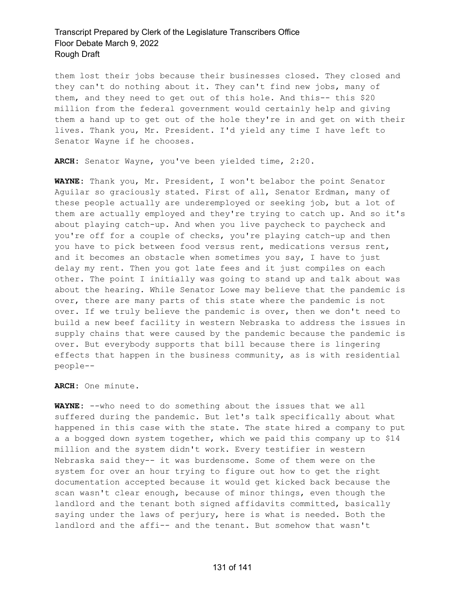them lost their jobs because their businesses closed. They closed and they can't do nothing about it. They can't find new jobs, many of them, and they need to get out of this hole. And this-- this \$20 million from the federal government would certainly help and giving them a hand up to get out of the hole they're in and get on with their lives. Thank you, Mr. President. I'd yield any time I have left to Senator Wayne if he chooses.

**ARCH:** Senator Wayne, you've been yielded time, 2:20.

**WAYNE:** Thank you, Mr. President, I won't belabor the point Senator Aguilar so graciously stated. First of all, Senator Erdman, many of these people actually are underemployed or seeking job, but a lot of them are actually employed and they're trying to catch up. And so it's about playing catch-up. And when you live paycheck to paycheck and you're off for a couple of checks, you're playing catch-up and then you have to pick between food versus rent, medications versus rent, and it becomes an obstacle when sometimes you say, I have to just delay my rent. Then you got late fees and it just compiles on each other. The point I initially was going to stand up and talk about was about the hearing. While Senator Lowe may believe that the pandemic is over, there are many parts of this state where the pandemic is not over. If we truly believe the pandemic is over, then we don't need to build a new beef facility in western Nebraska to address the issues in supply chains that were caused by the pandemic because the pandemic is over. But everybody supports that bill because there is lingering effects that happen in the business community, as is with residential people--

**ARCH:** One minute.

**WAYNE:** --who need to do something about the issues that we all suffered during the pandemic. But let's talk specifically about what happened in this case with the state. The state hired a company to put a a bogged down system together, which we paid this company up to \$14 million and the system didn't work. Every testifier in western Nebraska said they-- it was burdensome. Some of them were on the system for over an hour trying to figure out how to get the right documentation accepted because it would get kicked back because the scan wasn't clear enough, because of minor things, even though the landlord and the tenant both signed affidavits committed, basically saying under the laws of perjury, here is what is needed. Both the landlord and the affi-- and the tenant. But somehow that wasn't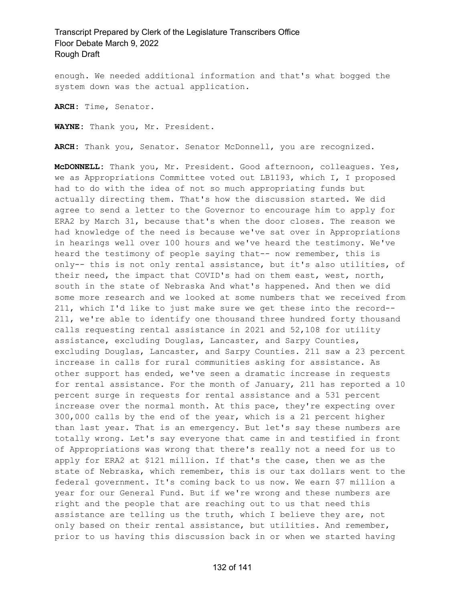enough. We needed additional information and that's what bogged the system down was the actual application.

**ARCH:** Time, Senator.

**WAYNE:** Thank you, Mr. President.

**ARCH:** Thank you, Senator. Senator McDonnell, you are recognized.

**McDONNELL:** Thank you, Mr. President. Good afternoon, colleagues. Yes, we as Appropriations Committee voted out LB1193, which I, I proposed had to do with the idea of not so much appropriating funds but actually directing them. That's how the discussion started. We did agree to send a letter to the Governor to encourage him to apply for ERA2 by March 31, because that's when the door closes. The reason we had knowledge of the need is because we've sat over in Appropriations in hearings well over 100 hours and we've heard the testimony. We've heard the testimony of people saying that-- now remember, this is only-- this is not only rental assistance, but it's also utilities, of their need, the impact that COVID's had on them east, west, north, south in the state of Nebraska And what's happened. And then we did some more research and we looked at some numbers that we received from 211, which I'd like to just make sure we get these into the record-- 211, we're able to identify one thousand three hundred forty thousand calls requesting rental assistance in 2021 and 52,108 for utility assistance, excluding Douglas, Lancaster, and Sarpy Counties, excluding Douglas, Lancaster, and Sarpy Counties. 211 saw a 23 percent increase in calls for rural communities asking for assistance. As other support has ended, we've seen a dramatic increase in requests for rental assistance. For the month of January, 211 has reported a 10 percent surge in requests for rental assistance and a 531 percent increase over the normal month. At this pace, they're expecting over 300,000 calls by the end of the year, which is a 21 percent higher than last year. That is an emergency. But let's say these numbers are totally wrong. Let's say everyone that came in and testified in front of Appropriations was wrong that there's really not a need for us to apply for ERA2 at \$121 million. If that's the case, then we as the state of Nebraska, which remember, this is our tax dollars went to the federal government. It's coming back to us now. We earn \$7 million a year for our General Fund. But if we're wrong and these numbers are right and the people that are reaching out to us that need this assistance are telling us the truth, which I believe they are, not only based on their rental assistance, but utilities. And remember, prior to us having this discussion back in or when we started having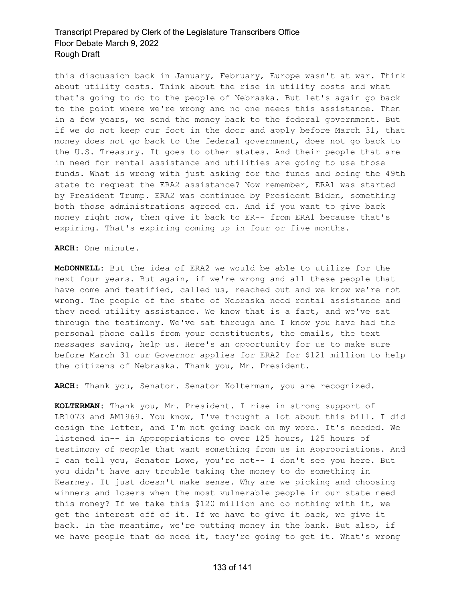this discussion back in January, February, Europe wasn't at war. Think about utility costs. Think about the rise in utility costs and what that's going to do to the people of Nebraska. But let's again go back to the point where we're wrong and no one needs this assistance. Then in a few years, we send the money back to the federal government. But if we do not keep our foot in the door and apply before March 31, that money does not go back to the federal government, does not go back to the U.S. Treasury. It goes to other states. And their people that are in need for rental assistance and utilities are going to use those funds. What is wrong with just asking for the funds and being the 49th state to request the ERA2 assistance? Now remember, ERA1 was started by President Trump. ERA2 was continued by President Biden, something both those administrations agreed on. And if you want to give back money right now, then give it back to ER-- from ERA1 because that's expiring. That's expiring coming up in four or five months.

**ARCH:** One minute.

**McDONNELL:** But the idea of ERA2 we would be able to utilize for the next four years. But again, if we're wrong and all these people that have come and testified, called us, reached out and we know we're not wrong. The people of the state of Nebraska need rental assistance and they need utility assistance. We know that is a fact, and we've sat through the testimony. We've sat through and I know you have had the personal phone calls from your constituents, the emails, the text messages saying, help us. Here's an opportunity for us to make sure before March 31 our Governor applies for ERA2 for \$121 million to help the citizens of Nebraska. Thank you, Mr. President.

**ARCH:** Thank you, Senator. Senator Kolterman, you are recognized.

**KOLTERMAN:** Thank you, Mr. President. I rise in strong support of LB1073 and AM1969. You know, I've thought a lot about this bill. I did cosign the letter, and I'm not going back on my word. It's needed. We listened in-- in Appropriations to over 125 hours, 125 hours of testimony of people that want something from us in Appropriations. And I can tell you, Senator Lowe, you're not-- I don't see you here. But you didn't have any trouble taking the money to do something in Kearney. It just doesn't make sense. Why are we picking and choosing winners and losers when the most vulnerable people in our state need this money? If we take this \$120 million and do nothing with it, we get the interest off of it. If we have to give it back, we give it back. In the meantime, we're putting money in the bank. But also, if we have people that do need it, they're going to get it. What's wrong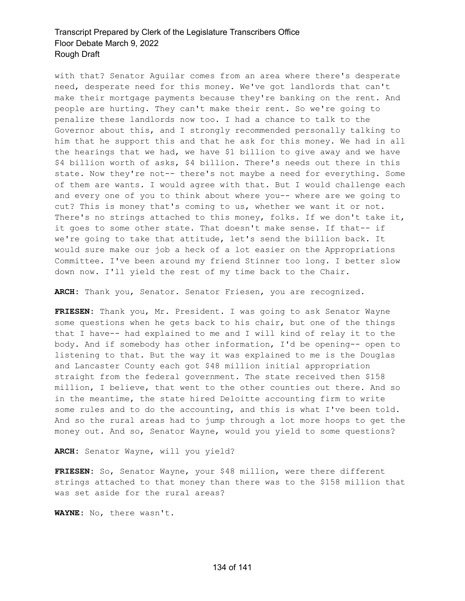with that? Senator Aguilar comes from an area where there's desperate need, desperate need for this money. We've got landlords that can't make their mortgage payments because they're banking on the rent. And people are hurting. They can't make their rent. So we're going to penalize these landlords now too. I had a chance to talk to the Governor about this, and I strongly recommended personally talking to him that he support this and that he ask for this money. We had in all the hearings that we had, we have \$1 billion to give away and we have \$4 billion worth of asks, \$4 billion. There's needs out there in this state. Now they're not-- there's not maybe a need for everything. Some of them are wants. I would agree with that. But I would challenge each and every one of you to think about where you-- where are we going to cut? This is money that's coming to us, whether we want it or not. There's no strings attached to this money, folks. If we don't take it, it goes to some other state. That doesn't make sense. If that-- if we're going to take that attitude, let's send the billion back. It would sure make our job a heck of a lot easier on the Appropriations Committee. I've been around my friend Stinner too long. I better slow down now. I'll yield the rest of my time back to the Chair.

**ARCH:** Thank you, Senator. Senator Friesen, you are recognized.

**FRIESEN:** Thank you, Mr. President. I was going to ask Senator Wayne some questions when he gets back to his chair, but one of the things that I have-- had explained to me and I will kind of relay it to the body. And if somebody has other information, I'd be opening-- open to listening to that. But the way it was explained to me is the Douglas and Lancaster County each got \$48 million initial appropriation straight from the federal government. The state received then \$158 million, I believe, that went to the other counties out there. And so in the meantime, the state hired Deloitte accounting firm to write some rules and to do the accounting, and this is what I've been told. And so the rural areas had to jump through a lot more hoops to get the money out. And so, Senator Wayne, would you yield to some questions?

**ARCH:** Senator Wayne, will you yield?

**FRIESEN:** So, Senator Wayne, your \$48 million, were there different strings attached to that money than there was to the \$158 million that was set aside for the rural areas?

**WAYNE:** No, there wasn't.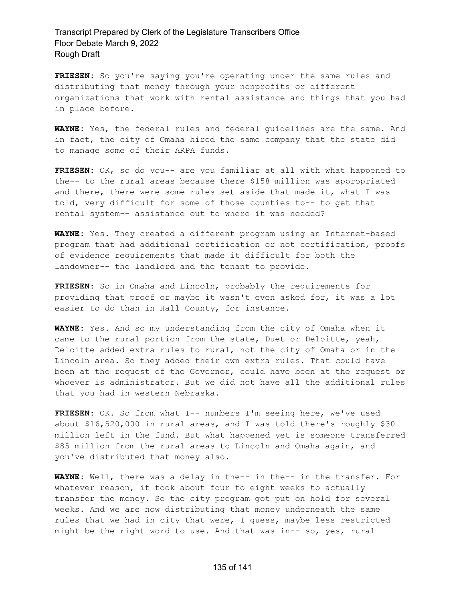**FRIESEN:** So you're saying you're operating under the same rules and distributing that money through your nonprofits or different organizations that work with rental assistance and things that you had in place before.

**WAYNE:** Yes, the federal rules and federal guidelines are the same. And in fact, the city of Omaha hired the same company that the state did to manage some of their ARPA funds.

**FRIESEN:** OK, so do you-- are you familiar at all with what happened to the-- to the rural areas because there \$158 million was appropriated and there, there were some rules set aside that made it, what I was told, very difficult for some of those counties to-- to get that rental system-- assistance out to where it was needed?

**WAYNE:** Yes. They created a different program using an Internet-based program that had additional certification or not certification, proofs of evidence requirements that made it difficult for both the landowner-- the landlord and the tenant to provide.

**FRIESEN:** So in Omaha and Lincoln, probably the requirements for providing that proof or maybe it wasn't even asked for, it was a lot easier to do than in Hall County, for instance.

**WAYNE:** Yes. And so my understanding from the city of Omaha when it came to the rural portion from the state, Duet or Deloitte, yeah, Deloitte added extra rules to rural, not the city of Omaha or in the Lincoln area. So they added their own extra rules. That could have been at the request of the Governor, could have been at the request or whoever is administrator. But we did not have all the additional rules that you had in western Nebraska.

**FRIESEN:** OK. So from what I-- numbers I'm seeing here, we've used about \$16,520,000 in rural areas, and I was told there's roughly \$30 million left in the fund. But what happened yet is someone transferred \$85 million from the rural areas to Lincoln and Omaha again, and you've distributed that money also.

**WAYNE:** Well, there was a delay in the-- in the-- in the transfer. For whatever reason, it took about four to eight weeks to actually transfer the money. So the city program got put on hold for several weeks. And we are now distributing that money underneath the same rules that we had in city that were, I guess, maybe less restricted might be the right word to use. And that was in-- so, yes, rural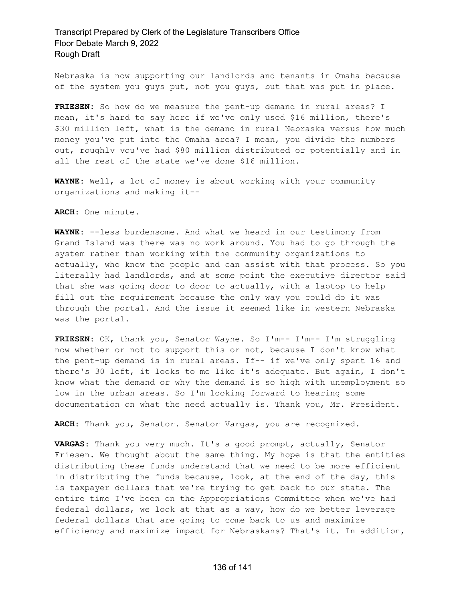Nebraska is now supporting our landlords and tenants in Omaha because of the system you guys put, not you guys, but that was put in place.

**FRIESEN:** So how do we measure the pent-up demand in rural areas? I mean, it's hard to say here if we've only used \$16 million, there's \$30 million left, what is the demand in rural Nebraska versus how much money you've put into the Omaha area? I mean, you divide the numbers out, roughly you've had \$80 million distributed or potentially and in all the rest of the state we've done \$16 million.

**WAYNE:** Well, a lot of money is about working with your community organizations and making it--

**ARCH:** One minute.

**WAYNE:** --less burdensome. And what we heard in our testimony from Grand Island was there was no work around. You had to go through the system rather than working with the community organizations to actually, who know the people and can assist with that process. So you literally had landlords, and at some point the executive director said that she was going door to door to actually, with a laptop to help fill out the requirement because the only way you could do it was through the portal. And the issue it seemed like in western Nebraska was the portal.

**FRIESEN:** OK, thank you, Senator Wayne. So I'm-- I'm-- I'm struggling now whether or not to support this or not, because I don't know what the pent-up demand is in rural areas. If-- if we've only spent 16 and there's 30 left, it looks to me like it's adequate. But again, I don't know what the demand or why the demand is so high with unemployment so low in the urban areas. So I'm looking forward to hearing some documentation on what the need actually is. Thank you, Mr. President.

**ARCH:** Thank you, Senator. Senator Vargas, you are recognized.

**VARGAS:** Thank you very much. It's a good prompt, actually, Senator Friesen. We thought about the same thing. My hope is that the entities distributing these funds understand that we need to be more efficient in distributing the funds because, look, at the end of the day, this is taxpayer dollars that we're trying to get back to our state. The entire time I've been on the Appropriations Committee when we've had federal dollars, we look at that as a way, how do we better leverage federal dollars that are going to come back to us and maximize efficiency and maximize impact for Nebraskans? That's it. In addition,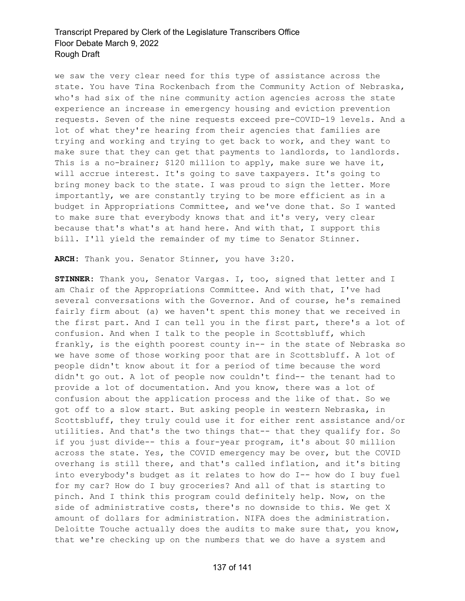we saw the very clear need for this type of assistance across the state. You have Tina Rockenbach from the Community Action of Nebraska, who's had six of the nine community action agencies across the state experience an increase in emergency housing and eviction prevention requests. Seven of the nine requests exceed pre-COVID-19 levels. And a lot of what they're hearing from their agencies that families are trying and working and trying to get back to work, and they want to make sure that they can get that payments to landlords, to landlords. This is a no-brainer; \$120 million to apply, make sure we have it, will accrue interest. It's going to save taxpayers. It's going to bring money back to the state. I was proud to sign the letter. More importantly, we are constantly trying to be more efficient as in a budget in Appropriations Committee, and we've done that. So I wanted to make sure that everybody knows that and it's very, very clear because that's what's at hand here. And with that, I support this bill. I'll yield the remainder of my time to Senator Stinner.

**ARCH:** Thank you. Senator Stinner, you have 3:20.

**STINNER:** Thank you, Senator Vargas. I, too, signed that letter and I am Chair of the Appropriations Committee. And with that, I've had several conversations with the Governor. And of course, he's remained fairly firm about (a) we haven't spent this money that we received in the first part. And I can tell you in the first part, there's a lot of confusion. And when I talk to the people in Scottsbluff, which frankly, is the eighth poorest county in-- in the state of Nebraska so we have some of those working poor that are in Scottsbluff. A lot of people didn't know about it for a period of time because the word didn't go out. A lot of people now couldn't find-- the tenant had to provide a lot of documentation. And you know, there was a lot of confusion about the application process and the like of that. So we got off to a slow start. But asking people in western Nebraska, in Scottsbluff, they truly could use it for either rent assistance and/or utilities. And that's the two things that-- that they qualify for. So if you just divide-- this a four-year program, it's about \$0 million across the state. Yes, the COVID emergency may be over, but the COVID overhang is still there, and that's called inflation, and it's biting into everybody's budget as it relates to how do I-- how do I buy fuel for my car? How do I buy groceries? And all of that is starting to pinch. And I think this program could definitely help. Now, on the side of administrative costs, there's no downside to this. We get X amount of dollars for administration. NIFA does the administration. Deloitte Touche actually does the audits to make sure that, you know, that we're checking up on the numbers that we do have a system and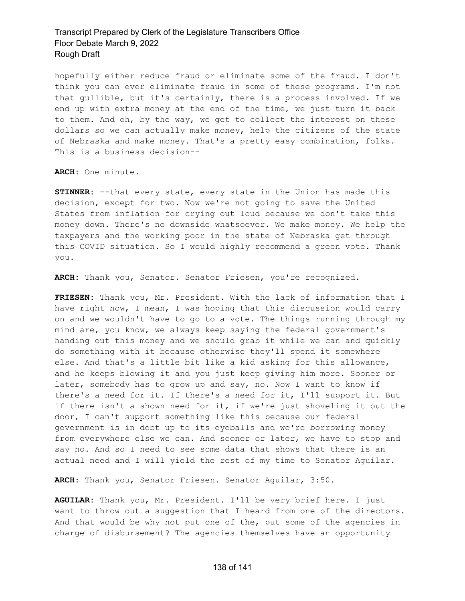hopefully either reduce fraud or eliminate some of the fraud. I don't think you can ever eliminate fraud in some of these programs. I'm not that gullible, but it's certainly, there is a process involved. If we end up with extra money at the end of the time, we just turn it back to them. And oh, by the way, we get to collect the interest on these dollars so we can actually make money, help the citizens of the state of Nebraska and make money. That's a pretty easy combination, folks. This is a business decision--

**ARCH:** One minute.

**STINNER:** --that every state, every state in the Union has made this decision, except for two. Now we're not going to save the United States from inflation for crying out loud because we don't take this money down. There's no downside whatsoever. We make money. We help the taxpayers and the working poor in the state of Nebraska get through this COVID situation. So I would highly recommend a green vote. Thank you.

**ARCH:** Thank you, Senator. Senator Friesen, you're recognized.

**FRIESEN:** Thank you, Mr. President. With the lack of information that I have right now, I mean, I was hoping that this discussion would carry on and we wouldn't have to go to a vote. The things running through my mind are, you know, we always keep saying the federal government's handing out this money and we should grab it while we can and quickly do something with it because otherwise they'll spend it somewhere else. And that's a little bit like a kid asking for this allowance, and he keeps blowing it and you just keep giving him more. Sooner or later, somebody has to grow up and say, no. Now I want to know if there's a need for it. If there's a need for it, I'll support it. But if there isn't a shown need for it, if we're just shoveling it out the door, I can't support something like this because our federal government is in debt up to its eyeballs and we're borrowing money from everywhere else we can. And sooner or later, we have to stop and say no. And so I need to see some data that shows that there is an actual need and I will yield the rest of my time to Senator Aguilar.

**ARCH:** Thank you, Senator Friesen. Senator Aguilar, 3:50.

**AGUILAR:** Thank you, Mr. President. I'll be very brief here. I just want to throw out a suggestion that I heard from one of the directors. And that would be why not put one of the, put some of the agencies in charge of disbursement? The agencies themselves have an opportunity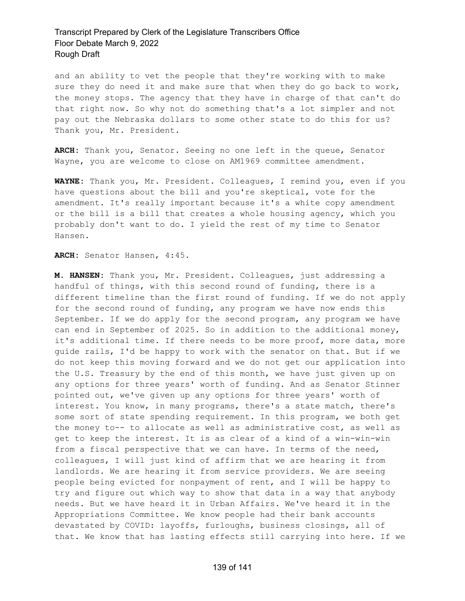and an ability to vet the people that they're working with to make sure they do need it and make sure that when they do go back to work, the money stops. The agency that they have in charge of that can't do that right now. So why not do something that's a lot simpler and not pay out the Nebraska dollars to some other state to do this for us? Thank you, Mr. President.

**ARCH:** Thank you, Senator. Seeing no one left in the queue, Senator Wayne, you are welcome to close on AM1969 committee amendment.

**WAYNE:** Thank you, Mr. President. Colleagues, I remind you, even if you have questions about the bill and you're skeptical, vote for the amendment. It's really important because it's a white copy amendment or the bill is a bill that creates a whole housing agency, which you probably don't want to do. I yield the rest of my time to Senator Hansen.

**ARCH:** Senator Hansen, 4:45.

**M. HANSEN:** Thank you, Mr. President. Colleagues, just addressing a handful of things, with this second round of funding, there is a different timeline than the first round of funding. If we do not apply for the second round of funding, any program we have now ends this September. If we do apply for the second program, any program we have can end in September of 2025. So in addition to the additional money, it's additional time. If there needs to be more proof, more data, more guide rails, I'd be happy to work with the senator on that. But if we do not keep this moving forward and we do not get our application into the U.S. Treasury by the end of this month, we have just given up on any options for three years' worth of funding. And as Senator Stinner pointed out, we've given up any options for three years' worth of interest. You know, in many programs, there's a state match, there's some sort of state spending requirement. In this program, we both get the money to-- to allocate as well as administrative cost, as well as get to keep the interest. It is as clear of a kind of a win-win-win from a fiscal perspective that we can have. In terms of the need, colleagues, I will just kind of affirm that we are hearing it from landlords. We are hearing it from service providers. We are seeing people being evicted for nonpayment of rent, and I will be happy to try and figure out which way to show that data in a way that anybody needs. But we have heard it in Urban Affairs. We've heard it in the Appropriations Committee. We know people had their bank accounts devastated by COVID: layoffs, furloughs, business closings, all of that. We know that has lasting effects still carrying into here. If we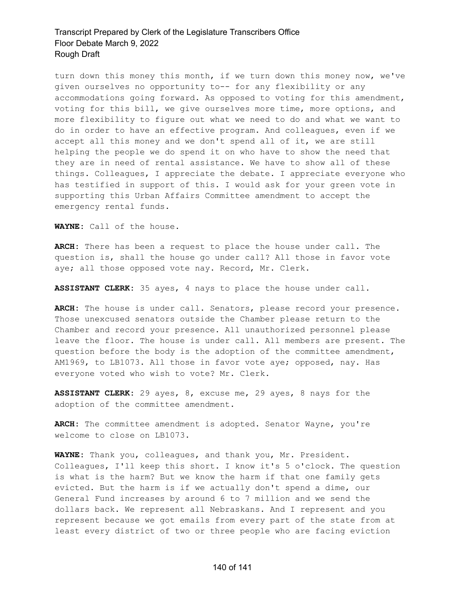turn down this money this month, if we turn down this money now, we've given ourselves no opportunity to-- for any flexibility or any accommodations going forward. As opposed to voting for this amendment, voting for this bill, we give ourselves more time, more options, and more flexibility to figure out what we need to do and what we want to do in order to have an effective program. And colleagues, even if we accept all this money and we don't spend all of it, we are still helping the people we do spend it on who have to show the need that they are in need of rental assistance. We have to show all of these things. Colleagues, I appreciate the debate. I appreciate everyone who has testified in support of this. I would ask for your green vote in supporting this Urban Affairs Committee amendment to accept the emergency rental funds.

**WAYNE:** Call of the house.

**ARCH:** There has been a request to place the house under call. The question is, shall the house go under call? All those in favor vote aye; all those opposed vote nay. Record, Mr. Clerk.

**ASSISTANT CLERK:** 35 ayes, 4 nays to place the house under call.

**ARCH:** The house is under call. Senators, please record your presence. Those unexcused senators outside the Chamber please return to the Chamber and record your presence. All unauthorized personnel please leave the floor. The house is under call. All members are present. The question before the body is the adoption of the committee amendment, AM1969, to LB1073. All those in favor vote aye; opposed, nay. Has everyone voted who wish to vote? Mr. Clerk.

**ASSISTANT CLERK:** 29 ayes, 8, excuse me, 29 ayes, 8 nays for the adoption of the committee amendment.

**ARCH:** The committee amendment is adopted. Senator Wayne, you're welcome to close on LB1073.

**WAYNE:** Thank you, colleagues, and thank you, Mr. President. Colleagues, I'll keep this short. I know it's 5 o'clock. The question is what is the harm? But we know the harm if that one family gets evicted. But the harm is if we actually don't spend a dime, our General Fund increases by around 6 to 7 million and we send the dollars back. We represent all Nebraskans. And I represent and you represent because we got emails from every part of the state from at least every district of two or three people who are facing eviction